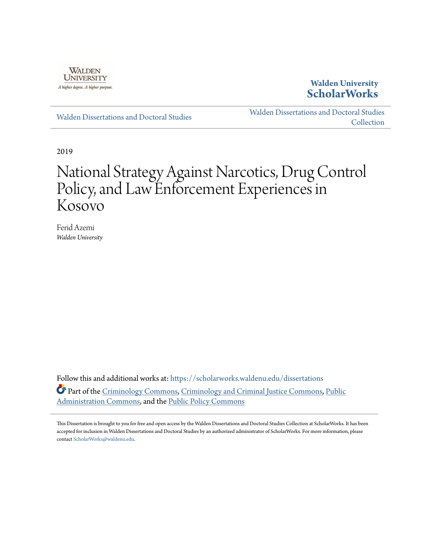

## **Walden University [ScholarWorks](https://scholarworks.waldenu.edu?utm_source=scholarworks.waldenu.edu%2Fdissertations%2F6517&utm_medium=PDF&utm_campaign=PDFCoverPages)**

[Walden Dissertations and Doctoral Studies](https://scholarworks.waldenu.edu/dissertations?utm_source=scholarworks.waldenu.edu%2Fdissertations%2F6517&utm_medium=PDF&utm_campaign=PDFCoverPages)

[Walden Dissertations and Doctoral Studies](https://scholarworks.waldenu.edu/dissanddoc?utm_source=scholarworks.waldenu.edu%2Fdissertations%2F6517&utm_medium=PDF&utm_campaign=PDFCoverPages) **[Collection](https://scholarworks.waldenu.edu/dissanddoc?utm_source=scholarworks.waldenu.edu%2Fdissertations%2F6517&utm_medium=PDF&utm_campaign=PDFCoverPages)** 

2019

# National Strategy Against Narcotics, Drug Control Policy, and Law Enforcement Experiences in Kosovo

Ferid Azemi *Walden University*

Follow this and additional works at: [https://scholarworks.waldenu.edu/dissertations](https://scholarworks.waldenu.edu/dissertations?utm_source=scholarworks.waldenu.edu%2Fdissertations%2F6517&utm_medium=PDF&utm_campaign=PDFCoverPages) Part of the [Criminology Commons,](http://network.bepress.com/hgg/discipline/417?utm_source=scholarworks.waldenu.edu%2Fdissertations%2F6517&utm_medium=PDF&utm_campaign=PDFCoverPages) [Criminology and Criminal Justice Commons](http://network.bepress.com/hgg/discipline/367?utm_source=scholarworks.waldenu.edu%2Fdissertations%2F6517&utm_medium=PDF&utm_campaign=PDFCoverPages), [Public](http://network.bepress.com/hgg/discipline/398?utm_source=scholarworks.waldenu.edu%2Fdissertations%2F6517&utm_medium=PDF&utm_campaign=PDFCoverPages) [Administration Commons,](http://network.bepress.com/hgg/discipline/398?utm_source=scholarworks.waldenu.edu%2Fdissertations%2F6517&utm_medium=PDF&utm_campaign=PDFCoverPages) and the [Public Policy Commons](http://network.bepress.com/hgg/discipline/400?utm_source=scholarworks.waldenu.edu%2Fdissertations%2F6517&utm_medium=PDF&utm_campaign=PDFCoverPages)

This Dissertation is brought to you for free and open access by the Walden Dissertations and Doctoral Studies Collection at ScholarWorks. It has been accepted for inclusion in Walden Dissertations and Doctoral Studies by an authorized administrator of ScholarWorks. For more information, please contact [ScholarWorks@waldenu.edu](mailto:ScholarWorks@waldenu.edu).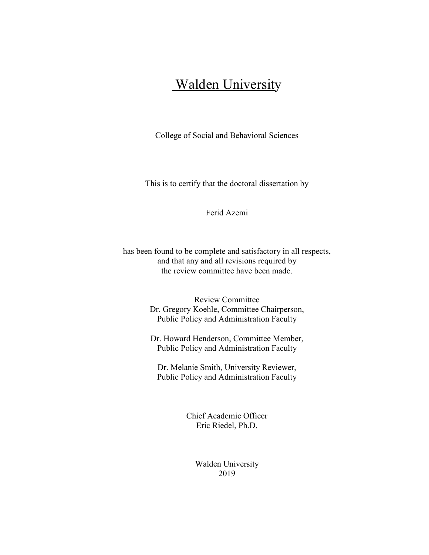## **Walden University**

College of Social and Behavioral Sciences

This is to certify that the doctoral dissertation by

Ferid Azemi

has been found to be complete and satisfactory in all respects, and that any and all revisions required by the review committee have been made.

> Review Committee Dr. Gregory Koehle, Committee Chairperson, Public Policy and Administration Faculty

> Dr. Howard Henderson, Committee Member, Public Policy and Administration Faculty

Dr. Melanie Smith, University Reviewer, Public Policy and Administration Faculty

> Chief Academic Officer Eric Riedel, Ph.D.

> > Walden University 2019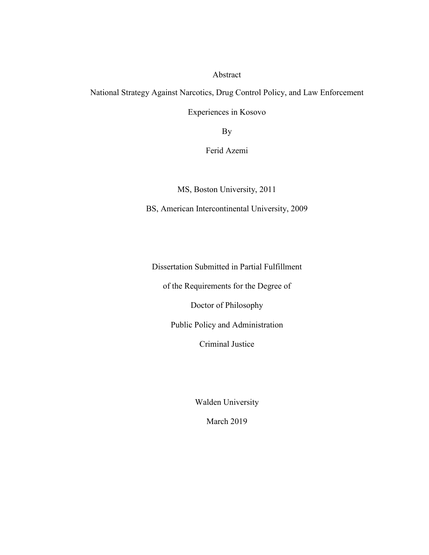Abstract

National Strategy Against Narcotics, Drug Control Policy, and Law Enforcement

Experiences in Kosovo

By

Ferid Azemi

MS, Boston University, 2011

BS, American Intercontinental University, 2009

Dissertation Submitted in Partial Fulfillment

of the Requirements for the Degree of

Doctor of Philosophy

Public Policy and Administration

Criminal Justice

Walden University

March 2019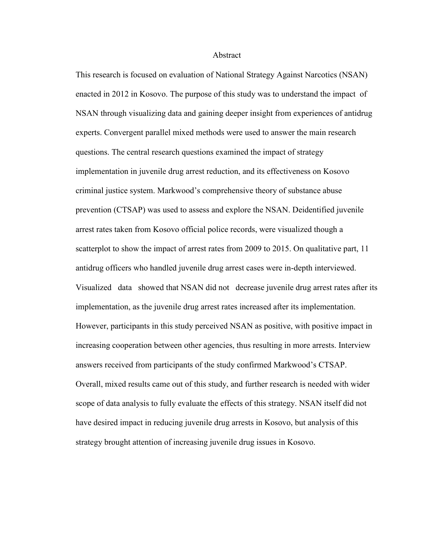#### Abstract

This research is focused on evaluation of National Strategy Against Narcotics (NSAN) enacted in 2012 in Kosovo. The purpose of this study was to understand the impact of NSAN through visualizing data and gaining deeper insight from experiences of antidrug experts. Convergent parallel mixed methods were used to answer the main research questions. The central research questions examined the impact of strategy implementation in juvenile drug arrest reduction, and its effectiveness on Kosovo criminal justice system. Markwood's comprehensive theory of substance abuse prevention (CTSAP) was used to assess and explore the NSAN. Deidentified juvenile arrest rates taken from Kosovo official police records, were visualized though a scatterplot to show the impact of arrest rates from 2009 to 2015. On qualitative part, 11 antidrug officers who handled juvenile drug arrest cases were in-depth interviewed. Visualized data showed that NSAN did not decrease juvenile drug arrest rates after its implementation, as the juvenile drug arrest rates increased after its implementation. However, participants in this study perceived NSAN as positive, with positive impact in increasing cooperation between other agencies, thus resulting in more arrests. Interview answers received from participants of the study confirmed Markwood's CTSAP. Overall, mixed results came out of this study, and further research is needed with wider scope of data analysis to fully evaluate the effects of this strategy. NSAN itself did not have desired impact in reducing juvenile drug arrests in Kosovo, but analysis of this strategy brought attention of increasing juvenile drug issues in Kosovo.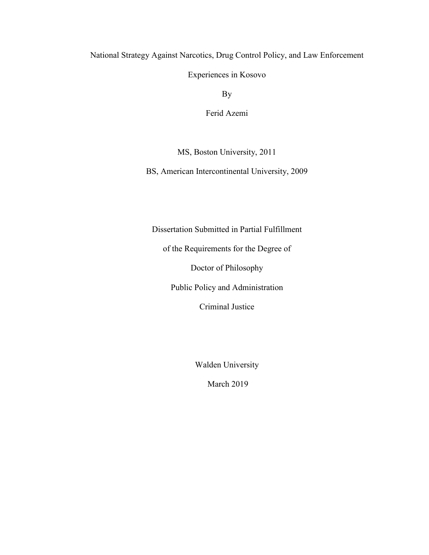National Strategy Against Narcotics, Drug Control Policy, and Law Enforcement

Experiences in Kosovo

By

Ferid Azemi

MS, Boston University, 2011

BS, American Intercontinental University, 2009

Dissertation Submitted in Partial Fulfillment

of the Requirements for the Degree of

Doctor of Philosophy

Public Policy and Administration

Criminal Justice

Walden University

March 2019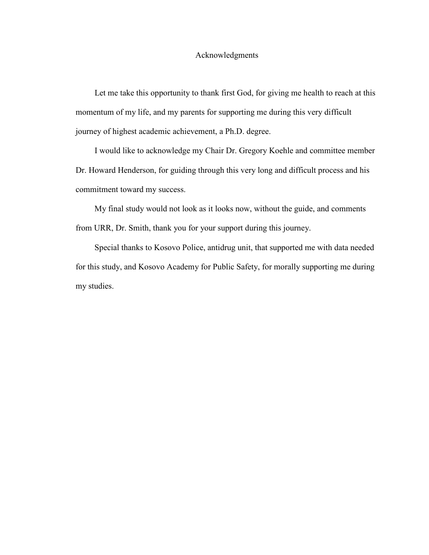#### Acknowledgments

 Let me take this opportunity to thank first God, for giving me health to reach at this momentum of my life, and my parents for supporting me during this very difficult journey of highest academic achievement, a Ph.D. degree.

 I would like to acknowledge my Chair Dr. Gregory Koehle and committee member Dr. Howard Henderson, for guiding through this very long and difficult process and his commitment toward my success.

 My final study would not look as it looks now, without the guide, and comments from URR, Dr. Smith, thank you for your support during this journey.

 Special thanks to Kosovo Police, antidrug unit, that supported me with data needed for this study, and Kosovo Academy for Public Safety, for morally supporting me during my studies.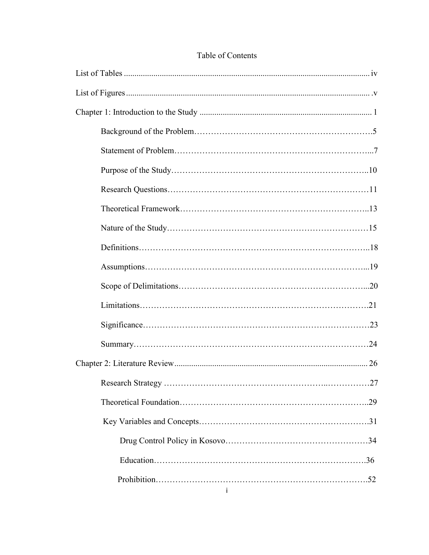### Table of Contents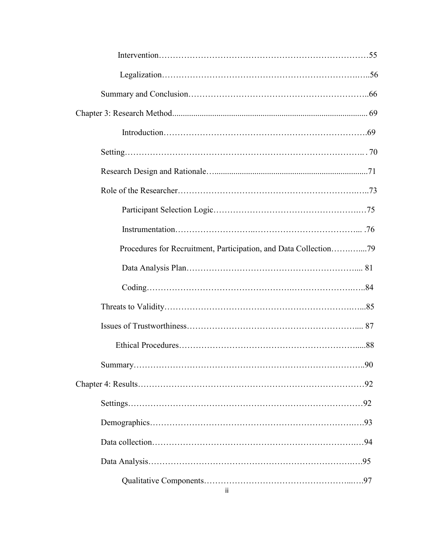| Procedures for Recruitment, Participation, and Data Collection79 |  |
|------------------------------------------------------------------|--|
|                                                                  |  |
|                                                                  |  |
|                                                                  |  |
|                                                                  |  |
|                                                                  |  |
|                                                                  |  |
|                                                                  |  |
|                                                                  |  |
|                                                                  |  |
|                                                                  |  |
|                                                                  |  |
| ii.                                                              |  |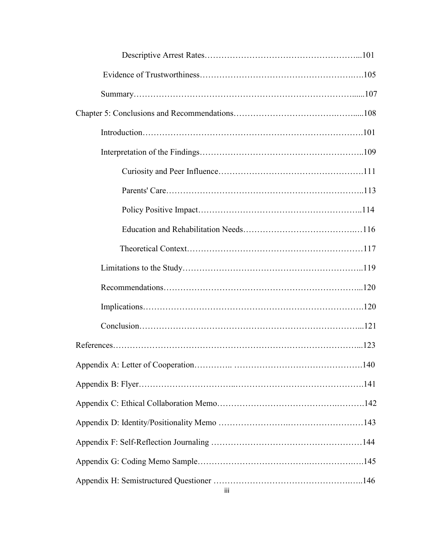| iii |
|-----|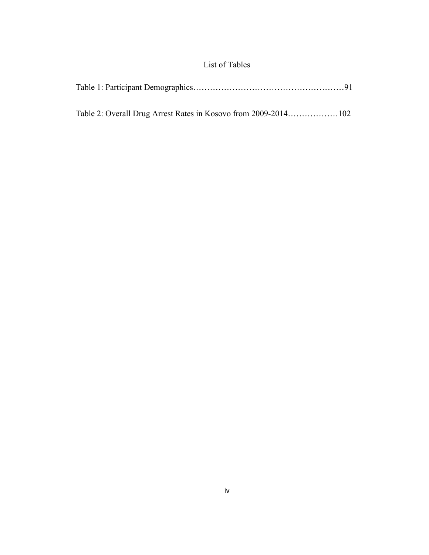## List of Tables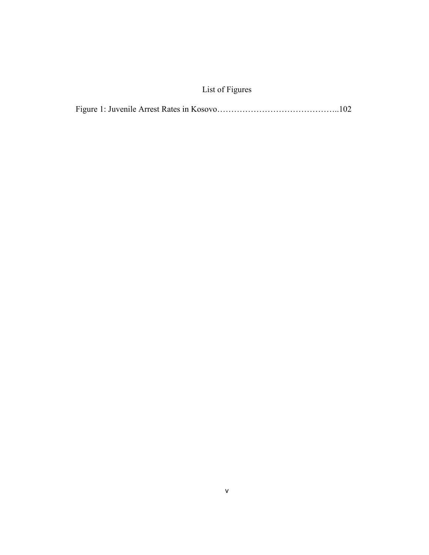## List of Figures

|--|--|--|--|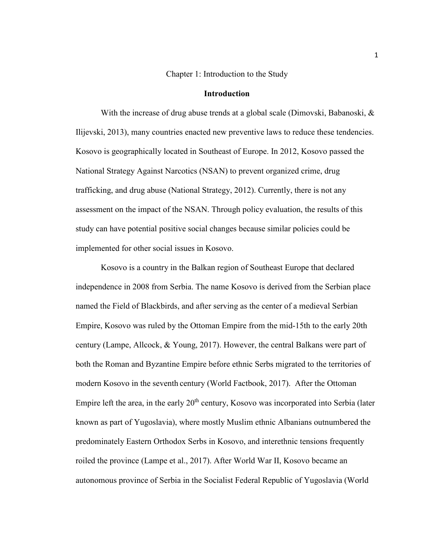#### Chapter 1: Introduction to the Study

#### **Introduction**

With the increase of drug abuse trends at a global scale (Dimovski, Babanoski, & Ilijevski, 2013), many countries enacted new preventive laws to reduce these tendencies. Kosovo is geographically located in Southeast of Europe. In 2012, Kosovo passed the National Strategy Against Narcotics (NSAN) to prevent organized crime, drug trafficking, and drug abuse (National Strategy, 2012). Currently, there is not any assessment on the impact of the NSAN. Through policy evaluation, the results of this study can have potential positive social changes because similar policies could be implemented for other social issues in Kosovo.

Kosovo is a country in the Balkan region of Southeast Europe that declared independence in 2008 from Serbia. The name Kosovo is derived from the Serbian place named the Field of Blackbirds, and after serving as the center of a medieval Serbian Empire, Kosovo was ruled by the Ottoman Empire from the mid-15th to the early 20th century (Lampe, Allcock, & Young, 2017). However, the central Balkans were part of both the Roman and Byzantine Empire before ethnic Serbs migrated to the territories of modern Kosovo in the seventh century (World Factbook, 2017). After the Ottoman Empire left the area, in the early  $20<sup>th</sup>$  century, Kosovo was incorporated into Serbia (later known as part of Yugoslavia), where mostly Muslim ethnic Albanians outnumbered the predominately Eastern Orthodox Serbs in Kosovo, and interethnic tensions frequently roiled the province (Lampe et al., 2017). After World War II, Kosovo became an autonomous province of Serbia in the Socialist Federal Republic of Yugoslavia (World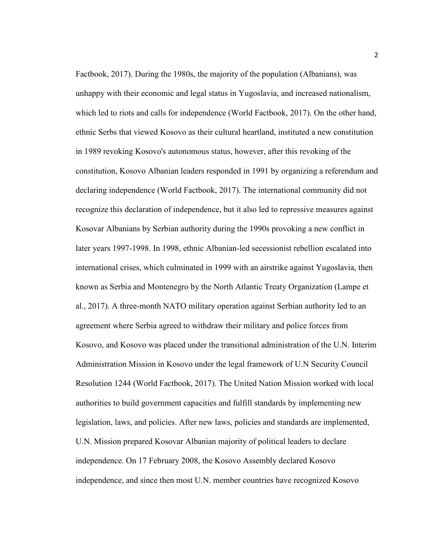Factbook, 2017). During the 1980s, the majority of the population (Albanians), was unhappy with their economic and legal status in Yugoslavia, and increased nationalism, which led to riots and calls for independence (World Factbook, 2017). On the other hand, ethnic Serbs that viewed Kosovo as their cultural heartland, instituted a new constitution in 1989 revoking Kosovo's autonomous status, however, after this revoking of the constitution, Kosovo Albanian leaders responded in 1991 by organizing a referendum and declaring independence (World Factbook, 2017). The international community did not recognize this declaration of independence, but it also led to repressive measures against Kosovar Albanians by Serbian authority during the 1990s provoking a new conflict in later years 1997-1998. In 1998, ethnic Albanian-led secessionist rebellion escalated into international crises, which culminated in 1999 with an airstrike against Yugoslavia, then known as Serbia and Montenegro by the North Atlantic Treaty Organization (Lampe et al., 2017). A three-month NATO military operation against Serbian authority led to an agreement where Serbia agreed to withdraw their military and police forces from Kosovo, and Kosovo was placed under the transitional administration of the U.N. Interim Administration Mission in Kosovo under the legal framework of U.N Security Council Resolution 1244 (World Factbook, 2017). The United Nation Mission worked with local authorities to build government capacities and fulfill standards by implementing new legislation, laws, and policies. After new laws, policies and standards are implemented, U.N. Mission prepared Kosovar Albanian majority of political leaders to declare independence. On 17 February 2008, the Kosovo Assembly declared Kosovo independence, and since then most U.N. member countries have recognized Kosovo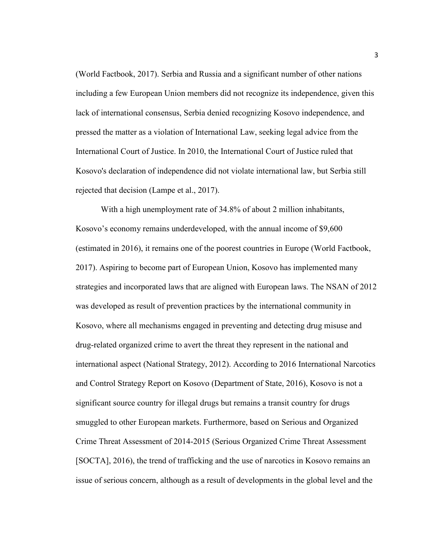(World Factbook, 2017). Serbia and Russia and a significant number of other nations including a few European Union members did not recognize its independence, given this lack of international consensus, Serbia denied recognizing Kosovo independence, and pressed the matter as a violation of International Law, seeking legal advice from the International Court of Justice. In 2010, the International Court of Justice ruled that Kosovo's declaration of independence did not violate international law, but Serbia still rejected that decision (Lampe et al., 2017).

With a high unemployment rate of 34.8% of about 2 million inhabitants, Kosovo's economy remains underdeveloped, with the annual income of \$9,600 (estimated in 2016), it remains one of the poorest countries in Europe (World Factbook, 2017). Aspiring to become part of European Union, Kosovo has implemented many strategies and incorporated laws that are aligned with European laws. The NSAN of 2012 was developed as result of prevention practices by the international community in Kosovo, where all mechanisms engaged in preventing and detecting drug misuse and drug-related organized crime to avert the threat they represent in the national and international aspect (National Strategy, 2012). According to 2016 International Narcotics and Control Strategy Report on Kosovo (Department of State, 2016), Kosovo is not a significant source country for illegal drugs but remains a transit country for drugs smuggled to other European markets. Furthermore, based on Serious and Organized Crime Threat Assessment of 2014-2015 (Serious Organized Crime Threat Assessment [SOCTA], 2016), the trend of trafficking and the use of narcotics in Kosovo remains an issue of serious concern, although as a result of developments in the global level and the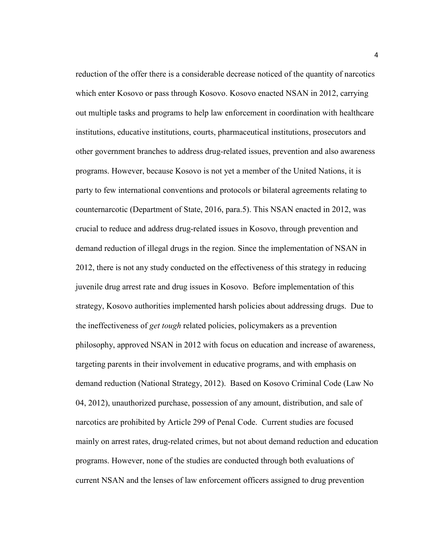reduction of the offer there is a considerable decrease noticed of the quantity of narcotics which enter Kosovo or pass through Kosovo. Kosovo enacted NSAN in 2012, carrying out multiple tasks and programs to help law enforcement in coordination with healthcare institutions, educative institutions, courts, pharmaceutical institutions, prosecutors and other government branches to address drug-related issues, prevention and also awareness programs. However, because Kosovo is not yet a member of the United Nations, it is party to few international conventions and protocols or bilateral agreements relating to counternarcotic (Department of State, 2016, para.5). This NSAN enacted in 2012, was crucial to reduce and address drug-related issues in Kosovo, through prevention and demand reduction of illegal drugs in the region. Since the implementation of NSAN in 2012, there is not any study conducted on the effectiveness of this strategy in reducing juvenile drug arrest rate and drug issues in Kosovo. Before implementation of this strategy, Kosovo authorities implemented harsh policies about addressing drugs. Due to the ineffectiveness of *get tough* related policies, policymakers as a prevention philosophy, approved NSAN in 2012 with focus on education and increase of awareness, targeting parents in their involvement in educative programs, and with emphasis on demand reduction (National Strategy, 2012). Based on Kosovo Criminal Code (Law No 04, 2012), unauthorized purchase, possession of any amount, distribution, and sale of narcotics are prohibited by Article 299 of Penal Code. Current studies are focused mainly on arrest rates, drug-related crimes, but not about demand reduction and education programs. However, none of the studies are conducted through both evaluations of current NSAN and the lenses of law enforcement officers assigned to drug prevention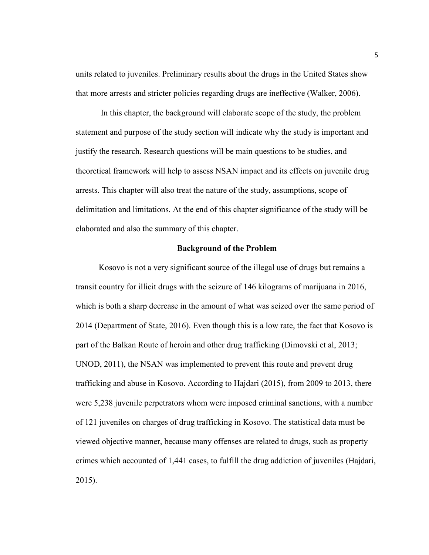units related to juveniles. Preliminary results about the drugs in the United States show that more arrests and stricter policies regarding drugs are ineffective (Walker, 2006).

In this chapter, the background will elaborate scope of the study, the problem statement and purpose of the study section will indicate why the study is important and justify the research. Research questions will be main questions to be studies, and theoretical framework will help to assess NSAN impact and its effects on juvenile drug arrests. This chapter will also treat the nature of the study, assumptions, scope of delimitation and limitations. At the end of this chapter significance of the study will be elaborated and also the summary of this chapter.

#### **Background of the Problem**

 Kosovo is not a very significant source of the illegal use of drugs but remains a transit country for illicit drugs with the seizure of 146 kilograms of marijuana in 2016, which is both a sharp decrease in the amount of what was seized over the same period of 2014 (Department of State, 2016). Even though this is a low rate, the fact that Kosovo is part of the Balkan Route of heroin and other drug trafficking (Dimovski et al, 2013; UNOD, 2011), the NSAN was implemented to prevent this route and prevent drug trafficking and abuse in Kosovo. According to Hajdari (2015), from 2009 to 2013, there were 5,238 juvenile perpetrators whom were imposed criminal sanctions, with a number of 121 juveniles on charges of drug trafficking in Kosovo. The statistical data must be viewed objective manner, because many offenses are related to drugs, such as property crimes which accounted of 1,441 cases, to fulfill the drug addiction of juveniles (Hajdari, 2015).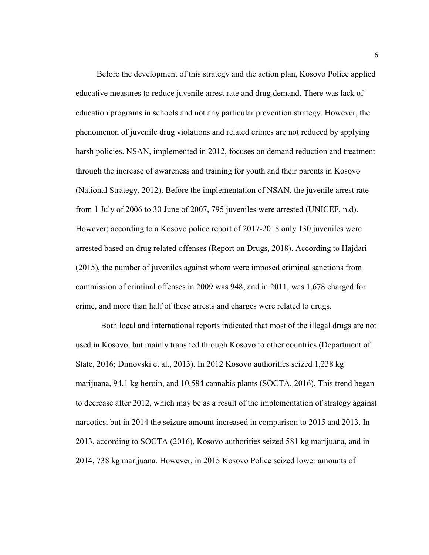Before the development of this strategy and the action plan, Kosovo Police applied educative measures to reduce juvenile arrest rate and drug demand. There was lack of education programs in schools and not any particular prevention strategy. However, the phenomenon of juvenile drug violations and related crimes are not reduced by applying harsh policies. NSAN, implemented in 2012, focuses on demand reduction and treatment through the increase of awareness and training for youth and their parents in Kosovo (National Strategy, 2012). Before the implementation of NSAN, the juvenile arrest rate from 1 July of 2006 to 30 June of 2007, 795 juveniles were arrested (UNICEF, n.d). However; according to a Kosovo police report of 2017-2018 only 130 juveniles were arrested based on drug related offenses (Report on Drugs, 2018). According to Hajdari (2015), the number of juveniles against whom were imposed criminal sanctions from commission of criminal offenses in 2009 was 948, and in 2011, was 1,678 charged for crime, and more than half of these arrests and charges were related to drugs.

Both local and international reports indicated that most of the illegal drugs are not used in Kosovo, but mainly transited through Kosovo to other countries (Department of State, 2016; Dimovski et al., 2013). In 2012 Kosovo authorities seized 1,238 kg marijuana, 94.1 kg heroin, and 10,584 cannabis plants (SOCTA, 2016). This trend began to decrease after 2012, which may be as a result of the implementation of strategy against narcotics, but in 2014 the seizure amount increased in comparison to 2015 and 2013. In 2013, according to SOCTA (2016), Kosovo authorities seized 581 kg marijuana, and in 2014, 738 kg marijuana. However, in 2015 Kosovo Police seized lower amounts of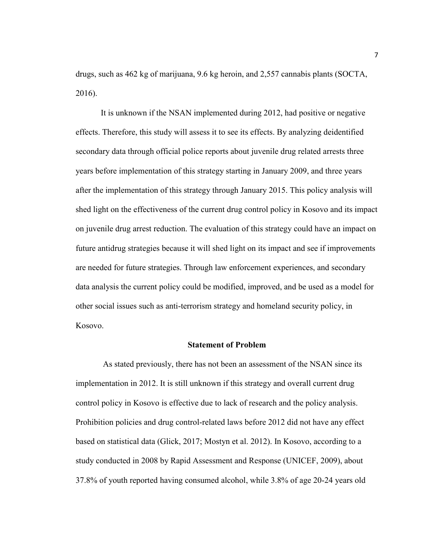drugs, such as 462 kg of marijuana, 9.6 kg heroin, and 2,557 cannabis plants (SOCTA, 2016).

It is unknown if the NSAN implemented during 2012, had positive or negative effects. Therefore, this study will assess it to see its effects. By analyzing deidentified secondary data through official police reports about juvenile drug related arrests three years before implementation of this strategy starting in January 2009, and three years after the implementation of this strategy through January 2015. This policy analysis will shed light on the effectiveness of the current drug control policy in Kosovo and its impact on juvenile drug arrest reduction. The evaluation of this strategy could have an impact on future antidrug strategies because it will shed light on its impact and see if improvements are needed for future strategies. Through law enforcement experiences, and secondary data analysis the current policy could be modified, improved, and be used as a model for other social issues such as anti-terrorism strategy and homeland security policy, in Kosovo.

#### **Statement of Problem**

 As stated previously, there has not been an assessment of the NSAN since its implementation in 2012. It is still unknown if this strategy and overall current drug control policy in Kosovo is effective due to lack of research and the policy analysis. Prohibition policies and drug control-related laws before 2012 did not have any effect based on statistical data (Glick, 2017; Mostyn et al. 2012). In Kosovo, according to a study conducted in 2008 by Rapid Assessment and Response (UNICEF, 2009), about 37.8% of youth reported having consumed alcohol, while 3.8% of age 20-24 years old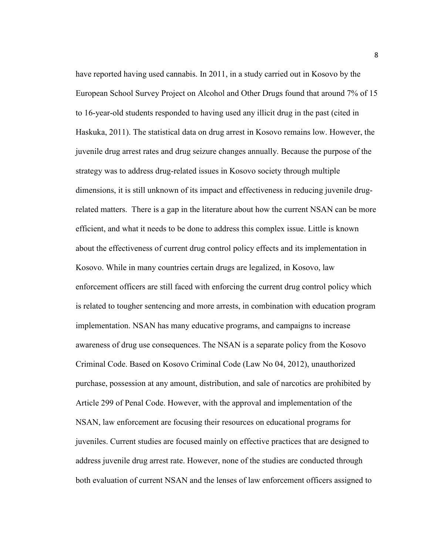have reported having used cannabis. In 2011, in a study carried out in Kosovo by the European School Survey Project on Alcohol and Other Drugs found that around 7% of 15 to 16-year-old students responded to having used any illicit drug in the past (cited in Haskuka, 2011). The statistical data on drug arrest in Kosovo remains low. However, the juvenile drug arrest rates and drug seizure changes annually. Because the purpose of the strategy was to address drug-related issues in Kosovo society through multiple dimensions, it is still unknown of its impact and effectiveness in reducing juvenile drugrelated matters. There is a gap in the literature about how the current NSAN can be more efficient, and what it needs to be done to address this complex issue. Little is known about the effectiveness of current drug control policy effects and its implementation in Kosovo. While in many countries certain drugs are legalized, in Kosovo, law enforcement officers are still faced with enforcing the current drug control policy which is related to tougher sentencing and more arrests, in combination with education program implementation. NSAN has many educative programs, and campaigns to increase awareness of drug use consequences. The NSAN is a separate policy from the Kosovo Criminal Code. Based on Kosovo Criminal Code (Law No 04, 2012), unauthorized purchase, possession at any amount, distribution, and sale of narcotics are prohibited by Article 299 of Penal Code. However, with the approval and implementation of the NSAN, law enforcement are focusing their resources on educational programs for juveniles. Current studies are focused mainly on effective practices that are designed to address juvenile drug arrest rate. However, none of the studies are conducted through both evaluation of current NSAN and the lenses of law enforcement officers assigned to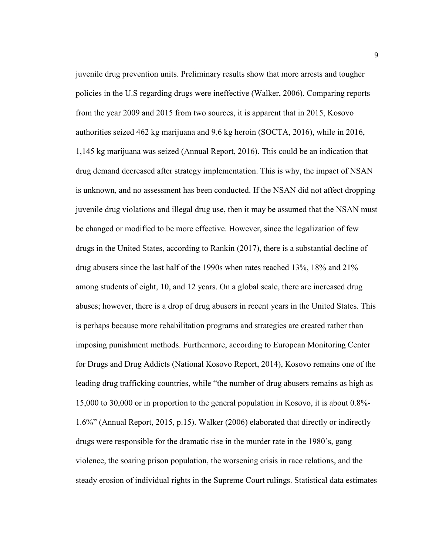juvenile drug prevention units. Preliminary results show that more arrests and tougher policies in the U.S regarding drugs were ineffective (Walker, 2006). Comparing reports from the year 2009 and 2015 from two sources, it is apparent that in 2015, Kosovo authorities seized 462 kg marijuana and 9.6 kg heroin (SOCTA, 2016), while in 2016, 1,145 kg marijuana was seized (Annual Report, 2016). This could be an indication that drug demand decreased after strategy implementation. This is why, the impact of NSAN is unknown, and no assessment has been conducted. If the NSAN did not affect dropping juvenile drug violations and illegal drug use, then it may be assumed that the NSAN must be changed or modified to be more effective. However, since the legalization of few drugs in the United States, according to Rankin (2017), there is a substantial decline of drug abusers since the last half of the 1990s when rates reached 13%, 18% and 21% among students of eight, 10, and 12 years. On a global scale, there are increased drug abuses; however, there is a drop of drug abusers in recent years in the United States. This is perhaps because more rehabilitation programs and strategies are created rather than imposing punishment methods. Furthermore, according to European Monitoring Center for Drugs and Drug Addicts (National Kosovo Report, 2014), Kosovo remains one of the leading drug trafficking countries, while "the number of drug abusers remains as high as 15,000 to 30,000 or in proportion to the general population in Kosovo, it is about 0.8%- 1.6%" (Annual Report, 2015, p.15). Walker (2006) elaborated that directly or indirectly drugs were responsible for the dramatic rise in the murder rate in the 1980's, gang violence, the soaring prison population, the worsening crisis in race relations, and the steady erosion of individual rights in the Supreme Court rulings. Statistical data estimates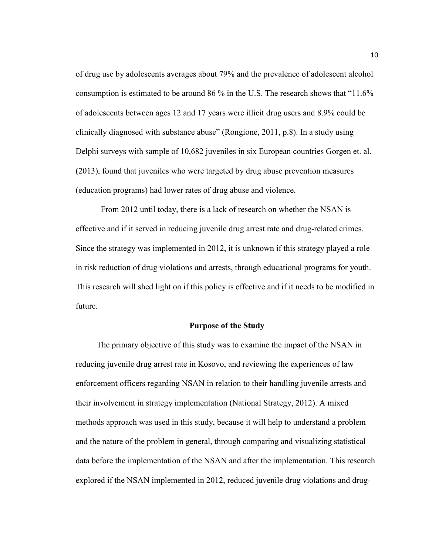of drug use by adolescents averages about 79% and the prevalence of adolescent alcohol consumption is estimated to be around 86 % in the U.S. The research shows that "11.6% of adolescents between ages 12 and 17 years were illicit drug users and 8.9% could be clinically diagnosed with substance abuse" (Rongione, 2011, p.8). In a study using Delphi surveys with sample of 10,682 juveniles in six European countries Gorgen et. al. (2013), found that juveniles who were targeted by drug abuse prevention measures (education programs) had lower rates of drug abuse and violence.

From 2012 until today, there is a lack of research on whether the NSAN is effective and if it served in reducing juvenile drug arrest rate and drug-related crimes. Since the strategy was implemented in 2012, it is unknown if this strategy played a role in risk reduction of drug violations and arrests, through educational programs for youth. This research will shed light on if this policy is effective and if it needs to be modified in future.

#### **Purpose of the Study**

The primary objective of this study was to examine the impact of the NSAN in reducing juvenile drug arrest rate in Kosovo, and reviewing the experiences of law enforcement officers regarding NSAN in relation to their handling juvenile arrests and their involvement in strategy implementation (National Strategy, 2012). A mixed methods approach was used in this study, because it will help to understand a problem and the nature of the problem in general, through comparing and visualizing statistical data before the implementation of the NSAN and after the implementation. This research explored if the NSAN implemented in 2012, reduced juvenile drug violations and drug-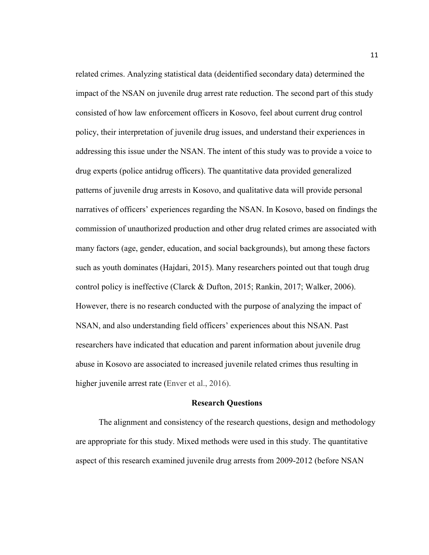related crimes. Analyzing statistical data (deidentified secondary data) determined the impact of the NSAN on juvenile drug arrest rate reduction. The second part of this study consisted of how law enforcement officers in Kosovo, feel about current drug control policy, their interpretation of juvenile drug issues, and understand their experiences in addressing this issue under the NSAN. The intent of this study was to provide a voice to drug experts (police antidrug officers). The quantitative data provided generalized patterns of juvenile drug arrests in Kosovo, and qualitative data will provide personal narratives of officers' experiences regarding the NSAN. In Kosovo, based on findings the commission of unauthorized production and other drug related crimes are associated with many factors (age, gender, education, and social backgrounds), but among these factors such as youth dominates (Hajdari, 2015). Many researchers pointed out that tough drug control policy is ineffective (Clarck & Dufton, 2015; Rankin, 2017; Walker, 2006). However, there is no research conducted with the purpose of analyzing the impact of NSAN, and also understanding field officers' experiences about this NSAN. Past researchers have indicated that education and parent information about juvenile drug abuse in Kosovo are associated to increased juvenile related crimes thus resulting in higher juvenile arrest rate (Enver et al., 2016).

#### **Research Questions**

 The alignment and consistency of the research questions, design and methodology are appropriate for this study. Mixed methods were used in this study. The quantitative aspect of this research examined juvenile drug arrests from 2009-2012 (before NSAN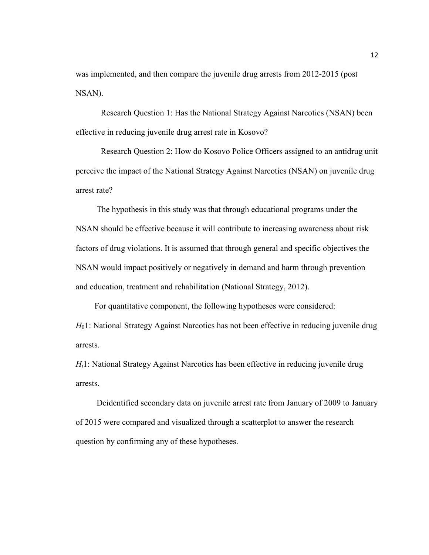was implemented, and then compare the juvenile drug arrests from 2012-2015 (post NSAN).

Research Question 1: Has the National Strategy Against Narcotics (NSAN) been effective in reducing juvenile drug arrest rate in Kosovo?

Research Question 2: How do Kosovo Police Officers assigned to an antidrug unit perceive the impact of the National Strategy Against Narcotics (NSAN) on juvenile drug arrest rate?

 The hypothesis in this study was that through educational programs under the NSAN should be effective because it will contribute to increasing awareness about risk factors of drug violations. It is assumed that through general and specific objectives the NSAN would impact positively or negatively in demand and harm through prevention and education, treatment and rehabilitation (National Strategy, 2012).

 For quantitative component, the following hypotheses were considered: *H*<sub>0</sub>1: National Strategy Against Narcotics has not been effective in reducing juvenile drug arrests.

*H*<sub>1</sub>!: National Strategy Against Narcotics has been effective in reducing juvenile drug arrests.

 Deidentified secondary data on juvenile arrest rate from January of 2009 to January of 2015 were compared and visualized through a scatterplot to answer the research question by confirming any of these hypotheses.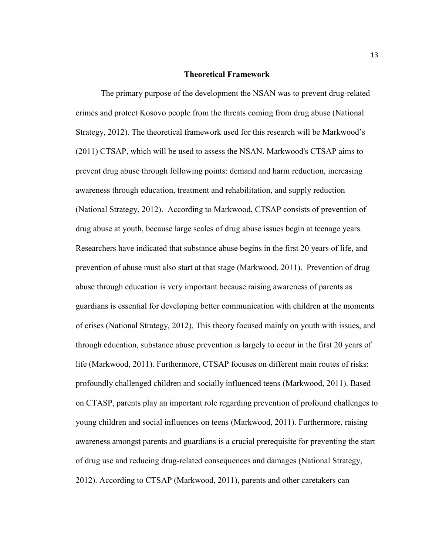#### **Theoretical Framework**

The primary purpose of the development the NSAN was to prevent drug-related crimes and protect Kosovo people from the threats coming from drug abuse (National Strategy, 2012). The theoretical framework used for this research will be Markwood's (2011) CTSAP, which will be used to assess the NSAN. Markwood's CTSAP aims to prevent drug abuse through following points: demand and harm reduction, increasing awareness through education, treatment and rehabilitation, and supply reduction (National Strategy, 2012). According to Markwood, CTSAP consists of prevention of drug abuse at youth, because large scales of drug abuse issues begin at teenage years. Researchers have indicated that substance abuse begins in the first 20 years of life, and prevention of abuse must also start at that stage (Markwood, 2011). Prevention of drug abuse through education is very important because raising awareness of parents as guardians is essential for developing better communication with children at the moments of crises (National Strategy, 2012). This theory focused mainly on youth with issues, and through education, substance abuse prevention is largely to occur in the first 20 years of life (Markwood, 2011). Furthermore, CTSAP focuses on different main routes of risks: profoundly challenged children and socially influenced teens (Markwood, 2011). Based on CTASP, parents play an important role regarding prevention of profound challenges to young children and social influences on teens (Markwood, 2011). Furthermore, raising awareness amongst parents and guardians is a crucial prerequisite for preventing the start of drug use and reducing drug-related consequences and damages (National Strategy, 2012). According to CTSAP (Markwood, 2011), parents and other caretakers can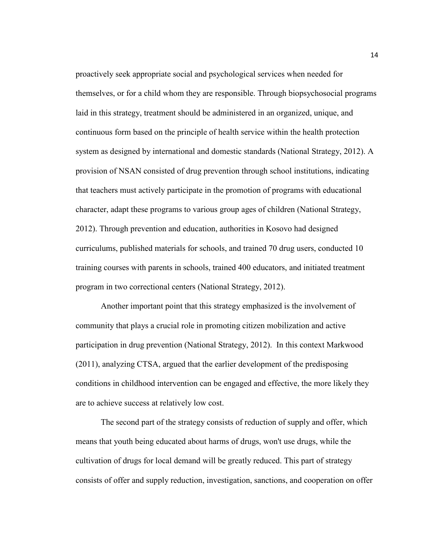proactively seek appropriate social and psychological services when needed for themselves, or for a child whom they are responsible. Through biopsychosocial programs laid in this strategy, treatment should be administered in an organized, unique, and continuous form based on the principle of health service within the health protection system as designed by international and domestic standards (National Strategy, 2012). A provision of NSAN consisted of drug prevention through school institutions, indicating that teachers must actively participate in the promotion of programs with educational character, adapt these programs to various group ages of children (National Strategy, 2012). Through prevention and education, authorities in Kosovo had designed curriculums, published materials for schools, and trained 70 drug users, conducted 10 training courses with parents in schools, trained 400 educators, and initiated treatment program in two correctional centers (National Strategy, 2012).

Another important point that this strategy emphasized is the involvement of community that plays a crucial role in promoting citizen mobilization and active participation in drug prevention (National Strategy, 2012). In this context Markwood (2011), analyzing CTSA, argued that the earlier development of the predisposing conditions in childhood intervention can be engaged and effective, the more likely they are to achieve success at relatively low cost.

The second part of the strategy consists of reduction of supply and offer, which means that youth being educated about harms of drugs, won't use drugs, while the cultivation of drugs for local demand will be greatly reduced. This part of strategy consists of offer and supply reduction, investigation, sanctions, and cooperation on offer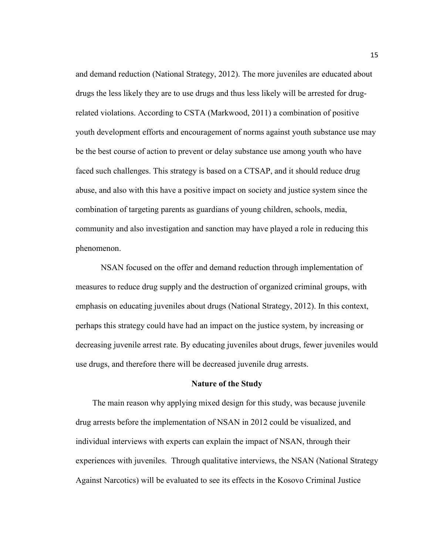and demand reduction (National Strategy, 2012). The more juveniles are educated about drugs the less likely they are to use drugs and thus less likely will be arrested for drugrelated violations. According to CSTA (Markwood, 2011) a combination of positive youth development efforts and encouragement of norms against youth substance use may be the best course of action to prevent or delay substance use among youth who have faced such challenges. This strategy is based on a CTSAP, and it should reduce drug abuse, and also with this have a positive impact on society and justice system since the combination of targeting parents as guardians of young children, schools, media, community and also investigation and sanction may have played a role in reducing this phenomenon.

NSAN focused on the offer and demand reduction through implementation of measures to reduce drug supply and the destruction of organized criminal groups, with emphasis on educating juveniles about drugs (National Strategy, 2012). In this context, perhaps this strategy could have had an impact on the justice system, by increasing or decreasing juvenile arrest rate. By educating juveniles about drugs, fewer juveniles would use drugs, and therefore there will be decreased juvenile drug arrests.

#### **Nature of the Study**

 The main reason why applying mixed design for this study, was because juvenile drug arrests before the implementation of NSAN in 2012 could be visualized, and individual interviews with experts can explain the impact of NSAN, through their experiences with juveniles. Through qualitative interviews, the NSAN (National Strategy Against Narcotics) will be evaluated to see its effects in the Kosovo Criminal Justice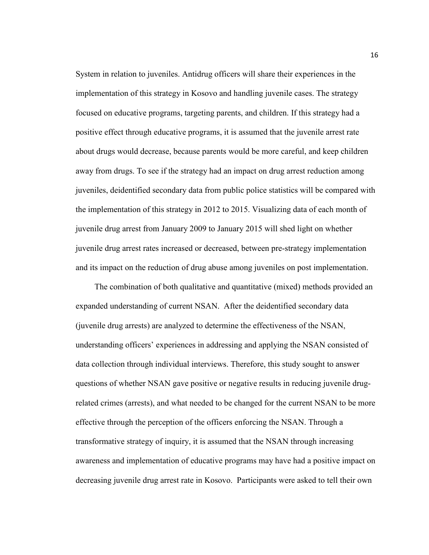System in relation to juveniles. Antidrug officers will share their experiences in the implementation of this strategy in Kosovo and handling juvenile cases. The strategy focused on educative programs, targeting parents, and children. If this strategy had a positive effect through educative programs, it is assumed that the juvenile arrest rate about drugs would decrease, because parents would be more careful, and keep children away from drugs. To see if the strategy had an impact on drug arrest reduction among juveniles, deidentified secondary data from public police statistics will be compared with the implementation of this strategy in 2012 to 2015. Visualizing data of each month of juvenile drug arrest from January 2009 to January 2015 will shed light on whether juvenile drug arrest rates increased or decreased, between pre-strategy implementation and its impact on the reduction of drug abuse among juveniles on post implementation.

 The combination of both qualitative and quantitative (mixed) methods provided an expanded understanding of current NSAN. After the deidentified secondary data (juvenile drug arrests) are analyzed to determine the effectiveness of the NSAN, understanding officers' experiences in addressing and applying the NSAN consisted of data collection through individual interviews. Therefore, this study sought to answer questions of whether NSAN gave positive or negative results in reducing juvenile drugrelated crimes (arrests), and what needed to be changed for the current NSAN to be more effective through the perception of the officers enforcing the NSAN. Through a transformative strategy of inquiry, it is assumed that the NSAN through increasing awareness and implementation of educative programs may have had a positive impact on decreasing juvenile drug arrest rate in Kosovo. Participants were asked to tell their own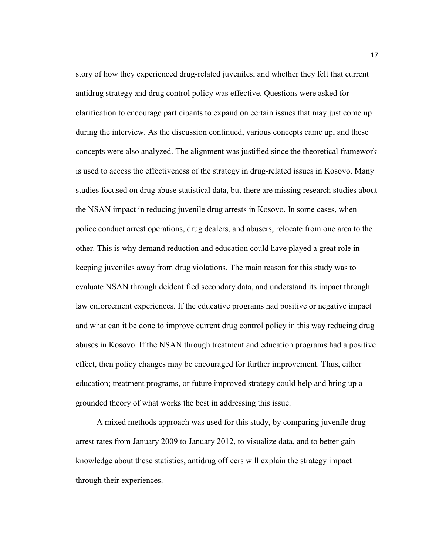story of how they experienced drug-related juveniles, and whether they felt that current antidrug strategy and drug control policy was effective. Questions were asked for clarification to encourage participants to expand on certain issues that may just come up during the interview. As the discussion continued, various concepts came up, and these concepts were also analyzed. The alignment was justified since the theoretical framework is used to access the effectiveness of the strategy in drug-related issues in Kosovo. Many studies focused on drug abuse statistical data, but there are missing research studies about the NSAN impact in reducing juvenile drug arrests in Kosovo. In some cases, when police conduct arrest operations, drug dealers, and abusers, relocate from one area to the other. This is why demand reduction and education could have played a great role in keeping juveniles away from drug violations. The main reason for this study was to evaluate NSAN through deidentified secondary data, and understand its impact through law enforcement experiences. If the educative programs had positive or negative impact and what can it be done to improve current drug control policy in this way reducing drug abuses in Kosovo. If the NSAN through treatment and education programs had a positive effect, then policy changes may be encouraged for further improvement. Thus, either education; treatment programs, or future improved strategy could help and bring up a grounded theory of what works the best in addressing this issue.

 A mixed methods approach was used for this study, by comparing juvenile drug arrest rates from January 2009 to January 2012, to visualize data, and to better gain knowledge about these statistics, antidrug officers will explain the strategy impact through their experiences.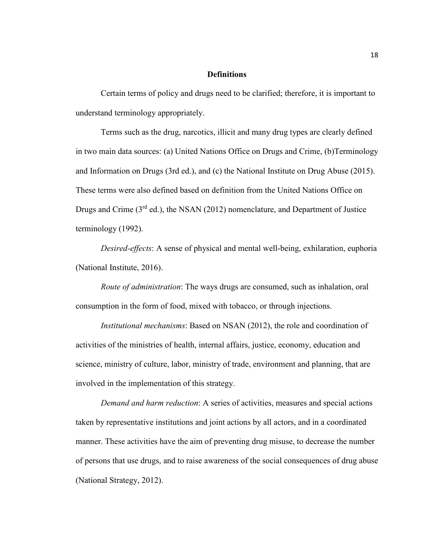#### **Definitions**

Certain terms of policy and drugs need to be clarified; therefore, it is important to understand terminology appropriately.

Terms such as the drug, narcotics, illicit and many drug types are clearly defined in two main data sources: (a) United Nations Office on Drugs and Crime, (b)Terminology and Information on Drugs (3rd ed.), and (c) the National Institute on Drug Abuse (2015). These terms were also defined based on definition from the United Nations Office on Drugs and Crime  $(3<sup>rd</sup>$  ed.), the NSAN (2012) nomenclature, and Department of Justice terminology (1992).

*Desired-effects*: A sense of physical and mental well-being, exhilaration, euphoria (National Institute, 2016).

*Route of administration*: The ways drugs are consumed, such as inhalation, oral consumption in the form of food, mixed with tobacco, or through injections.

*Institutional mechanisms*: Based on NSAN (2012), the role and coordination of activities of the ministries of health, internal affairs, justice, economy, education and science, ministry of culture, labor, ministry of trade, environment and planning, that are involved in the implementation of this strategy.

*Demand and harm reduction*: A series of activities, measures and special actions taken by representative institutions and joint actions by all actors, and in a coordinated manner. These activities have the aim of preventing drug misuse, to decrease the number of persons that use drugs, and to raise awareness of the social consequences of drug abuse (National Strategy, 2012).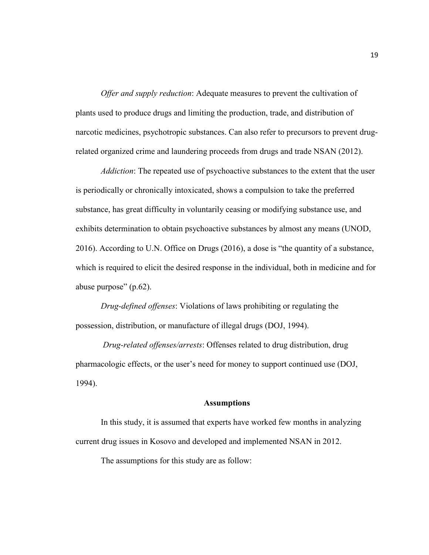*Offer and supply reduction*: Adequate measures to prevent the cultivation of plants used to produce drugs and limiting the production, trade, and distribution of narcotic medicines, psychotropic substances. Can also refer to precursors to prevent drugrelated organized crime and laundering proceeds from drugs and trade NSAN (2012).

*Addiction*: The repeated use of psychoactive substances to the extent that the user is periodically or chronically intoxicated, shows a compulsion to take the preferred substance, has great difficulty in voluntarily ceasing or modifying substance use, and exhibits determination to obtain psychoactive substances by almost any means (UNOD, 2016). According to U.N. Office on Drugs (2016), a dose is "the quantity of a substance, which is required to elicit the desired response in the individual, both in medicine and for abuse purpose" (p.62).

*Drug-defined offenses*: Violations of laws prohibiting or regulating the possession, distribution, or manufacture of illegal drugs (DOJ, 1994).

 *Drug-related offenses/arrests*: Offenses related to drug distribution, drug pharmacologic effects, or the user's need for money to support continued use (DOJ, 1994).

#### **Assumptions**

In this study, it is assumed that experts have worked few months in analyzing current drug issues in Kosovo and developed and implemented NSAN in 2012.

The assumptions for this study are as follow: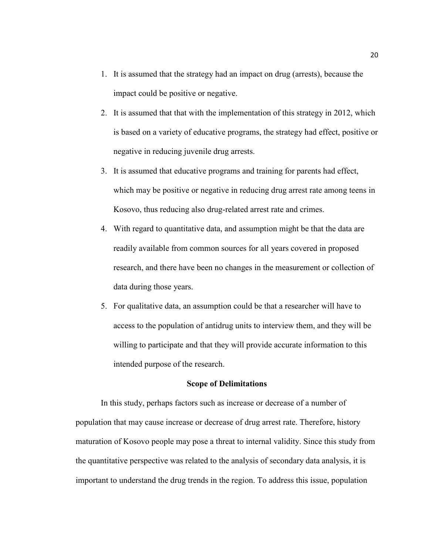- 1. It is assumed that the strategy had an impact on drug (arrests), because the impact could be positive or negative.
- 2. It is assumed that that with the implementation of this strategy in 2012, which is based on a variety of educative programs, the strategy had effect, positive or negative in reducing juvenile drug arrests.
- 3. It is assumed that educative programs and training for parents had effect, which may be positive or negative in reducing drug arrest rate among teens in Kosovo, thus reducing also drug-related arrest rate and crimes.
- 4. With regard to quantitative data, and assumption might be that the data are readily available from common sources for all years covered in proposed research, and there have been no changes in the measurement or collection of data during those years.
- 5. For qualitative data, an assumption could be that a researcher will have to access to the population of antidrug units to interview them, and they will be willing to participate and that they will provide accurate information to this intended purpose of the research.

#### **Scope of Delimitations**

In this study, perhaps factors such as increase or decrease of a number of population that may cause increase or decrease of drug arrest rate. Therefore, history maturation of Kosovo people may pose a threat to internal validity. Since this study from the quantitative perspective was related to the analysis of secondary data analysis, it is important to understand the drug trends in the region. To address this issue, population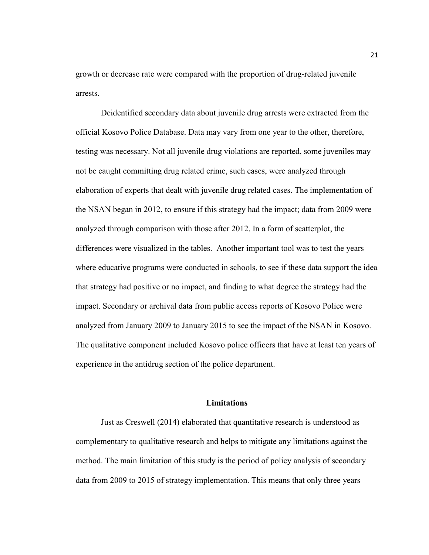growth or decrease rate were compared with the proportion of drug-related juvenile arrests.

Deidentified secondary data about juvenile drug arrests were extracted from the official Kosovo Police Database. Data may vary from one year to the other, therefore, testing was necessary. Not all juvenile drug violations are reported, some juveniles may not be caught committing drug related crime, such cases, were analyzed through elaboration of experts that dealt with juvenile drug related cases. The implementation of the NSAN began in 2012, to ensure if this strategy had the impact; data from 2009 were analyzed through comparison with those after 2012. In a form of scatterplot, the differences were visualized in the tables. Another important tool was to test the years where educative programs were conducted in schools, to see if these data support the idea that strategy had positive or no impact, and finding to what degree the strategy had the impact. Secondary or archival data from public access reports of Kosovo Police were analyzed from January 2009 to January 2015 to see the impact of the NSAN in Kosovo. The qualitative component included Kosovo police officers that have at least ten years of experience in the antidrug section of the police department.

#### **Limitations**

Just as Creswell (2014) elaborated that quantitative research is understood as complementary to qualitative research and helps to mitigate any limitations against the method. The main limitation of this study is the period of policy analysis of secondary data from 2009 to 2015 of strategy implementation. This means that only three years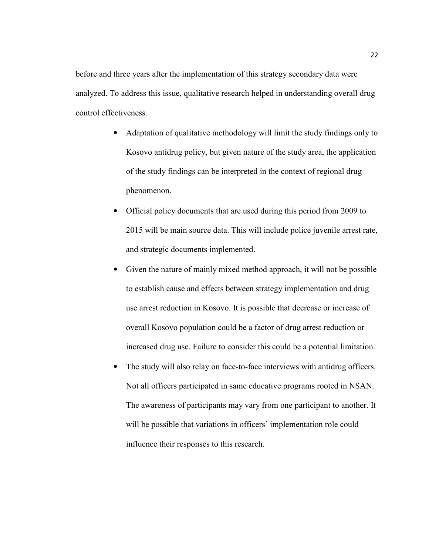before and three years after the implementation of this strategy secondary data were analyzed. To address this issue, qualitative research helped in understanding overall drug control effectiveness.

- Adaptation of qualitative methodology will limit the study findings only to Kosovo antidrug policy, but given nature of the study area, the application of the study findings can be interpreted in the context of regional drug phenomenon.
- Official policy documents that are used during this period from 2009 to 2015 will be main source data. This will include police juvenile arrest rate, and strategic documents implemented.
- Given the nature of mainly mixed method approach, it will not be possible to establish cause and effects between strategy implementation and drug use arrest reduction in Kosovo. It is possible that decrease or increase of overall Kosovo population could be a factor of drug arrest reduction or increased drug use. Failure to consider this could be a potential limitation.
- The study will also relay on face-to-face interviews with antidrug officers. Not all officers participated in same educative programs rooted in NSAN. The awareness of participants may vary from one participant to another. It will be possible that variations in officers' implementation role could influence their responses to this research.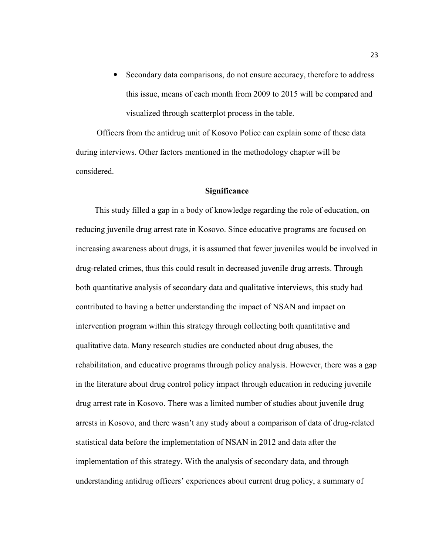Secondary data comparisons, do not ensure accuracy, therefore to address this issue, means of each month from 2009 to 2015 will be compared and visualized through scatterplot process in the table.

 Officers from the antidrug unit of Kosovo Police can explain some of these data during interviews. Other factors mentioned in the methodology chapter will be considered.

#### **Significance**

 This study filled a gap in a body of knowledge regarding the role of education, on reducing juvenile drug arrest rate in Kosovo. Since educative programs are focused on increasing awareness about drugs, it is assumed that fewer juveniles would be involved in drug-related crimes, thus this could result in decreased juvenile drug arrests. Through both quantitative analysis of secondary data and qualitative interviews, this study had contributed to having a better understanding the impact of NSAN and impact on intervention program within this strategy through collecting both quantitative and qualitative data. Many research studies are conducted about drug abuses, the rehabilitation, and educative programs through policy analysis. However, there was a gap in the literature about drug control policy impact through education in reducing juvenile drug arrest rate in Kosovo. There was a limited number of studies about juvenile drug arrests in Kosovo, and there wasn't any study about a comparison of data of drug-related statistical data before the implementation of NSAN in 2012 and data after the implementation of this strategy. With the analysis of secondary data, and through understanding antidrug officers' experiences about current drug policy, a summary of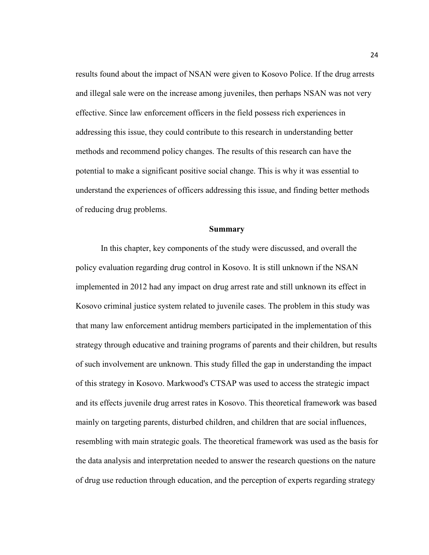results found about the impact of NSAN were given to Kosovo Police. If the drug arrests and illegal sale were on the increase among juveniles, then perhaps NSAN was not very effective. Since law enforcement officers in the field possess rich experiences in addressing this issue, they could contribute to this research in understanding better methods and recommend policy changes. The results of this research can have the potential to make a significant positive social change. This is why it was essential to understand the experiences of officers addressing this issue, and finding better methods of reducing drug problems.

#### **Summary**

In this chapter, key components of the study were discussed, and overall the policy evaluation regarding drug control in Kosovo. It is still unknown if the NSAN implemented in 2012 had any impact on drug arrest rate and still unknown its effect in Kosovo criminal justice system related to juvenile cases. The problem in this study was that many law enforcement antidrug members participated in the implementation of this strategy through educative and training programs of parents and their children, but results of such involvement are unknown. This study filled the gap in understanding the impact of this strategy in Kosovo. Markwood's CTSAP was used to access the strategic impact and its effects juvenile drug arrest rates in Kosovo. This theoretical framework was based mainly on targeting parents, disturbed children, and children that are social influences, resembling with main strategic goals. The theoretical framework was used as the basis for the data analysis and interpretation needed to answer the research questions on the nature of drug use reduction through education, and the perception of experts regarding strategy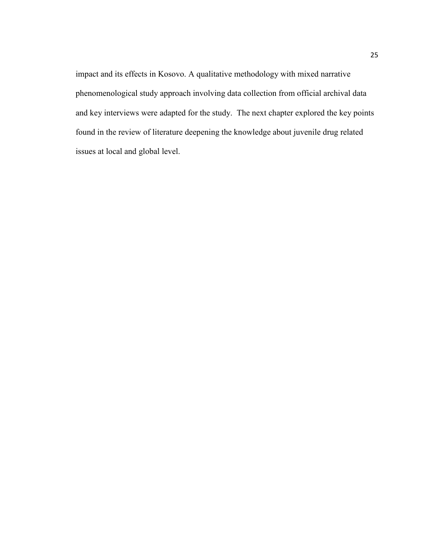impact and its effects in Kosovo. A qualitative methodology with mixed narrative phenomenological study approach involving data collection from official archival data and key interviews were adapted for the study. The next chapter explored the key points found in the review of literature deepening the knowledge about juvenile drug related issues at local and global level.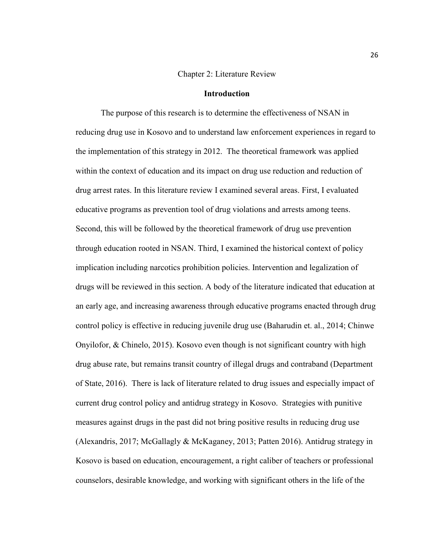#### Chapter 2: Literature Review

## **Introduction**

The purpose of this research is to determine the effectiveness of NSAN in reducing drug use in Kosovo and to understand law enforcement experiences in regard to the implementation of this strategy in 2012. The theoretical framework was applied within the context of education and its impact on drug use reduction and reduction of drug arrest rates. In this literature review I examined several areas. First, I evaluated educative programs as prevention tool of drug violations and arrests among teens. Second, this will be followed by the theoretical framework of drug use prevention through education rooted in NSAN. Third, I examined the historical context of policy implication including narcotics prohibition policies. Intervention and legalization of drugs will be reviewed in this section. A body of the literature indicated that education at an early age, and increasing awareness through educative programs enacted through drug control policy is effective in reducing juvenile drug use (Baharudin et. al., 2014; Chinwe Onyilofor, & Chinelo, 2015). Kosovo even though is not significant country with high drug abuse rate, but remains transit country of illegal drugs and contraband (Department of State, 2016). There is lack of literature related to drug issues and especially impact of current drug control policy and antidrug strategy in Kosovo. Strategies with punitive measures against drugs in the past did not bring positive results in reducing drug use (Alexandris, 2017; McGallagly & McKaganey, 2013; Patten 2016). Antidrug strategy in Kosovo is based on education, encouragement, a right caliber of teachers or professional counselors, desirable knowledge, and working with significant others in the life of the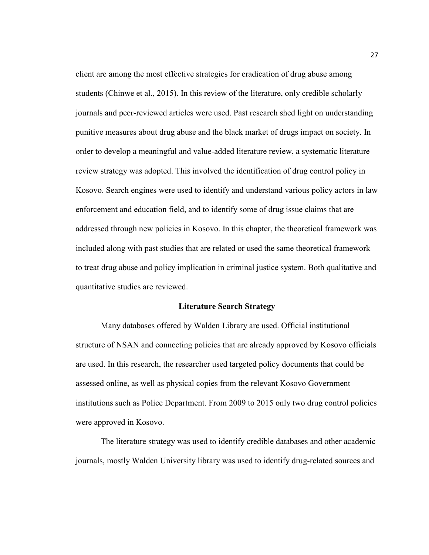client are among the most effective strategies for eradication of drug abuse among students (Chinwe et al., 2015). In this review of the literature, only credible scholarly journals and peer-reviewed articles were used. Past research shed light on understanding punitive measures about drug abuse and the black market of drugs impact on society. In order to develop a meaningful and value-added literature review, a systematic literature review strategy was adopted. This involved the identification of drug control policy in Kosovo. Search engines were used to identify and understand various policy actors in law enforcement and education field, and to identify some of drug issue claims that are addressed through new policies in Kosovo. In this chapter, the theoretical framework was included along with past studies that are related or used the same theoretical framework to treat drug abuse and policy implication in criminal justice system. Both qualitative and quantitative studies are reviewed.

### **Literature Search Strategy**

Many databases offered by Walden Library are used. Official institutional structure of NSAN and connecting policies that are already approved by Kosovo officials are used. In this research, the researcher used targeted policy documents that could be assessed online, as well as physical copies from the relevant Kosovo Government institutions such as Police Department. From 2009 to 2015 only two drug control policies were approved in Kosovo.

The literature strategy was used to identify credible databases and other academic journals, mostly Walden University library was used to identify drug-related sources and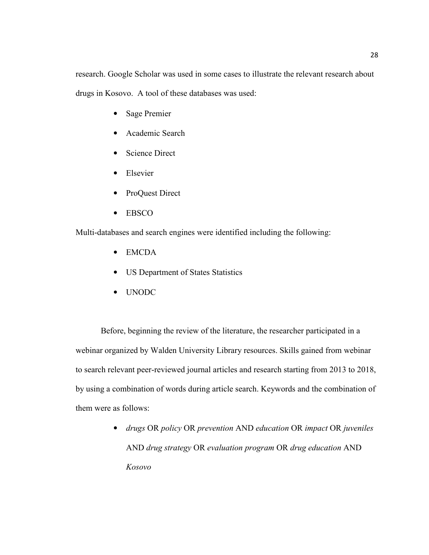research. Google Scholar was used in some cases to illustrate the relevant research about drugs in Kosovo. A tool of these databases was used:

- Sage Premier
- Academic Search
- Science Direct
- Elsevier
- ProQuest Direct
- EBSCO

Multi-databases and search engines were identified including the following:

- EMCDA
- US Department of States Statistics
- UNODC

Before, beginning the review of the literature, the researcher participated in a webinar organized by Walden University Library resources. Skills gained from webinar to search relevant peer-reviewed journal articles and research starting from 2013 to 2018, by using a combination of words during article search. Keywords and the combination of them were as follows:

> • *drugs* OR *policy* OR *prevention* AND *education* OR *impact* OR *juveniles*  AND *drug strategy* OR *evaluation program* OR *drug education* AND *Kosovo*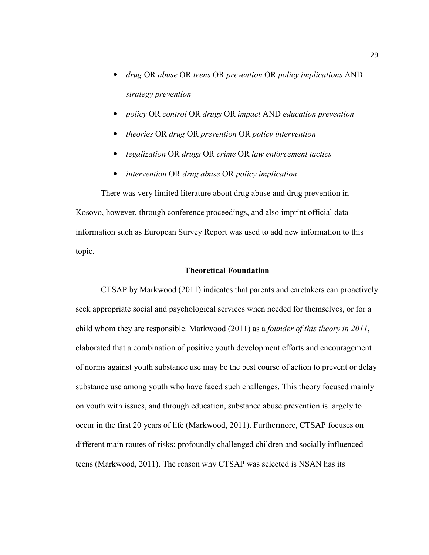- *drug* OR *abuse* OR *teens* OR *prevention* OR *policy implications* AND *strategy prevention*
- *policy* OR *control* OR *drugs* OR *impact* AND *education prevention*
- *theories* OR *drug* OR *prevention* OR *policy intervention*
- *legalization* OR *drugs* OR *crime* OR *law enforcement tactics*
- *intervention* OR *drug abuse* OR *policy implication*

There was very limited literature about drug abuse and drug prevention in Kosovo, however, through conference proceedings, and also imprint official data information such as European Survey Report was used to add new information to this topic.

## **Theoretical Foundation**

CTSAP by Markwood (2011) indicates that parents and caretakers can proactively seek appropriate social and psychological services when needed for themselves, or for a child whom they are responsible. Markwood (2011) as a *founder of this theory in 2011*, elaborated that a combination of positive youth development efforts and encouragement of norms against youth substance use may be the best course of action to prevent or delay substance use among youth who have faced such challenges. This theory focused mainly on youth with issues, and through education, substance abuse prevention is largely to occur in the first 20 years of life (Markwood, 2011). Furthermore, CTSAP focuses on different main routes of risks: profoundly challenged children and socially influenced teens (Markwood, 2011). The reason why CTSAP was selected is NSAN has its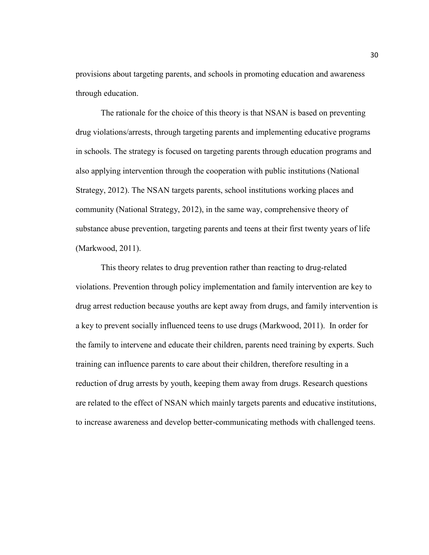provisions about targeting parents, and schools in promoting education and awareness through education.

The rationale for the choice of this theory is that NSAN is based on preventing drug violations/arrests, through targeting parents and implementing educative programs in schools. The strategy is focused on targeting parents through education programs and also applying intervention through the cooperation with public institutions (National Strategy, 2012). The NSAN targets parents, school institutions working places and community (National Strategy, 2012), in the same way, comprehensive theory of substance abuse prevention, targeting parents and teens at their first twenty years of life (Markwood, 2011).

This theory relates to drug prevention rather than reacting to drug-related violations. Prevention through policy implementation and family intervention are key to drug arrest reduction because youths are kept away from drugs, and family intervention is a key to prevent socially influenced teens to use drugs (Markwood, 2011). In order for the family to intervene and educate their children, parents need training by experts. Such training can influence parents to care about their children, therefore resulting in a reduction of drug arrests by youth, keeping them away from drugs. Research questions are related to the effect of NSAN which mainly targets parents and educative institutions, to increase awareness and develop better-communicating methods with challenged teens.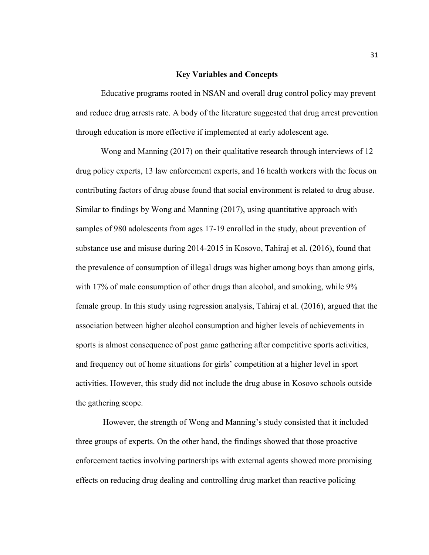#### **Key Variables and Concepts**

Educative programs rooted in NSAN and overall drug control policy may prevent and reduce drug arrests rate. A body of the literature suggested that drug arrest prevention through education is more effective if implemented at early adolescent age.

Wong and Manning (2017) on their qualitative research through interviews of 12 drug policy experts, 13 law enforcement experts, and 16 health workers with the focus on contributing factors of drug abuse found that social environment is related to drug abuse. Similar to findings by Wong and Manning (2017), using quantitative approach with samples of 980 adolescents from ages 17-19 enrolled in the study, about prevention of substance use and misuse during 2014-2015 in Kosovo, Tahiraj et al. (2016), found that the prevalence of consumption of illegal drugs was higher among boys than among girls, with 17% of male consumption of other drugs than alcohol, and smoking, while 9% female group. In this study using regression analysis, Tahiraj et al. (2016), argued that the association between higher alcohol consumption and higher levels of achievements in sports is almost consequence of post game gathering after competitive sports activities, and frequency out of home situations for girls' competition at a higher level in sport activities. However, this study did not include the drug abuse in Kosovo schools outside the gathering scope.

 However, the strength of Wong and Manning's study consisted that it included three groups of experts. On the other hand, the findings showed that those proactive enforcement tactics involving partnerships with external agents showed more promising effects on reducing drug dealing and controlling drug market than reactive policing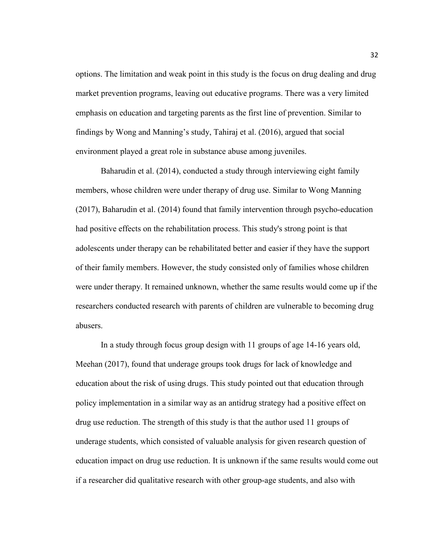options. The limitation and weak point in this study is the focus on drug dealing and drug market prevention programs, leaving out educative programs. There was a very limited emphasis on education and targeting parents as the first line of prevention. Similar to findings by Wong and Manning's study, Tahiraj et al. (2016), argued that social environment played a great role in substance abuse among juveniles.

Baharudin et al. (2014), conducted a study through interviewing eight family members, whose children were under therapy of drug use. Similar to Wong Manning (2017), Baharudin et al. (2014) found that family intervention through psycho-education had positive effects on the rehabilitation process. This study's strong point is that adolescents under therapy can be rehabilitated better and easier if they have the support of their family members. However, the study consisted only of families whose children were under therapy. It remained unknown, whether the same results would come up if the researchers conducted research with parents of children are vulnerable to becoming drug abusers.

In a study through focus group design with 11 groups of age 14-16 years old, Meehan (2017), found that underage groups took drugs for lack of knowledge and education about the risk of using drugs. This study pointed out that education through policy implementation in a similar way as an antidrug strategy had a positive effect on drug use reduction. The strength of this study is that the author used 11 groups of underage students, which consisted of valuable analysis for given research question of education impact on drug use reduction. It is unknown if the same results would come out if a researcher did qualitative research with other group-age students, and also with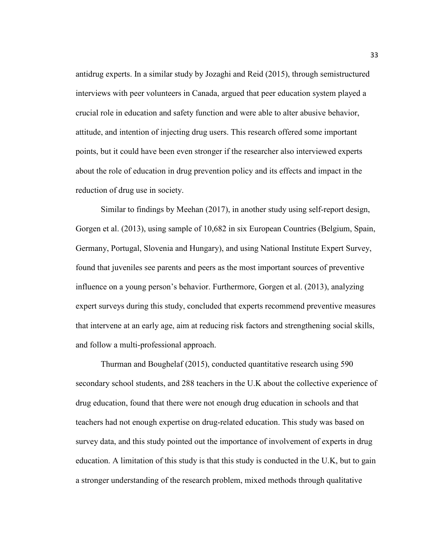antidrug experts. In a similar study by Jozaghi and Reid (2015), through semistructured interviews with peer volunteers in Canada, argued that peer education system played a crucial role in education and safety function and were able to alter abusive behavior, attitude, and intention of injecting drug users. This research offered some important points, but it could have been even stronger if the researcher also interviewed experts about the role of education in drug prevention policy and its effects and impact in the reduction of drug use in society.

Similar to findings by Meehan (2017), in another study using self-report design, Gorgen et al. (2013), using sample of 10,682 in six European Countries (Belgium, Spain, Germany, Portugal, Slovenia and Hungary), and using National Institute Expert Survey, found that juveniles see parents and peers as the most important sources of preventive influence on a young person's behavior. Furthermore, Gorgen et al. (2013), analyzing expert surveys during this study, concluded that experts recommend preventive measures that intervene at an early age, aim at reducing risk factors and strengthening social skills, and follow a multi-professional approach.

Thurman and Boughelaf (2015), conducted quantitative research using 590 secondary school students, and 288 teachers in the U.K about the collective experience of drug education, found that there were not enough drug education in schools and that teachers had not enough expertise on drug-related education. This study was based on survey data, and this study pointed out the importance of involvement of experts in drug education. A limitation of this study is that this study is conducted in the U.K, but to gain a stronger understanding of the research problem, mixed methods through qualitative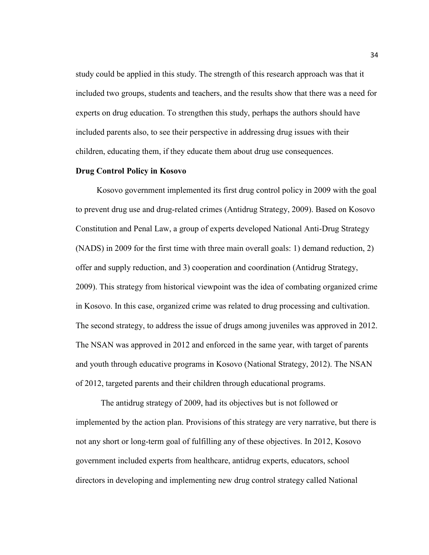study could be applied in this study. The strength of this research approach was that it included two groups, students and teachers, and the results show that there was a need for experts on drug education. To strengthen this study, perhaps the authors should have included parents also, to see their perspective in addressing drug issues with their children, educating them, if they educate them about drug use consequences.

## **Drug Control Policy in Kosovo**

Kosovo government implemented its first drug control policy in 2009 with the goal to prevent drug use and drug-related crimes (Antidrug Strategy, 2009). Based on Kosovo Constitution and Penal Law, a group of experts developed National Anti-Drug Strategy (NADS) in 2009 for the first time with three main overall goals: 1) demand reduction, 2) offer and supply reduction, and 3) cooperation and coordination (Antidrug Strategy, 2009). This strategy from historical viewpoint was the idea of combating organized crime in Kosovo. In this case, organized crime was related to drug processing and cultivation. The second strategy, to address the issue of drugs among juveniles was approved in 2012. The NSAN was approved in 2012 and enforced in the same year, with target of parents and youth through educative programs in Kosovo (National Strategy, 2012). The NSAN of 2012, targeted parents and their children through educational programs.

The antidrug strategy of 2009, had its objectives but is not followed or implemented by the action plan. Provisions of this strategy are very narrative, but there is not any short or long-term goal of fulfilling any of these objectives. In 2012, Kosovo government included experts from healthcare, antidrug experts, educators, school directors in developing and implementing new drug control strategy called National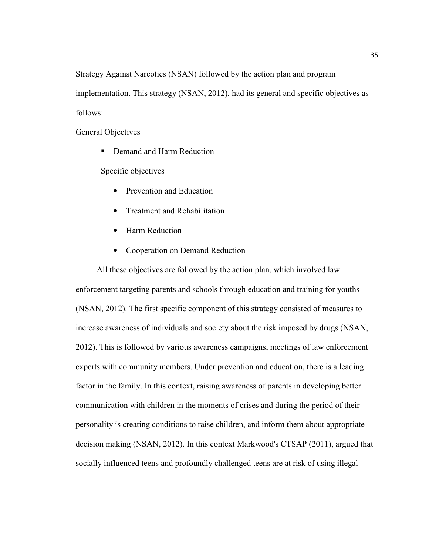Strategy Against Narcotics (NSAN) followed by the action plan and program implementation. This strategy (NSAN, 2012), had its general and specific objectives as follows:

General Objectives

Demand and Harm Reduction

Specific objectives

- Prevention and Education
- Treatment and Rehabilitation
- Harm Reduction
- Cooperation on Demand Reduction

 All these objectives are followed by the action plan, which involved law enforcement targeting parents and schools through education and training for youths (NSAN, 2012). The first specific component of this strategy consisted of measures to increase awareness of individuals and society about the risk imposed by drugs (NSAN, 2012). This is followed by various awareness campaigns, meetings of law enforcement experts with community members. Under prevention and education, there is a leading factor in the family. In this context, raising awareness of parents in developing better communication with children in the moments of crises and during the period of their personality is creating conditions to raise children, and inform them about appropriate decision making (NSAN, 2012). In this context Markwood's CTSAP (2011), argued that socially influenced teens and profoundly challenged teens are at risk of using illegal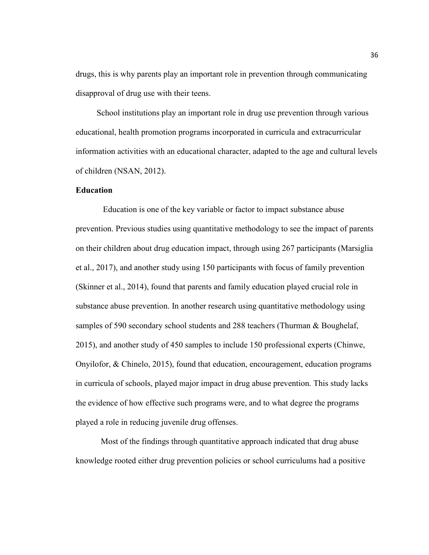drugs, this is why parents play an important role in prevention through communicating disapproval of drug use with their teens.

 School institutions play an important role in drug use prevention through various educational, health promotion programs incorporated in curricula and extracurricular information activities with an educational character, adapted to the age and cultural levels of children (NSAN, 2012).

### **Education**

 Education is one of the key variable or factor to impact substance abuse prevention. Previous studies using quantitative methodology to see the impact of parents on their children about drug education impact, through using 267 participants (Marsiglia et al., 2017), and another study using 150 participants with focus of family prevention (Skinner et al., 2014), found that parents and family education played crucial role in substance abuse prevention. In another research using quantitative methodology using samples of 590 secondary school students and 288 teachers (Thurman & Boughelaf, 2015), and another study of 450 samples to include 150 professional experts (Chinwe, Onyilofor, & Chinelo, 2015), found that education, encouragement, education programs in curricula of schools, played major impact in drug abuse prevention. This study lacks the evidence of how effective such programs were, and to what degree the programs played a role in reducing juvenile drug offenses.

Most of the findings through quantitative approach indicated that drug abuse knowledge rooted either drug prevention policies or school curriculums had a positive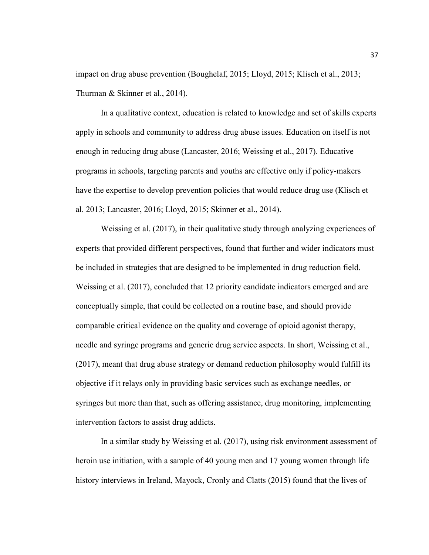impact on drug abuse prevention (Boughelaf, 2015; Lloyd, 2015; Klisch et al., 2013; Thurman & Skinner et al., 2014).

In a qualitative context, education is related to knowledge and set of skills experts apply in schools and community to address drug abuse issues. Education on itself is not enough in reducing drug abuse (Lancaster, 2016; Weissing et al., 2017). Educative programs in schools, targeting parents and youths are effective only if policy-makers have the expertise to develop prevention policies that would reduce drug use (Klisch et al. 2013; Lancaster, 2016; Lloyd, 2015; Skinner et al., 2014).

Weissing et al. (2017), in their qualitative study through analyzing experiences of experts that provided different perspectives, found that further and wider indicators must be included in strategies that are designed to be implemented in drug reduction field. Weissing et al. (2017), concluded that 12 priority candidate indicators emerged and are conceptually simple, that could be collected on a routine base, and should provide comparable critical evidence on the quality and coverage of opioid agonist therapy, needle and syringe programs and generic drug service aspects. In short, Weissing et al., (2017), meant that drug abuse strategy or demand reduction philosophy would fulfill its objective if it relays only in providing basic services such as exchange needles, or syringes but more than that, such as offering assistance, drug monitoring, implementing intervention factors to assist drug addicts.

In a similar study by Weissing et al. (2017), using risk environment assessment of heroin use initiation, with a sample of 40 young men and 17 young women through life history interviews in Ireland, Mayock, Cronly and Clatts (2015) found that the lives of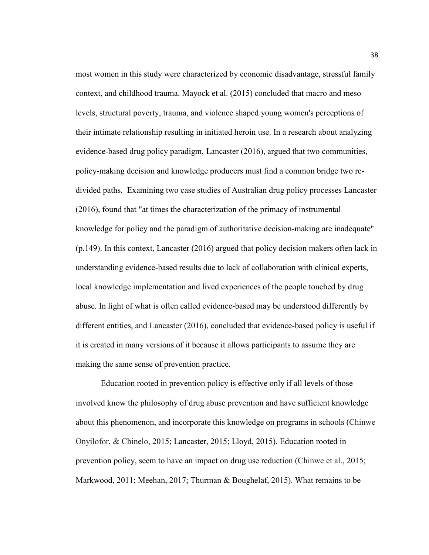most women in this study were characterized by economic disadvantage, stressful family context, and childhood trauma. Mayock et al. (2015) concluded that macro and meso levels, structural poverty, trauma, and violence shaped young women's perceptions of their intimate relationship resulting in initiated heroin use. In a research about analyzing evidence-based drug policy paradigm, Lancaster (2016), argued that two communities, policy-making decision and knowledge producers must find a common bridge two redivided paths. Examining two case studies of Australian drug policy processes Lancaster (2016), found that "at times the characterization of the primacy of instrumental knowledge for policy and the paradigm of authoritative decision-making are inadequate" (p.149). In this context, Lancaster (2016) argued that policy decision makers often lack in understanding evidence-based results due to lack of collaboration with clinical experts, local knowledge implementation and lived experiences of the people touched by drug abuse. In light of what is often called evidence-based may be understood differently by different entities, and Lancaster (2016), concluded that evidence-based policy is useful if it is created in many versions of it because it allows participants to assume they are making the same sense of prevention practice.

Education rooted in prevention policy is effective only if all levels of those involved know the philosophy of drug abuse prevention and have sufficient knowledge about this phenomenon, and incorporate this knowledge on programs in schools (Chinwe Onyilofor, & Chinelo, 2015; Lancaster, 2015; Lloyd, 2015). Education rooted in prevention policy, seem to have an impact on drug use reduction (Chinwe et al., 2015; Markwood, 2011; Meehan, 2017; Thurman & Boughelaf, 2015). What remains to be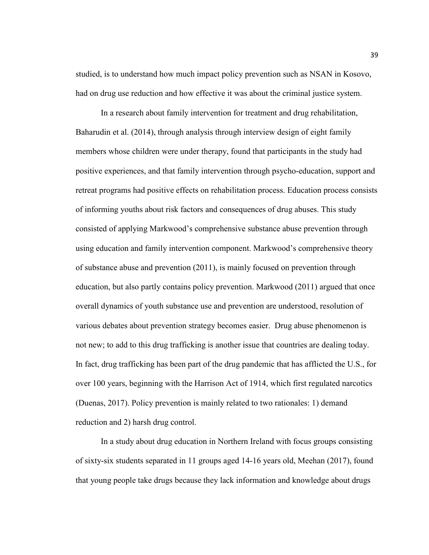studied, is to understand how much impact policy prevention such as NSAN in Kosovo, had on drug use reduction and how effective it was about the criminal justice system.

In a research about family intervention for treatment and drug rehabilitation, Baharudin et al. (2014), through analysis through interview design of eight family members whose children were under therapy, found that participants in the study had positive experiences, and that family intervention through psycho-education, support and retreat programs had positive effects on rehabilitation process. Education process consists of informing youths about risk factors and consequences of drug abuses. This study consisted of applying Markwood's comprehensive substance abuse prevention through using education and family intervention component. Markwood's comprehensive theory of substance abuse and prevention (2011), is mainly focused on prevention through education, but also partly contains policy prevention. Markwood (2011) argued that once overall dynamics of youth substance use and prevention are understood, resolution of various debates about prevention strategy becomes easier. Drug abuse phenomenon is not new; to add to this drug trafficking is another issue that countries are dealing today. In fact, drug trafficking has been part of the drug pandemic that has afflicted the U.S., for over 100 years, beginning with the Harrison Act of 1914, which first regulated narcotics (Duenas, 2017). Policy prevention is mainly related to two rationales: 1) demand reduction and 2) harsh drug control.

In a study about drug education in Northern Ireland with focus groups consisting of sixty-six students separated in 11 groups aged 14-16 years old, Meehan (2017), found that young people take drugs because they lack information and knowledge about drugs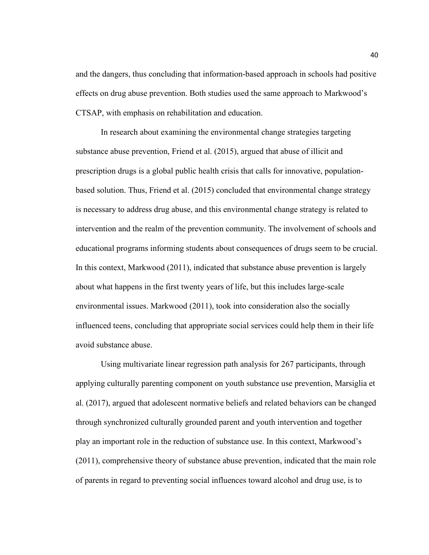and the dangers, thus concluding that information-based approach in schools had positive effects on drug abuse prevention. Both studies used the same approach to Markwood's CTSAP, with emphasis on rehabilitation and education.

In research about examining the environmental change strategies targeting substance abuse prevention, Friend et al. (2015), argued that abuse of illicit and prescription drugs is a global public health crisis that calls for innovative, populationbased solution. Thus, Friend et al. (2015) concluded that environmental change strategy is necessary to address drug abuse, and this environmental change strategy is related to intervention and the realm of the prevention community. The involvement of schools and educational programs informing students about consequences of drugs seem to be crucial. In this context, Markwood (2011), indicated that substance abuse prevention is largely about what happens in the first twenty years of life, but this includes large-scale environmental issues. Markwood (2011), took into consideration also the socially influenced teens, concluding that appropriate social services could help them in their life avoid substance abuse.

Using multivariate linear regression path analysis for 267 participants, through applying culturally parenting component on youth substance use prevention, Marsiglia et al. (2017), argued that adolescent normative beliefs and related behaviors can be changed through synchronized culturally grounded parent and youth intervention and together play an important role in the reduction of substance use. In this context, Markwood's (2011), comprehensive theory of substance abuse prevention, indicated that the main role of parents in regard to preventing social influences toward alcohol and drug use, is to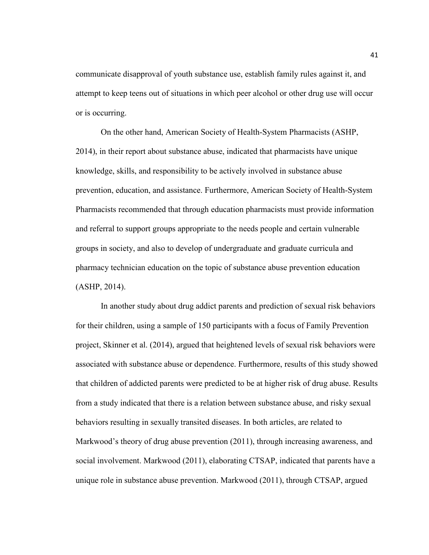communicate disapproval of youth substance use, establish family rules against it, and attempt to keep teens out of situations in which peer alcohol or other drug use will occur or is occurring.

On the other hand, American Society of Health-System Pharmacists (ASHP, 2014), in their report about substance abuse, indicated that pharmacists have unique knowledge, skills, and responsibility to be actively involved in substance abuse prevention, education, and assistance. Furthermore, American Society of Health-System Pharmacists recommended that through education pharmacists must provide information and referral to support groups appropriate to the needs people and certain vulnerable groups in society, and also to develop of undergraduate and graduate curricula and pharmacy technician education on the topic of substance abuse prevention education (ASHP, 2014).

In another study about drug addict parents and prediction of sexual risk behaviors for their children, using a sample of 150 participants with a focus of Family Prevention project, Skinner et al. (2014), argued that heightened levels of sexual risk behaviors were associated with substance abuse or dependence. Furthermore, results of this study showed that children of addicted parents were predicted to be at higher risk of drug abuse. Results from a study indicated that there is a relation between substance abuse, and risky sexual behaviors resulting in sexually transited diseases. In both articles, are related to Markwood's theory of drug abuse prevention (2011), through increasing awareness, and social involvement. Markwood (2011), elaborating CTSAP, indicated that parents have a unique role in substance abuse prevention. Markwood (2011), through CTSAP, argued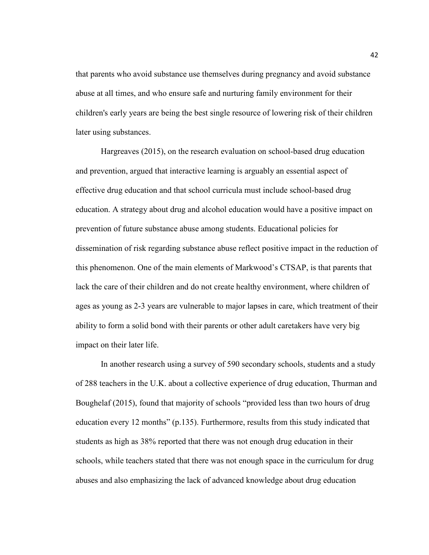that parents who avoid substance use themselves during pregnancy and avoid substance abuse at all times, and who ensure safe and nurturing family environment for their children's early years are being the best single resource of lowering risk of their children later using substances.

Hargreaves (2015), on the research evaluation on school-based drug education and prevention, argued that interactive learning is arguably an essential aspect of effective drug education and that school curricula must include school-based drug education. A strategy about drug and alcohol education would have a positive impact on prevention of future substance abuse among students. Educational policies for dissemination of risk regarding substance abuse reflect positive impact in the reduction of this phenomenon. One of the main elements of Markwood's CTSAP, is that parents that lack the care of their children and do not create healthy environment, where children of ages as young as 2-3 years are vulnerable to major lapses in care, which treatment of their ability to form a solid bond with their parents or other adult caretakers have very big impact on their later life.

In another research using a survey of 590 secondary schools, students and a study of 288 teachers in the U.K. about a collective experience of drug education, Thurman and Boughelaf (2015), found that majority of schools "provided less than two hours of drug education every 12 months" (p.135). Furthermore, results from this study indicated that students as high as 38% reported that there was not enough drug education in their schools, while teachers stated that there was not enough space in the curriculum for drug abuses and also emphasizing the lack of advanced knowledge about drug education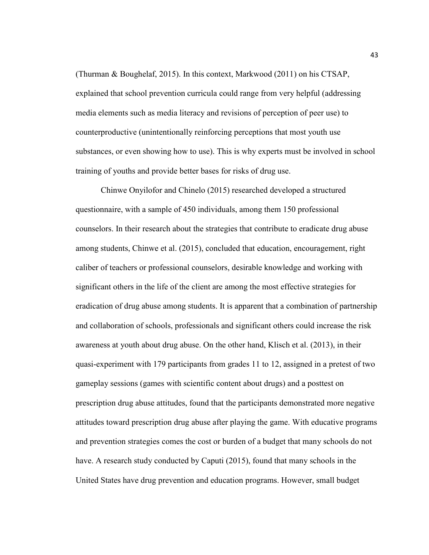(Thurman & Boughelaf, 2015). In this context, Markwood (2011) on his CTSAP, explained that school prevention curricula could range from very helpful (addressing media elements such as media literacy and revisions of perception of peer use) to counterproductive (unintentionally reinforcing perceptions that most youth use substances, or even showing how to use). This is why experts must be involved in school training of youths and provide better bases for risks of drug use.

Chinwe Onyilofor and Chinelo (2015) researched developed a structured questionnaire, with a sample of 450 individuals, among them 150 professional counselors. In their research about the strategies that contribute to eradicate drug abuse among students, Chinwe et al. (2015), concluded that education, encouragement, right caliber of teachers or professional counselors, desirable knowledge and working with significant others in the life of the client are among the most effective strategies for eradication of drug abuse among students. It is apparent that a combination of partnership and collaboration of schools, professionals and significant others could increase the risk awareness at youth about drug abuse. On the other hand, Klisch et al. (2013), in their quasi-experiment with 179 participants from grades 11 to 12, assigned in a pretest of two gameplay sessions (games with scientific content about drugs) and a posttest on prescription drug abuse attitudes, found that the participants demonstrated more negative attitudes toward prescription drug abuse after playing the game. With educative programs and prevention strategies comes the cost or burden of a budget that many schools do not have. A research study conducted by Caputi (2015), found that many schools in the United States have drug prevention and education programs. However, small budget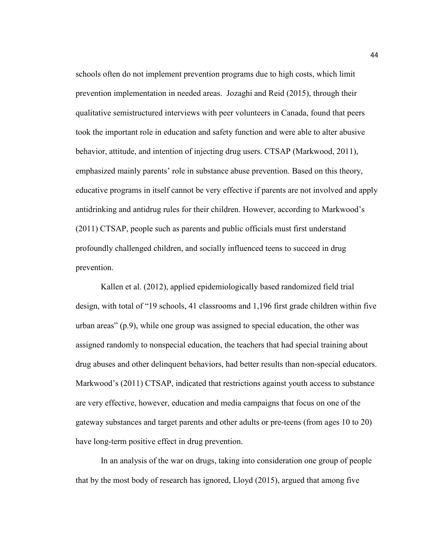schools often do not implement prevention programs due to high costs, which limit prevention implementation in needed areas. Jozaghi and Reid (2015), through their qualitative semistructured interviews with peer volunteers in Canada, found that peers took the important role in education and safety function and were able to alter abusive behavior, attitude, and intention of injecting drug users. CTSAP (Markwood, 2011), emphasized mainly parents' role in substance abuse prevention. Based on this theory, educative programs in itself cannot be very effective if parents are not involved and apply antidrinking and antidrug rules for their children. However, according to Markwood's (2011) CTSAP, people such as parents and public officials must first understand profoundly challenged children, and socially influenced teens to succeed in drug prevention.

Kallen et al. (2012), applied epidemiologically based randomized field trial design, with total of "19 schools, 41 classrooms and 1,196 first grade children within five urban areas" (p.9), while one group was assigned to special education, the other was assigned randomly to nonspecial education, the teachers that had special training about drug abuses and other delinquent behaviors, had better results than non-special educators. Markwood's (2011) CTSAP, indicated that restrictions against youth access to substance are very effective, however, education and media campaigns that focus on one of the gateway substances and target parents and other adults or pre-teens (from ages 10 to 20) have long-term positive effect in drug prevention.

In an analysis of the war on drugs, taking into consideration one group of people that by the most body of research has ignored, Lloyd (2015), argued that among five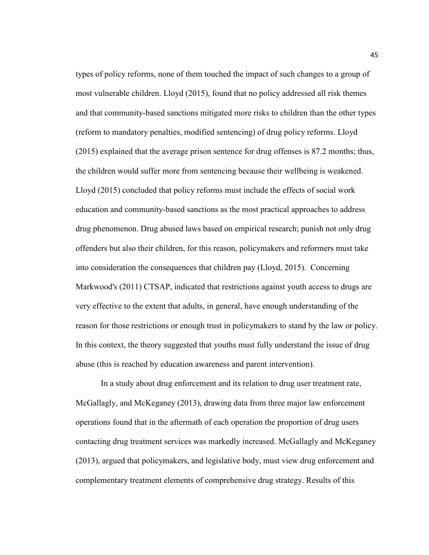types of policy reforms, none of them touched the impact of such changes to a group of most vulnerable children. Lloyd (2015), found that no policy addressed all risk themes and that community-based sanctions mitigated more risks to children than the other types (reform to mandatory penalties, modified sentencing) of drug policy reforms. Lloyd (2015) explained that the average prison sentence for drug offenses is 87.2 months; thus, the children would suffer more from sentencing because their wellbeing is weakened. Lloyd (2015) concluded that policy reforms must include the effects of social work education and community-based sanctions as the most practical approaches to address drug phenomenon. Drug abused laws based on empirical research; punish not only drug offenders but also their children, for this reason, policymakers and reformers must take into consideration the consequences that children pay (Lloyd, 2015). Concerning Markwood's (2011) CTSAP, indicated that restrictions against youth access to drugs are very effective to the extent that adults, in general, have enough understanding of the reason for those restrictions or enough trust in policymakers to stand by the law or policy. In this context, the theory suggested that youths must fully understand the issue of drug abuse (this is reached by education awareness and parent intervention).

In a study about drug enforcement and its relation to drug user treatment rate, McGallagly, and McKeganey (2013), drawing data from three major law enforcement operations found that in the aftermath of each operation the proportion of drug users contacting drug treatment services was markedly increased. McGallagly and McKeganey (2013), argued that policymakers, and legislative body, must view drug enforcement and complementary treatment elements of comprehensive drug strategy. Results of this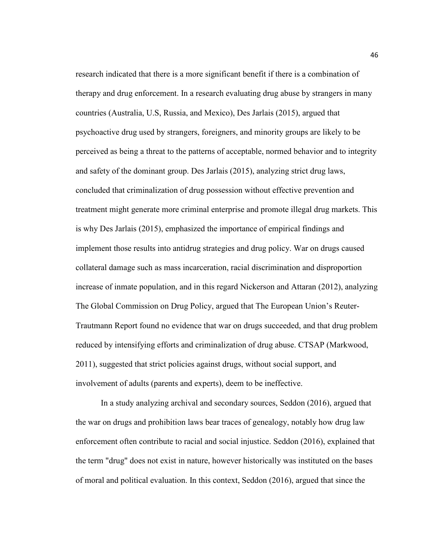research indicated that there is a more significant benefit if there is a combination of therapy and drug enforcement. In a research evaluating drug abuse by strangers in many countries (Australia, U.S, Russia, and Mexico), Des Jarlais (2015), argued that psychoactive drug used by strangers, foreigners, and minority groups are likely to be perceived as being a threat to the patterns of acceptable, normed behavior and to integrity and safety of the dominant group. Des Jarlais (2015), analyzing strict drug laws, concluded that criminalization of drug possession without effective prevention and treatment might generate more criminal enterprise and promote illegal drug markets. This is why Des Jarlais (2015), emphasized the importance of empirical findings and implement those results into antidrug strategies and drug policy. War on drugs caused collateral damage such as mass incarceration, racial discrimination and disproportion increase of inmate population, and in this regard Nickerson and Attaran (2012), analyzing The Global Commission on Drug Policy, argued that The European Union's Reuter-Trautmann Report found no evidence that war on drugs succeeded, and that drug problem reduced by intensifying efforts and criminalization of drug abuse. CTSAP (Markwood, 2011), suggested that strict policies against drugs, without social support, and involvement of adults (parents and experts), deem to be ineffective.

In a study analyzing archival and secondary sources, Seddon (2016), argued that the war on drugs and prohibition laws bear traces of genealogy, notably how drug law enforcement often contribute to racial and social injustice. Seddon (2016), explained that the term "drug" does not exist in nature, however historically was instituted on the bases of moral and political evaluation. In this context, Seddon (2016), argued that since the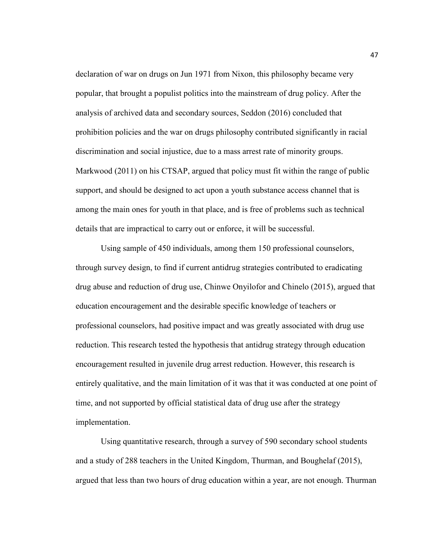declaration of war on drugs on Jun 1971 from Nixon, this philosophy became very popular, that brought a populist politics into the mainstream of drug policy. After the analysis of archived data and secondary sources, Seddon (2016) concluded that prohibition policies and the war on drugs philosophy contributed significantly in racial discrimination and social injustice, due to a mass arrest rate of minority groups. Markwood (2011) on his CTSAP, argued that policy must fit within the range of public support, and should be designed to act upon a youth substance access channel that is among the main ones for youth in that place, and is free of problems such as technical details that are impractical to carry out or enforce, it will be successful.

Using sample of 450 individuals, among them 150 professional counselors, through survey design, to find if current antidrug strategies contributed to eradicating drug abuse and reduction of drug use, Chinwe Onyilofor and Chinelo (2015), argued that education encouragement and the desirable specific knowledge of teachers or professional counselors, had positive impact and was greatly associated with drug use reduction. This research tested the hypothesis that antidrug strategy through education encouragement resulted in juvenile drug arrest reduction. However, this research is entirely qualitative, and the main limitation of it was that it was conducted at one point of time, and not supported by official statistical data of drug use after the strategy implementation.

Using quantitative research, through a survey of 590 secondary school students and a study of 288 teachers in the United Kingdom, Thurman, and Boughelaf (2015), argued that less than two hours of drug education within a year, are not enough. Thurman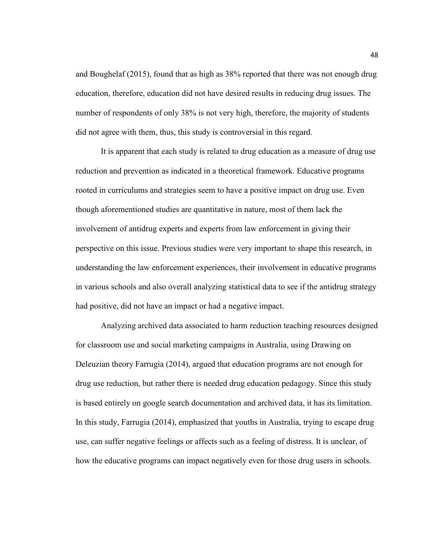and Boughelaf (2015), found that as high as 38% reported that there was not enough drug education, therefore, education did not have desired results in reducing drug issues. The number of respondents of only 38% is not very high, therefore, the majority of students did not agree with them, thus, this study is controversial in this regard.

It is apparent that each study is related to drug education as a measure of drug use reduction and prevention as indicated in a theoretical framework. Educative programs rooted in curriculums and strategies seem to have a positive impact on drug use. Even though aforementioned studies are quantitative in nature, most of them lack the involvement of antidrug experts and experts from law enforcement in giving their perspective on this issue. Previous studies were very important to shape this research, in understanding the law enforcement experiences, their involvement in educative programs in various schools and also overall analyzing statistical data to see if the antidrug strategy had positive, did not have an impact or had a negative impact.

Analyzing archived data associated to harm reduction teaching resources designed for classroom use and social marketing campaigns in Australia, using Drawing on Deleuzian theory Farrugia (2014), argued that education programs are not enough for drug use reduction, but rather there is needed drug education pedagogy. Since this study is based entirely on google search documentation and archived data, it has its limitation. In this study, Farrugia (2014), emphasized that youths in Australia, trying to escape drug use, can suffer negative feelings or affects such as a feeling of distress. It is unclear, of how the educative programs can impact negatively even for those drug users in schools.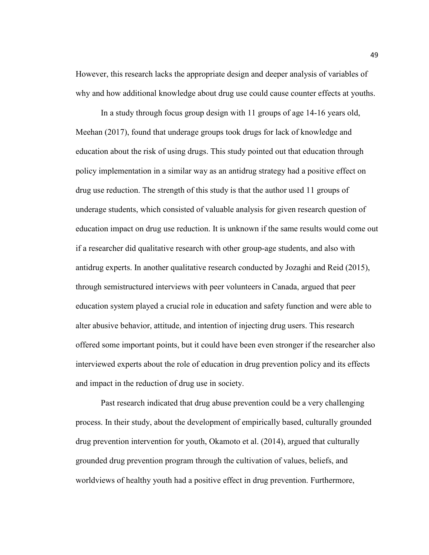However, this research lacks the appropriate design and deeper analysis of variables of why and how additional knowledge about drug use could cause counter effects at youths.

In a study through focus group design with 11 groups of age 14-16 years old, Meehan (2017), found that underage groups took drugs for lack of knowledge and education about the risk of using drugs. This study pointed out that education through policy implementation in a similar way as an antidrug strategy had a positive effect on drug use reduction. The strength of this study is that the author used 11 groups of underage students, which consisted of valuable analysis for given research question of education impact on drug use reduction. It is unknown if the same results would come out if a researcher did qualitative research with other group-age students, and also with antidrug experts. In another qualitative research conducted by Jozaghi and Reid (2015), through semistructured interviews with peer volunteers in Canada, argued that peer education system played a crucial role in education and safety function and were able to alter abusive behavior, attitude, and intention of injecting drug users. This research offered some important points, but it could have been even stronger if the researcher also interviewed experts about the role of education in drug prevention policy and its effects and impact in the reduction of drug use in society.

Past research indicated that drug abuse prevention could be a very challenging process. In their study, about the development of empirically based, culturally grounded drug prevention intervention for youth, Okamoto et al. (2014), argued that culturally grounded drug prevention program through the cultivation of values, beliefs, and worldviews of healthy youth had a positive effect in drug prevention. Furthermore,

49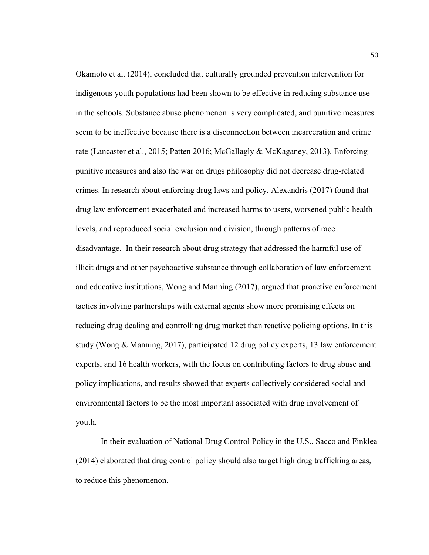Okamoto et al. (2014), concluded that culturally grounded prevention intervention for indigenous youth populations had been shown to be effective in reducing substance use in the schools. Substance abuse phenomenon is very complicated, and punitive measures seem to be ineffective because there is a disconnection between incarceration and crime rate (Lancaster et al., 2015; Patten 2016; McGallagly & McKaganey, 2013). Enforcing punitive measures and also the war on drugs philosophy did not decrease drug-related crimes. In research about enforcing drug laws and policy, Alexandris (2017) found that drug law enforcement exacerbated and increased harms to users, worsened public health levels, and reproduced social exclusion and division, through patterns of race disadvantage. In their research about drug strategy that addressed the harmful use of illicit drugs and other psychoactive substance through collaboration of law enforcement and educative institutions, Wong and Manning (2017), argued that proactive enforcement tactics involving partnerships with external agents show more promising effects on reducing drug dealing and controlling drug market than reactive policing options. In this study (Wong & Manning, 2017), participated 12 drug policy experts, 13 law enforcement experts, and 16 health workers, with the focus on contributing factors to drug abuse and policy implications, and results showed that experts collectively considered social and environmental factors to be the most important associated with drug involvement of youth.

In their evaluation of National Drug Control Policy in the U.S., Sacco and Finklea (2014) elaborated that drug control policy should also target high drug trafficking areas, to reduce this phenomenon.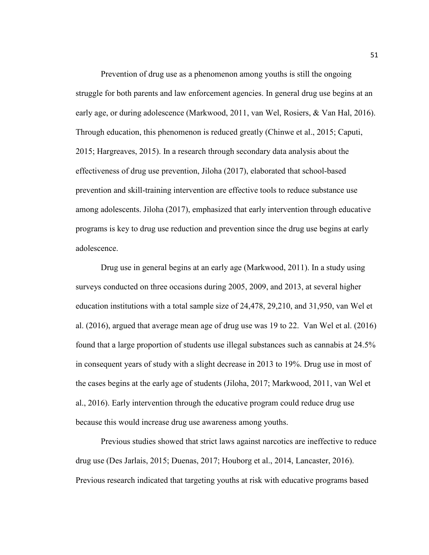Prevention of drug use as a phenomenon among youths is still the ongoing struggle for both parents and law enforcement agencies. In general drug use begins at an early age, or during adolescence (Markwood, 2011, van Wel, Rosiers, & Van Hal, 2016). Through education, this phenomenon is reduced greatly (Chinwe et al., 2015; Caputi, 2015; Hargreaves, 2015). In a research through secondary data analysis about the effectiveness of drug use prevention, Jiloha (2017), elaborated that school-based prevention and skill-training intervention are effective tools to reduce substance use among adolescents. Jiloha (2017), emphasized that early intervention through educative programs is key to drug use reduction and prevention since the drug use begins at early adolescence.

Drug use in general begins at an early age (Markwood, 2011). In a study using surveys conducted on three occasions during 2005, 2009, and 2013, at several higher education institutions with a total sample size of 24,478, 29,210, and 31,950, van Wel et al. (2016), argued that average mean age of drug use was 19 to 22. Van Wel et al. (2016) found that a large proportion of students use illegal substances such as cannabis at 24.5% in consequent years of study with a slight decrease in 2013 to 19%. Drug use in most of the cases begins at the early age of students (Jiloha, 2017; Markwood, 2011, van Wel et al., 2016). Early intervention through the educative program could reduce drug use because this would increase drug use awareness among youths.

Previous studies showed that strict laws against narcotics are ineffective to reduce drug use (Des Jarlais, 2015; Duenas, 2017; Houborg et al., 2014, Lancaster, 2016). Previous research indicated that targeting youths at risk with educative programs based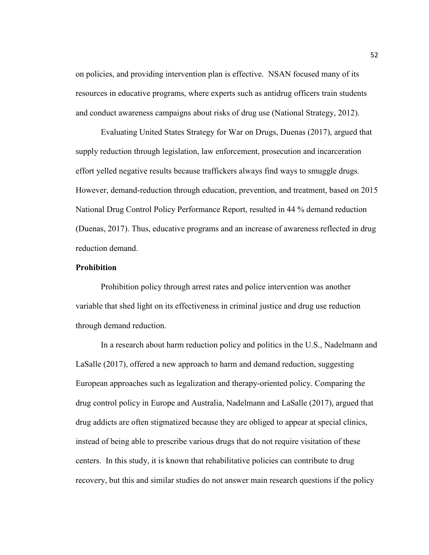on policies, and providing intervention plan is effective. NSAN focused many of its resources in educative programs, where experts such as antidrug officers train students and conduct awareness campaigns about risks of drug use (National Strategy, 2012).

Evaluating United States Strategy for War on Drugs, Duenas (2017), argued that supply reduction through legislation, law enforcement, prosecution and incarceration effort yelled negative results because traffickers always find ways to smuggle drugs. However, demand-reduction through education, prevention, and treatment, based on 2015 National Drug Control Policy Performance Report, resulted in 44 % demand reduction (Duenas, 2017). Thus, educative programs and an increase of awareness reflected in drug reduction demand.

# **Prohibition**

Prohibition policy through arrest rates and police intervention was another variable that shed light on its effectiveness in criminal justice and drug use reduction through demand reduction.

In a research about harm reduction policy and politics in the U.S., Nadelmann and LaSalle (2017), offered a new approach to harm and demand reduction, suggesting European approaches such as legalization and therapy-oriented policy. Comparing the drug control policy in Europe and Australia, Nadelmann and LaSalle (2017), argued that drug addicts are often stigmatized because they are obliged to appear at special clinics, instead of being able to prescribe various drugs that do not require visitation of these centers. In this study, it is known that rehabilitative policies can contribute to drug recovery, but this and similar studies do not answer main research questions if the policy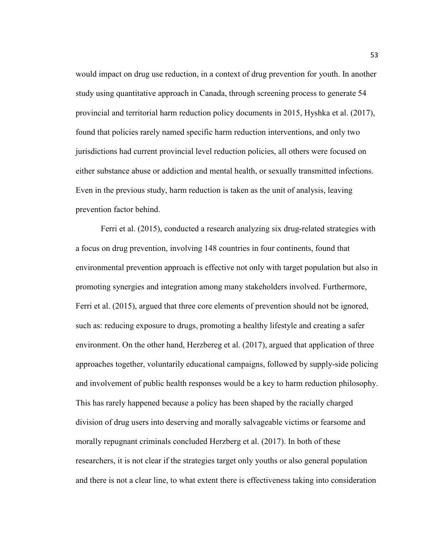would impact on drug use reduction, in a context of drug prevention for youth. In another study using quantitative approach in Canada, through screening process to generate 54 provincial and territorial harm reduction policy documents in 2015, Hyshka et al. (2017), found that policies rarely named specific harm reduction interventions, and only two jurisdictions had current provincial level reduction policies, all others were focused on either substance abuse or addiction and mental health, or sexually transmitted infections. Even in the previous study, harm reduction is taken as the unit of analysis, leaving prevention factor behind.

Ferri et al. (2015), conducted a research analyzing six drug-related strategies with a focus on drug prevention, involving 148 countries in four continents, found that environmental prevention approach is effective not only with target population but also in promoting synergies and integration among many stakeholders involved. Furthermore, Ferri et al. (2015), argued that three core elements of prevention should not be ignored, such as: reducing exposure to drugs, promoting a healthy lifestyle and creating a safer environment. On the other hand, Herzbereg et al. (2017), argued that application of three approaches together, voluntarily educational campaigns, followed by supply-side policing and involvement of public health responses would be a key to harm reduction philosophy. This has rarely happened because a policy has been shaped by the racially charged division of drug users into deserving and morally salvageable victims or fearsome and morally repugnant criminals concluded Herzberg et al. (2017). In both of these researchers, it is not clear if the strategies target only youths or also general population and there is not a clear line, to what extent there is effectiveness taking into consideration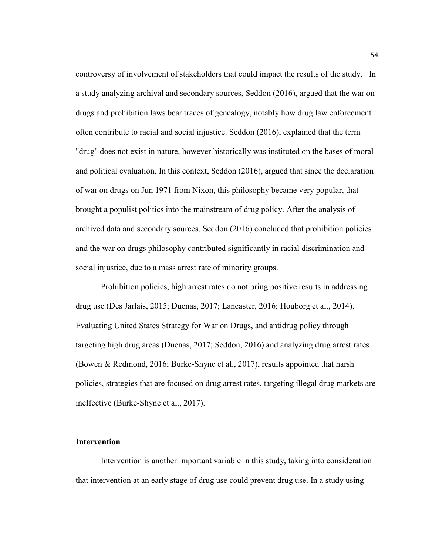controversy of involvement of stakeholders that could impact the results of the study. In a study analyzing archival and secondary sources, Seddon (2016), argued that the war on drugs and prohibition laws bear traces of genealogy, notably how drug law enforcement often contribute to racial and social injustice. Seddon (2016), explained that the term "drug" does not exist in nature, however historically was instituted on the bases of moral and political evaluation. In this context, Seddon (2016), argued that since the declaration of war on drugs on Jun 1971 from Nixon, this philosophy became very popular, that brought a populist politics into the mainstream of drug policy. After the analysis of archived data and secondary sources, Seddon (2016) concluded that prohibition policies and the war on drugs philosophy contributed significantly in racial discrimination and social injustice, due to a mass arrest rate of minority groups.

Prohibition policies, high arrest rates do not bring positive results in addressing drug use (Des Jarlais, 2015; Duenas, 2017; Lancaster, 2016; Houborg et al., 2014). Evaluating United States Strategy for War on Drugs, and antidrug policy through targeting high drug areas (Duenas, 2017; Seddon, 2016) and analyzing drug arrest rates (Bowen & Redmond, 2016; Burke-Shyne et al., 2017), results appointed that harsh policies, strategies that are focused on drug arrest rates, targeting illegal drug markets are ineffective (Burke-Shyne et al., 2017).

### **Intervention**

Intervention is another important variable in this study, taking into consideration that intervention at an early stage of drug use could prevent drug use. In a study using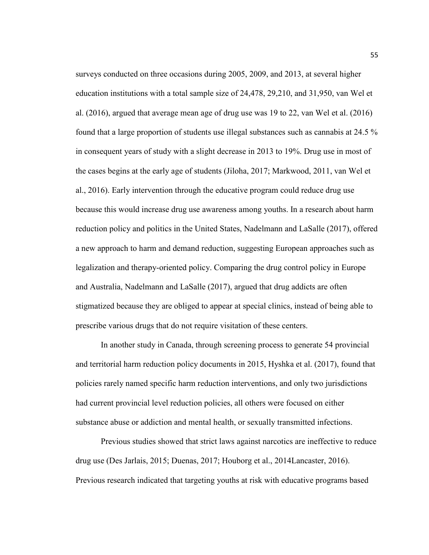surveys conducted on three occasions during 2005, 2009, and 2013, at several higher education institutions with a total sample size of 24,478, 29,210, and 31,950, van Wel et al. (2016), argued that average mean age of drug use was 19 to 22, van Wel et al. (2016) found that a large proportion of students use illegal substances such as cannabis at 24.5 % in consequent years of study with a slight decrease in 2013 to 19%. Drug use in most of the cases begins at the early age of students (Jiloha, 2017; Markwood, 2011, van Wel et al., 2016). Early intervention through the educative program could reduce drug use because this would increase drug use awareness among youths. In a research about harm reduction policy and politics in the United States, Nadelmann and LaSalle (2017), offered a new approach to harm and demand reduction, suggesting European approaches such as legalization and therapy-oriented policy. Comparing the drug control policy in Europe and Australia, Nadelmann and LaSalle (2017), argued that drug addicts are often stigmatized because they are obliged to appear at special clinics, instead of being able to prescribe various drugs that do not require visitation of these centers.

In another study in Canada, through screening process to generate 54 provincial and territorial harm reduction policy documents in 2015, Hyshka et al. (2017), found that policies rarely named specific harm reduction interventions, and only two jurisdictions had current provincial level reduction policies, all others were focused on either substance abuse or addiction and mental health, or sexually transmitted infections.

Previous studies showed that strict laws against narcotics are ineffective to reduce drug use (Des Jarlais, 2015; Duenas, 2017; Houborg et al., 2014Lancaster, 2016). Previous research indicated that targeting youths at risk with educative programs based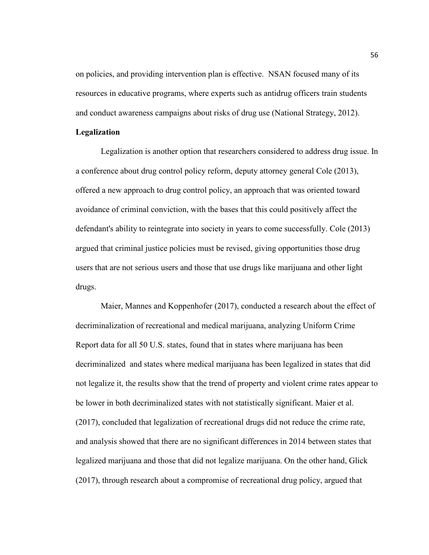on policies, and providing intervention plan is effective. NSAN focused many of its resources in educative programs, where experts such as antidrug officers train students and conduct awareness campaigns about risks of drug use (National Strategy, 2012).

## **Legalization**

Legalization is another option that researchers considered to address drug issue. In a conference about drug control policy reform, deputy attorney general Cole (2013), offered a new approach to drug control policy, an approach that was oriented toward avoidance of criminal conviction, with the bases that this could positively affect the defendant's ability to reintegrate into society in years to come successfully. Cole (2013) argued that criminal justice policies must be revised, giving opportunities those drug users that are not serious users and those that use drugs like marijuana and other light drugs.

Maier, Mannes and Koppenhofer (2017), conducted a research about the effect of decriminalization of recreational and medical marijuana, analyzing Uniform Crime Report data for all 50 U.S. states, found that in states where marijuana has been decriminalized and states where medical marijuana has been legalized in states that did not legalize it, the results show that the trend of property and violent crime rates appear to be lower in both decriminalized states with not statistically significant. Maier et al. (2017), concluded that legalization of recreational drugs did not reduce the crime rate, and analysis showed that there are no significant differences in 2014 between states that legalized marijuana and those that did not legalize marijuana. On the other hand, Glick (2017), through research about a compromise of recreational drug policy, argued that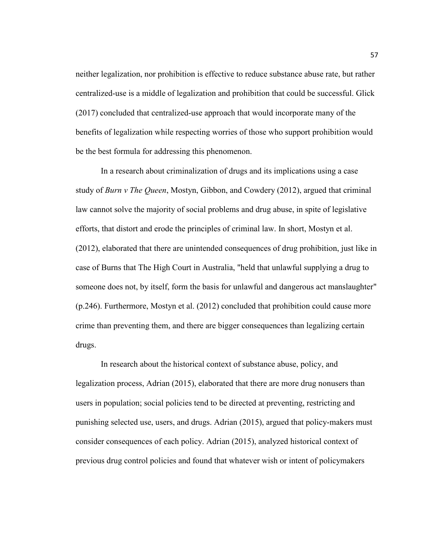neither legalization, nor prohibition is effective to reduce substance abuse rate, but rather centralized-use is a middle of legalization and prohibition that could be successful. Glick (2017) concluded that centralized-use approach that would incorporate many of the benefits of legalization while respecting worries of those who support prohibition would be the best formula for addressing this phenomenon.

In a research about criminalization of drugs and its implications using a case study of *Burn v The Queen*, Mostyn, Gibbon, and Cowdery (2012), argued that criminal law cannot solve the majority of social problems and drug abuse, in spite of legislative efforts, that distort and erode the principles of criminal law. In short, Mostyn et al. (2012), elaborated that there are unintended consequences of drug prohibition, just like in case of Burns that The High Court in Australia, "held that unlawful supplying a drug to someone does not, by itself, form the basis for unlawful and dangerous act manslaughter" (p.246). Furthermore, Mostyn et al. (2012) concluded that prohibition could cause more crime than preventing them, and there are bigger consequences than legalizing certain drugs.

In research about the historical context of substance abuse, policy, and legalization process, Adrian (2015), elaborated that there are more drug nonusers than users in population; social policies tend to be directed at preventing, restricting and punishing selected use, users, and drugs. Adrian (2015), argued that policy-makers must consider consequences of each policy. Adrian (2015), analyzed historical context of previous drug control policies and found that whatever wish or intent of policymakers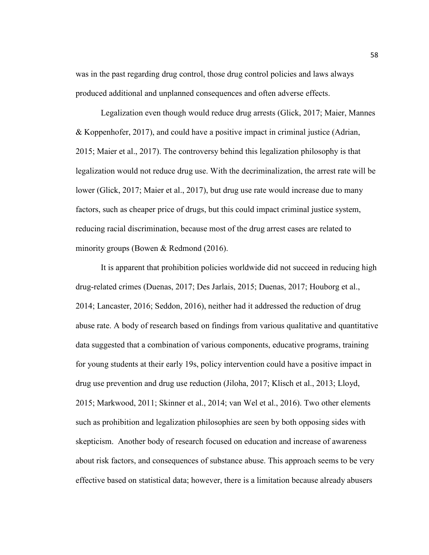was in the past regarding drug control, those drug control policies and laws always produced additional and unplanned consequences and often adverse effects.

Legalization even though would reduce drug arrests (Glick, 2017; Maier, Mannes & Koppenhofer, 2017), and could have a positive impact in criminal justice (Adrian, 2015; Maier et al., 2017). The controversy behind this legalization philosophy is that legalization would not reduce drug use. With the decriminalization, the arrest rate will be lower (Glick, 2017; Maier et al., 2017), but drug use rate would increase due to many factors, such as cheaper price of drugs, but this could impact criminal justice system, reducing racial discrimination, because most of the drug arrest cases are related to minority groups (Bowen & Redmond (2016).

It is apparent that prohibition policies worldwide did not succeed in reducing high drug-related crimes (Duenas, 2017; Des Jarlais, 2015; Duenas, 2017; Houborg et al., 2014; Lancaster, 2016; Seddon, 2016), neither had it addressed the reduction of drug abuse rate. A body of research based on findings from various qualitative and quantitative data suggested that a combination of various components, educative programs, training for young students at their early 19s, policy intervention could have a positive impact in drug use prevention and drug use reduction (Jiloha, 2017; Klisch et al., 2013; Lloyd, 2015; Markwood, 2011; Skinner et al., 2014; van Wel et al., 2016). Two other elements such as prohibition and legalization philosophies are seen by both opposing sides with skepticism. Another body of research focused on education and increase of awareness about risk factors, and consequences of substance abuse. This approach seems to be very effective based on statistical data; however, there is a limitation because already abusers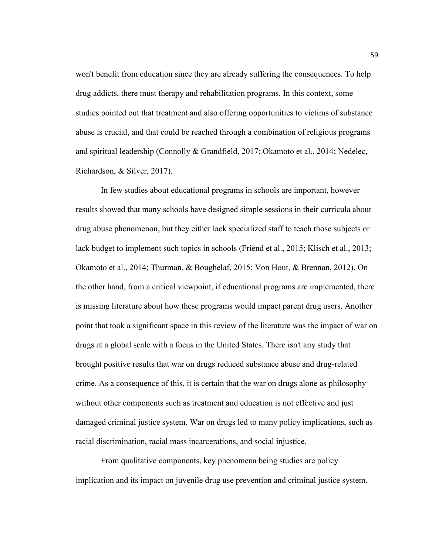won't benefit from education since they are already suffering the consequences. To help drug addicts, there must therapy and rehabilitation programs. In this context, some studies pointed out that treatment and also offering opportunities to victims of substance abuse is crucial, and that could be reached through a combination of religious programs and spiritual leadership (Connolly & Grandfield, 2017; Okamoto et al., 2014; Nedelec, Richardson, & Silver, 2017).

In few studies about educational programs in schools are important, however results showed that many schools have designed simple sessions in their curricula about drug abuse phenomenon, but they either lack specialized staff to teach those subjects or lack budget to implement such topics in schools (Friend et al., 2015; Klisch et al., 2013; Okamoto et al., 2014; Thurman, & Boughelaf, 2015; Von Hout, & Brennan, 2012). On the other hand, from a critical viewpoint, if educational programs are implemented, there is missing literature about how these programs would impact parent drug users. Another point that took a significant space in this review of the literature was the impact of war on drugs at a global scale with a focus in the United States. There isn't any study that brought positive results that war on drugs reduced substance abuse and drug-related crime. As a consequence of this, it is certain that the war on drugs alone as philosophy without other components such as treatment and education is not effective and just damaged criminal justice system. War on drugs led to many policy implications, such as racial discrimination, racial mass incarcerations, and social injustice.

From qualitative components, key phenomena being studies are policy implication and its impact on juvenile drug use prevention and criminal justice system.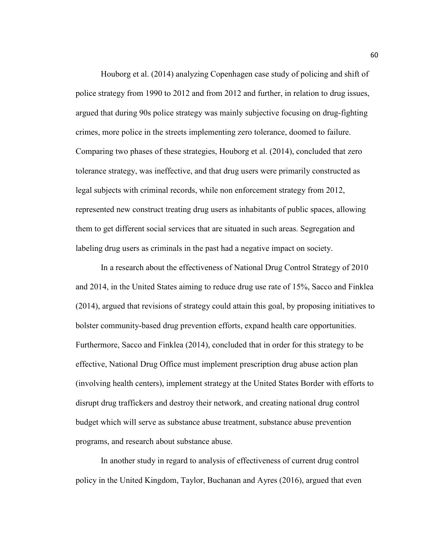Houborg et al. (2014) analyzing Copenhagen case study of policing and shift of police strategy from 1990 to 2012 and from 2012 and further, in relation to drug issues, argued that during 90s police strategy was mainly subjective focusing on drug-fighting crimes, more police in the streets implementing zero tolerance, doomed to failure. Comparing two phases of these strategies, Houborg et al. (2014), concluded that zero tolerance strategy, was ineffective, and that drug users were primarily constructed as legal subjects with criminal records, while non enforcement strategy from 2012, represented new construct treating drug users as inhabitants of public spaces, allowing them to get different social services that are situated in such areas. Segregation and labeling drug users as criminals in the past had a negative impact on society.

In a research about the effectiveness of National Drug Control Strategy of 2010 and 2014, in the United States aiming to reduce drug use rate of 15%, Sacco and Finklea (2014), argued that revisions of strategy could attain this goal, by proposing initiatives to bolster community-based drug prevention efforts, expand health care opportunities. Furthermore, Sacco and Finklea (2014), concluded that in order for this strategy to be effective, National Drug Office must implement prescription drug abuse action plan (involving health centers), implement strategy at the United States Border with efforts to disrupt drug traffickers and destroy their network, and creating national drug control budget which will serve as substance abuse treatment, substance abuse prevention programs, and research about substance abuse.

In another study in regard to analysis of effectiveness of current drug control policy in the United Kingdom, Taylor, Buchanan and Ayres (2016), argued that even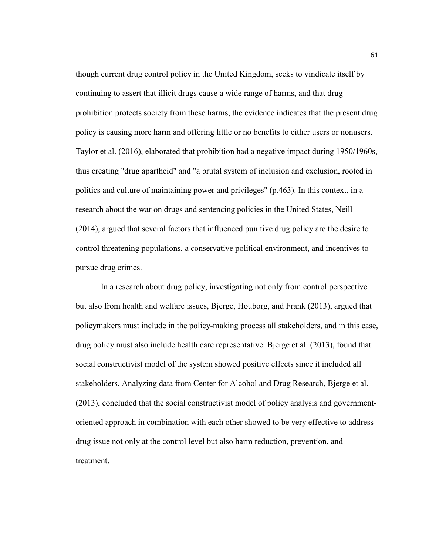though current drug control policy in the United Kingdom, seeks to vindicate itself by continuing to assert that illicit drugs cause a wide range of harms, and that drug prohibition protects society from these harms, the evidence indicates that the present drug policy is causing more harm and offering little or no benefits to either users or nonusers. Taylor et al. (2016), elaborated that prohibition had a negative impact during 1950/1960s, thus creating "drug apartheid" and "a brutal system of inclusion and exclusion, rooted in politics and culture of maintaining power and privileges" (p.463). In this context, in a research about the war on drugs and sentencing policies in the United States, Neill (2014), argued that several factors that influenced punitive drug policy are the desire to control threatening populations, a conservative political environment, and incentives to pursue drug crimes.

In a research about drug policy, investigating not only from control perspective but also from health and welfare issues, Bjerge, Houborg, and Frank (2013), argued that policymakers must include in the policy-making process all stakeholders, and in this case, drug policy must also include health care representative. Bjerge et al. (2013), found that social constructivist model of the system showed positive effects since it included all stakeholders. Analyzing data from Center for Alcohol and Drug Research, Bjerge et al. (2013), concluded that the social constructivist model of policy analysis and governmentoriented approach in combination with each other showed to be very effective to address drug issue not only at the control level but also harm reduction, prevention, and treatment.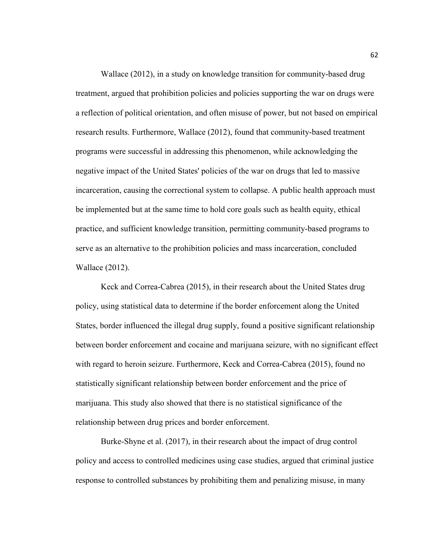Wallace (2012), in a study on knowledge transition for community-based drug treatment, argued that prohibition policies and policies supporting the war on drugs were a reflection of political orientation, and often misuse of power, but not based on empirical research results. Furthermore, Wallace (2012), found that community-based treatment programs were successful in addressing this phenomenon, while acknowledging the negative impact of the United States' policies of the war on drugs that led to massive incarceration, causing the correctional system to collapse. A public health approach must be implemented but at the same time to hold core goals such as health equity, ethical practice, and sufficient knowledge transition, permitting community-based programs to serve as an alternative to the prohibition policies and mass incarceration, concluded Wallace (2012).

Keck and Correa-Cabrea (2015), in their research about the United States drug policy, using statistical data to determine if the border enforcement along the United States, border influenced the illegal drug supply, found a positive significant relationship between border enforcement and cocaine and marijuana seizure, with no significant effect with regard to heroin seizure. Furthermore, Keck and Correa-Cabrea (2015), found no statistically significant relationship between border enforcement and the price of marijuana. This study also showed that there is no statistical significance of the relationship between drug prices and border enforcement.

Burke-Shyne et al. (2017), in their research about the impact of drug control policy and access to controlled medicines using case studies, argued that criminal justice response to controlled substances by prohibiting them and penalizing misuse, in many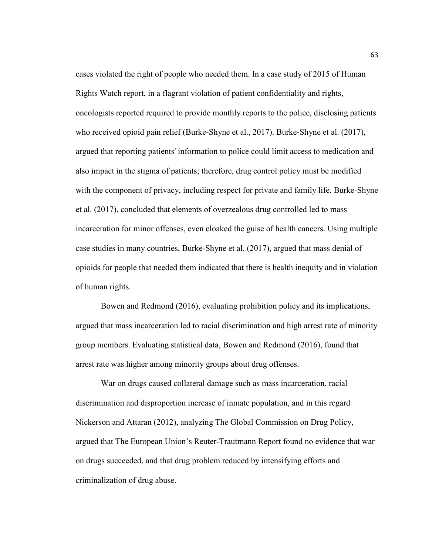cases violated the right of people who needed them. In a case study of 2015 of Human Rights Watch report, in a flagrant violation of patient confidentiality and rights, oncologists reported required to provide monthly reports to the police, disclosing patients who received opioid pain relief (Burke-Shyne et al., 2017). Burke-Shyne et al. (2017), argued that reporting patients' information to police could limit access to medication and also impact in the stigma of patients; therefore, drug control policy must be modified with the component of privacy, including respect for private and family life. Burke-Shyne et al. (2017), concluded that elements of overzealous drug controlled led to mass incarceration for minor offenses, even cloaked the guise of health cancers. Using multiple case studies in many countries, Burke-Shyne et al. (2017), argued that mass denial of opioids for people that needed them indicated that there is health inequity and in violation of human rights.

Bowen and Redmond (2016), evaluating prohibition policy and its implications, argued that mass incarceration led to racial discrimination and high arrest rate of minority group members. Evaluating statistical data, Bowen and Redmond (2016), found that arrest rate was higher among minority groups about drug offenses.

War on drugs caused collateral damage such as mass incarceration, racial discrimination and disproportion increase of inmate population, and in this regard Nickerson and Attaran (2012), analyzing The Global Commission on Drug Policy, argued that The European Union's Reuter-Trautmann Report found no evidence that war on drugs succeeded, and that drug problem reduced by intensifying efforts and criminalization of drug abuse.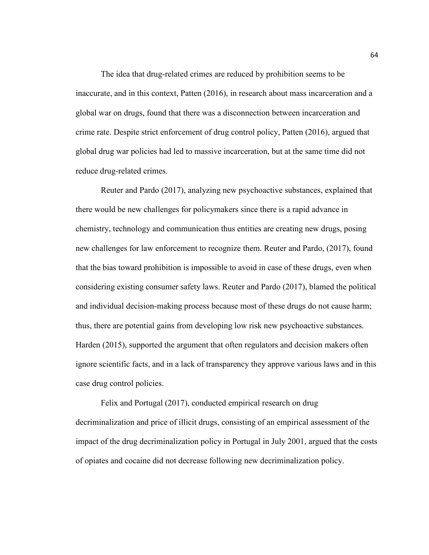The idea that drug-related crimes are reduced by prohibition seems to be inaccurate, and in this context, Patten (2016), in research about mass incarceration and a global war on drugs, found that there was a disconnection between incarceration and crime rate. Despite strict enforcement of drug control policy, Patten (2016), argued that global drug war policies had led to massive incarceration, but at the same time did not reduce drug-related crimes.

Reuter and Pardo (2017), analyzing new psychoactive substances, explained that there would be new challenges for policymakers since there is a rapid advance in chemistry, technology and communication thus entities are creating new drugs, posing new challenges for law enforcement to recognize them. Reuter and Pardo, (2017), found that the bias toward prohibition is impossible to avoid in case of these drugs, even when considering existing consumer safety laws. Reuter and Pardo (2017), blamed the political and individual decision-making process because most of these drugs do not cause harm; thus, there are potential gains from developing low risk new psychoactive substances. Harden (2015), supported the argument that often regulators and decision makers often ignore scientific facts, and in a lack of transparency they approve various laws and in this case drug control policies.

Felix and Portugal (2017), conducted empirical research on drug decriminalization and price of illicit drugs, consisting of an empirical assessment of the impact of the drug decriminalization policy in Portugal in July 2001, argued that the costs of opiates and cocaine did not decrease following new decriminalization policy.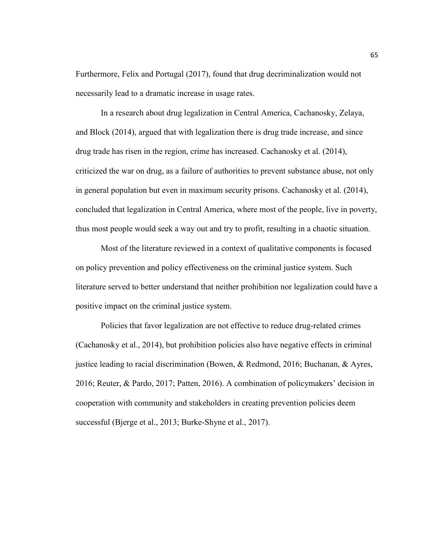Furthermore, Felix and Portugal (2017), found that drug decriminalization would not necessarily lead to a dramatic increase in usage rates.

In a research about drug legalization in Central America, Cachanosky, Zelaya, and Block (2014), argued that with legalization there is drug trade increase, and since drug trade has risen in the region, crime has increased. Cachanosky et al. (2014), criticized the war on drug, as a failure of authorities to prevent substance abuse, not only in general population but even in maximum security prisons. Cachanosky et al. (2014), concluded that legalization in Central America, where most of the people, live in poverty, thus most people would seek a way out and try to profit, resulting in a chaotic situation.

Most of the literature reviewed in a context of qualitative components is focused on policy prevention and policy effectiveness on the criminal justice system. Such literature served to better understand that neither prohibition nor legalization could have a positive impact on the criminal justice system.

Policies that favor legalization are not effective to reduce drug-related crimes (Cachanosky et al., 2014), but prohibition policies also have negative effects in criminal justice leading to racial discrimination (Bowen, & Redmond, 2016; Buchanan, & Ayres, 2016; Reuter, & Pardo, 2017; Patten, 2016). A combination of policymakers' decision in cooperation with community and stakeholders in creating prevention policies deem successful (Bjerge et al., 2013; Burke-Shyne et al., 2017).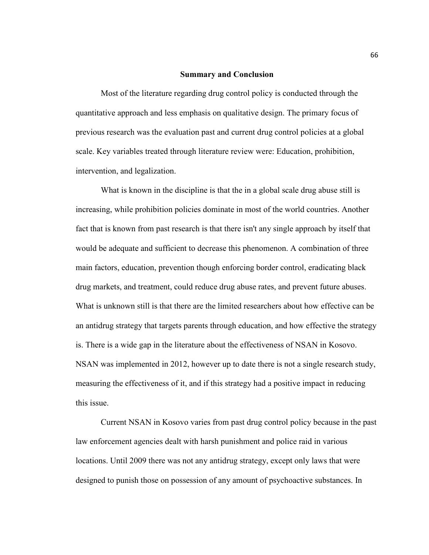## **Summary and Conclusion**

Most of the literature regarding drug control policy is conducted through the quantitative approach and less emphasis on qualitative design. The primary focus of previous research was the evaluation past and current drug control policies at a global scale. Key variables treated through literature review were: Education, prohibition, intervention, and legalization.

What is known in the discipline is that the in a global scale drug abuse still is increasing, while prohibition policies dominate in most of the world countries. Another fact that is known from past research is that there isn't any single approach by itself that would be adequate and sufficient to decrease this phenomenon. A combination of three main factors, education, prevention though enforcing border control, eradicating black drug markets, and treatment, could reduce drug abuse rates, and prevent future abuses. What is unknown still is that there are the limited researchers about how effective can be an antidrug strategy that targets parents through education, and how effective the strategy is. There is a wide gap in the literature about the effectiveness of NSAN in Kosovo. NSAN was implemented in 2012, however up to date there is not a single research study, measuring the effectiveness of it, and if this strategy had a positive impact in reducing this issue.

Current NSAN in Kosovo varies from past drug control policy because in the past law enforcement agencies dealt with harsh punishment and police raid in various locations. Until 2009 there was not any antidrug strategy, except only laws that were designed to punish those on possession of any amount of psychoactive substances. In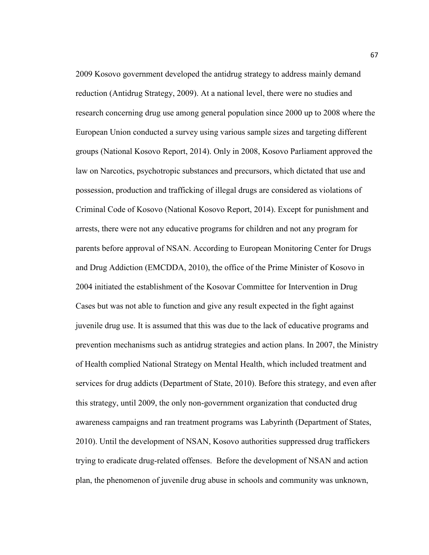2009 Kosovo government developed the antidrug strategy to address mainly demand reduction (Antidrug Strategy, 2009). At a national level, there were no studies and research concerning drug use among general population since 2000 up to 2008 where the European Union conducted a survey using various sample sizes and targeting different groups (National Kosovo Report, 2014). Only in 2008, Kosovo Parliament approved the law on Narcotics, psychotropic substances and precursors, which dictated that use and possession, production and trafficking of illegal drugs are considered as violations of Criminal Code of Kosovo (National Kosovo Report, 2014). Except for punishment and arrests, there were not any educative programs for children and not any program for parents before approval of NSAN. According to European Monitoring Center for Drugs and Drug Addiction (EMCDDA, 2010), the office of the Prime Minister of Kosovo in 2004 initiated the establishment of the Kosovar Committee for Intervention in Drug Cases but was not able to function and give any result expected in the fight against juvenile drug use. It is assumed that this was due to the lack of educative programs and prevention mechanisms such as antidrug strategies and action plans. In 2007, the Ministry of Health complied National Strategy on Mental Health, which included treatment and services for drug addicts (Department of State, 2010). Before this strategy, and even after this strategy, until 2009, the only non-government organization that conducted drug awareness campaigns and ran treatment programs was Labyrinth (Department of States, 2010). Until the development of NSAN, Kosovo authorities suppressed drug traffickers trying to eradicate drug-related offenses. Before the development of NSAN and action plan, the phenomenon of juvenile drug abuse in schools and community was unknown,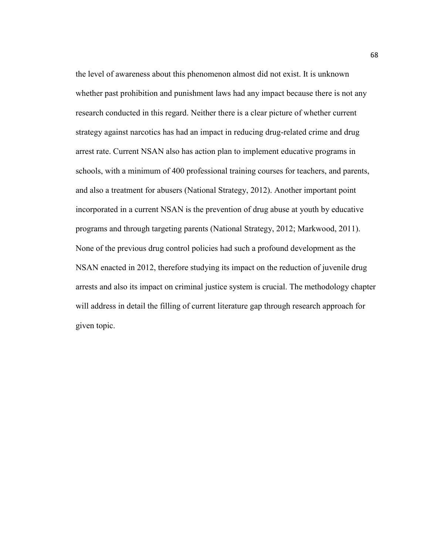the level of awareness about this phenomenon almost did not exist. It is unknown whether past prohibition and punishment laws had any impact because there is not any research conducted in this regard. Neither there is a clear picture of whether current strategy against narcotics has had an impact in reducing drug-related crime and drug arrest rate. Current NSAN also has action plan to implement educative programs in schools, with a minimum of 400 professional training courses for teachers, and parents, and also a treatment for abusers (National Strategy, 2012). Another important point incorporated in a current NSAN is the prevention of drug abuse at youth by educative programs and through targeting parents (National Strategy, 2012; Markwood, 2011). None of the previous drug control policies had such a profound development as the NSAN enacted in 2012, therefore studying its impact on the reduction of juvenile drug arrests and also its impact on criminal justice system is crucial. The methodology chapter will address in detail the filling of current literature gap through research approach for given topic.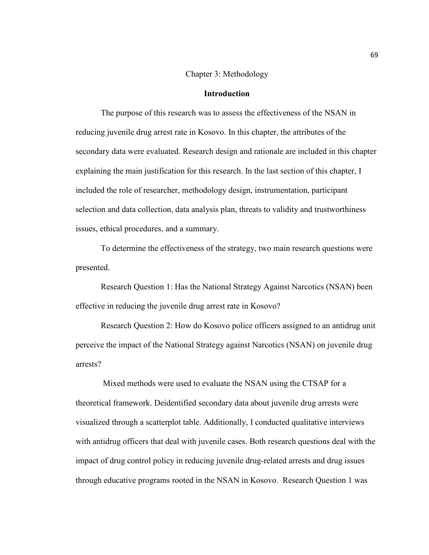## Chapter 3: Methodology

# **Introduction**

The purpose of this research was to assess the effectiveness of the NSAN in reducing juvenile drug arrest rate in Kosovo. In this chapter, the attributes of the secondary data were evaluated. Research design and rationale are included in this chapter explaining the main justification for this research. In the last section of this chapter, I included the role of researcher, methodology design, instrumentation, participant selection and data collection, data analysis plan, threats to validity and trustworthiness issues, ethical procedures, and a summary.

To determine the effectiveness of the strategy, two main research questions were presented.

Research Question 1: Has the National Strategy Against Narcotics (NSAN) been effective in reducing the juvenile drug arrest rate in Kosovo?

Research Question 2: How do Kosovo police officers assigned to an antidrug unit perceive the impact of the National Strategy against Narcotics (NSAN) on juvenile drug arrests?

 Mixed methods were used to evaluate the NSAN using the CTSAP for a theoretical framework. Deidentified secondary data about juvenile drug arrests were visualized through a scatterplot table. Additionally, I conducted qualitative interviews with antidrug officers that deal with juvenile cases. Both research questions deal with the impact of drug control policy in reducing juvenile drug-related arrests and drug issues through educative programs rooted in the NSAN in Kosovo. Research Question 1 was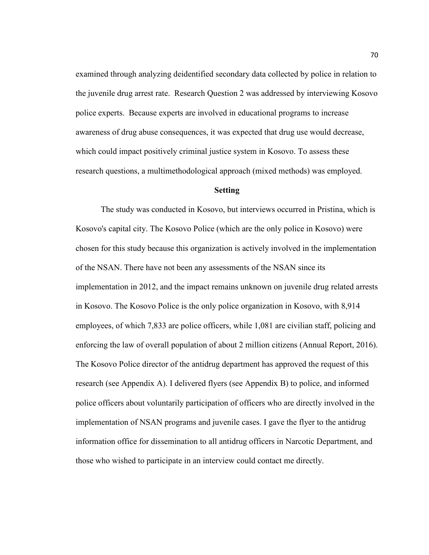examined through analyzing deidentified secondary data collected by police in relation to the juvenile drug arrest rate. Research Question 2 was addressed by interviewing Kosovo police experts. Because experts are involved in educational programs to increase awareness of drug abuse consequences, it was expected that drug use would decrease, which could impact positively criminal justice system in Kosovo. To assess these research questions, a multimethodological approach (mixed methods) was employed.

# **Setting**

The study was conducted in Kosovo, but interviews occurred in Pristina, which is Kosovo's capital city. The Kosovo Police (which are the only police in Kosovo) were chosen for this study because this organization is actively involved in the implementation of the NSAN. There have not been any assessments of the NSAN since its implementation in 2012, and the impact remains unknown on juvenile drug related arrests in Kosovo. The Kosovo Police is the only police organization in Kosovo, with 8,914 employees, of which 7,833 are police officers, while 1,081 are civilian staff, policing and enforcing the law of overall population of about 2 million citizens (Annual Report, 2016). The Kosovo Police director of the antidrug department has approved the request of this research (see Appendix A). I delivered flyers (see Appendix B) to police, and informed police officers about voluntarily participation of officers who are directly involved in the implementation of NSAN programs and juvenile cases. I gave the flyer to the antidrug information office for dissemination to all antidrug officers in Narcotic Department, and those who wished to participate in an interview could contact me directly.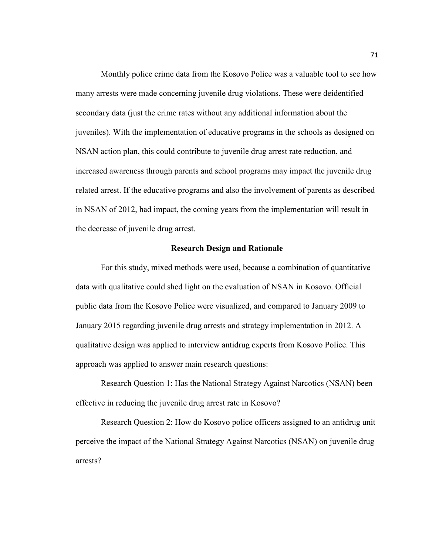Monthly police crime data from the Kosovo Police was a valuable tool to see how many arrests were made concerning juvenile drug violations. These were deidentified secondary data (just the crime rates without any additional information about the juveniles). With the implementation of educative programs in the schools as designed on NSAN action plan, this could contribute to juvenile drug arrest rate reduction, and increased awareness through parents and school programs may impact the juvenile drug related arrest. If the educative programs and also the involvement of parents as described in NSAN of 2012, had impact, the coming years from the implementation will result in the decrease of juvenile drug arrest.

## **Research Design and Rationale**

For this study, mixed methods were used, because a combination of quantitative data with qualitative could shed light on the evaluation of NSAN in Kosovo. Official public data from the Kosovo Police were visualized, and compared to January 2009 to January 2015 regarding juvenile drug arrests and strategy implementation in 2012. A qualitative design was applied to interview antidrug experts from Kosovo Police. This approach was applied to answer main research questions:

Research Question 1: Has the National Strategy Against Narcotics (NSAN) been effective in reducing the juvenile drug arrest rate in Kosovo?

 Research Question 2: How do Kosovo police officers assigned to an antidrug unit perceive the impact of the National Strategy Against Narcotics (NSAN) on juvenile drug arrests?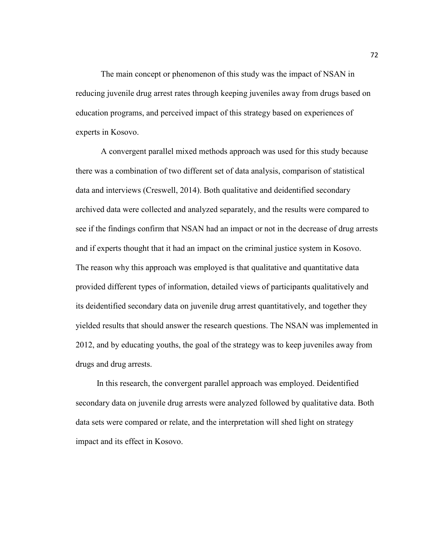The main concept or phenomenon of this study was the impact of NSAN in reducing juvenile drug arrest rates through keeping juveniles away from drugs based on education programs, and perceived impact of this strategy based on experiences of experts in Kosovo.

A convergent parallel mixed methods approach was used for this study because there was a combination of two different set of data analysis, comparison of statistical data and interviews (Creswell, 2014). Both qualitative and deidentified secondary archived data were collected and analyzed separately, and the results were compared to see if the findings confirm that NSAN had an impact or not in the decrease of drug arrests and if experts thought that it had an impact on the criminal justice system in Kosovo. The reason why this approach was employed is that qualitative and quantitative data provided different types of information, detailed views of participants qualitatively and its deidentified secondary data on juvenile drug arrest quantitatively, and together they yielded results that should answer the research questions. The NSAN was implemented in 2012, and by educating youths, the goal of the strategy was to keep juveniles away from drugs and drug arrests.

 In this research, the convergent parallel approach was employed. Deidentified secondary data on juvenile drug arrests were analyzed followed by qualitative data. Both data sets were compared or relate, and the interpretation will shed light on strategy impact and its effect in Kosovo.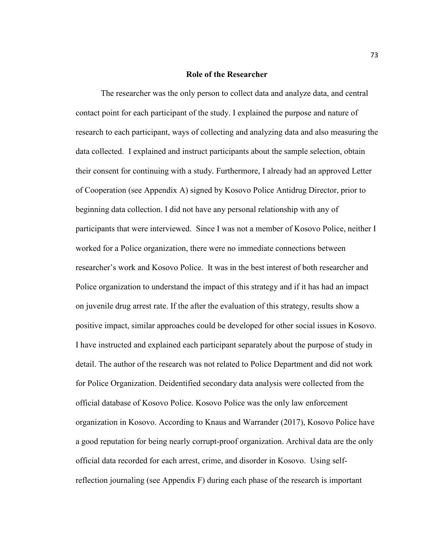#### **Role of the Researcher**

The researcher was the only person to collect data and analyze data, and central contact point for each participant of the study. I explained the purpose and nature of research to each participant, ways of collecting and analyzing data and also measuring the data collected. I explained and instruct participants about the sample selection, obtain their consent for continuing with a study. Furthermore, I already had an approved Letter of Cooperation (see Appendix A) signed by Kosovo Police Antidrug Director, prior to beginning data collection. I did not have any personal relationship with any of participants that were interviewed. Since I was not a member of Kosovo Police, neither I worked for a Police organization, there were no immediate connections between researcher's work and Kosovo Police. It was in the best interest of both researcher and Police organization to understand the impact of this strategy and if it has had an impact on juvenile drug arrest rate. If the after the evaluation of this strategy, results show a positive impact, similar approaches could be developed for other social issues in Kosovo. I have instructed and explained each participant separately about the purpose of study in detail. The author of the research was not related to Police Department and did not work for Police Organization. Deidentified secondary data analysis were collected from the official database of Kosovo Police. Kosovo Police was the only law enforcement organization in Kosovo. According to Knaus and Warrander (2017), Kosovo Police have a good reputation for being nearly corrupt-proof organization. Archival data are the only official data recorded for each arrest, crime, and disorder in Kosovo. Using selfreflection journaling (see Appendix F) during each phase of the research is important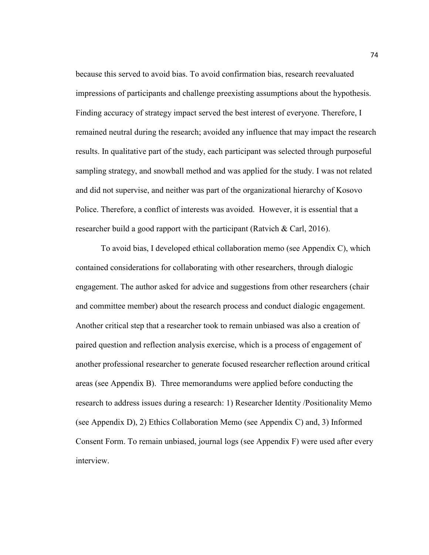because this served to avoid bias. To avoid confirmation bias, research reevaluated impressions of participants and challenge preexisting assumptions about the hypothesis. Finding accuracy of strategy impact served the best interest of everyone. Therefore, I remained neutral during the research; avoided any influence that may impact the research results. In qualitative part of the study, each participant was selected through purposeful sampling strategy, and snowball method and was applied for the study. I was not related and did not supervise, and neither was part of the organizational hierarchy of Kosovo Police. Therefore, a conflict of interests was avoided. However, it is essential that a researcher build a good rapport with the participant (Ratvich & Carl, 2016).

To avoid bias, I developed ethical collaboration memo (see Appendix C), which contained considerations for collaborating with other researchers, through dialogic engagement. The author asked for advice and suggestions from other researchers (chair and committee member) about the research process and conduct dialogic engagement. Another critical step that a researcher took to remain unbiased was also a creation of paired question and reflection analysis exercise, which is a process of engagement of another professional researcher to generate focused researcher reflection around critical areas (see Appendix B). Three memorandums were applied before conducting the research to address issues during a research: 1) Researcher Identity /Positionality Memo (see Appendix D), 2) Ethics Collaboration Memo (see Appendix C) and, 3) Informed Consent Form. To remain unbiased, journal logs (see Appendix F) were used after every interview.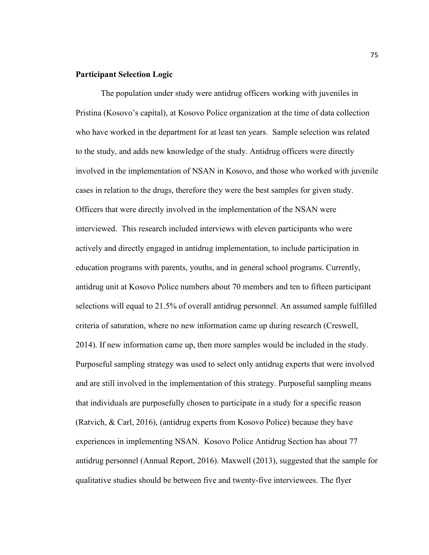# **Participant Selection Logic**

The population under study were antidrug officers working with juveniles in Pristina (Kosovo's capital), at Kosovo Police organization at the time of data collection who have worked in the department for at least ten years. Sample selection was related to the study, and adds new knowledge of the study. Antidrug officers were directly involved in the implementation of NSAN in Kosovo, and those who worked with juvenile cases in relation to the drugs, therefore they were the best samples for given study. Officers that were directly involved in the implementation of the NSAN were interviewed. This research included interviews with eleven participants who were actively and directly engaged in antidrug implementation, to include participation in education programs with parents, youths, and in general school programs. Currently, antidrug unit at Kosovo Police numbers about 70 members and ten to fifteen participant selections will equal to 21.5% of overall antidrug personnel. An assumed sample fulfilled criteria of saturation, where no new information came up during research (Creswell, 2014). If new information came up, then more samples would be included in the study. Purposeful sampling strategy was used to select only antidrug experts that were involved and are still involved in the implementation of this strategy. Purposeful sampling means that individuals are purposefully chosen to participate in a study for a specific reason (Ratvich, & Carl, 2016), (antidrug experts from Kosovo Police) because they have experiences in implementing NSAN. Kosovo Police Antidrug Section has about 77 antidrug personnel (Annual Report, 2016). Maxwell (2013), suggested that the sample for qualitative studies should be between five and twenty-five interviewees. The flyer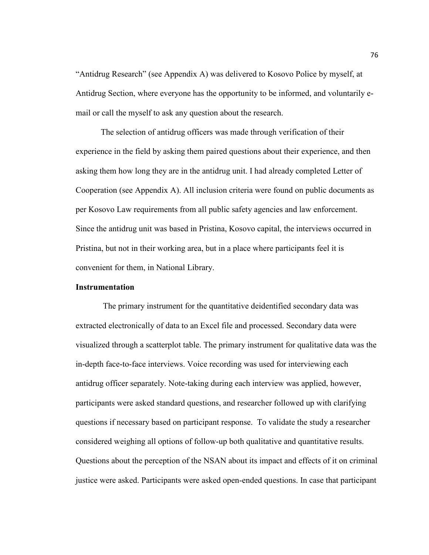"Antidrug Research" (see Appendix A) was delivered to Kosovo Police by myself, at Antidrug Section, where everyone has the opportunity to be informed, and voluntarily email or call the myself to ask any question about the research.

The selection of antidrug officers was made through verification of their experience in the field by asking them paired questions about their experience, and then asking them how long they are in the antidrug unit. I had already completed Letter of Cooperation (see Appendix A). All inclusion criteria were found on public documents as per Kosovo Law requirements from all public safety agencies and law enforcement. Since the antidrug unit was based in Pristina, Kosovo capital, the interviews occurred in Pristina, but not in their working area, but in a place where participants feel it is convenient for them, in National Library.

## **Instrumentation**

 The primary instrument for the quantitative deidentified secondary data was extracted electronically of data to an Excel file and processed. Secondary data were visualized through a scatterplot table. The primary instrument for qualitative data was the in-depth face-to-face interviews. Voice recording was used for interviewing each antidrug officer separately. Note-taking during each interview was applied, however, participants were asked standard questions, and researcher followed up with clarifying questions if necessary based on participant response. To validate the study a researcher considered weighing all options of follow-up both qualitative and quantitative results. Questions about the perception of the NSAN about its impact and effects of it on criminal justice were asked. Participants were asked open-ended questions. In case that participant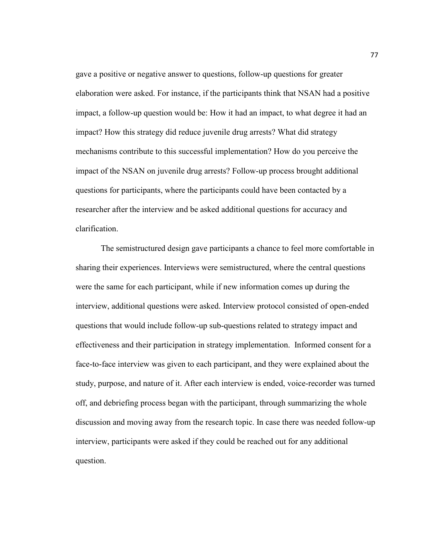gave a positive or negative answer to questions, follow-up questions for greater elaboration were asked. For instance, if the participants think that NSAN had a positive impact, a follow-up question would be: How it had an impact, to what degree it had an impact? How this strategy did reduce juvenile drug arrests? What did strategy mechanisms contribute to this successful implementation? How do you perceive the impact of the NSAN on juvenile drug arrests? Follow-up process brought additional questions for participants, where the participants could have been contacted by a researcher after the interview and be asked additional questions for accuracy and clarification.

The semistructured design gave participants a chance to feel more comfortable in sharing their experiences. Interviews were semistructured, where the central questions were the same for each participant, while if new information comes up during the interview, additional questions were asked. Interview protocol consisted of open-ended questions that would include follow-up sub-questions related to strategy impact and effectiveness and their participation in strategy implementation. Informed consent for a face-to-face interview was given to each participant, and they were explained about the study, purpose, and nature of it. After each interview is ended, voice-recorder was turned off, and debriefing process began with the participant, through summarizing the whole discussion and moving away from the research topic. In case there was needed follow-up interview, participants were asked if they could be reached out for any additional question.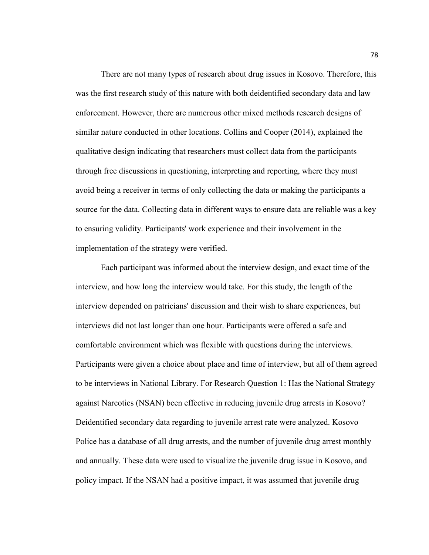There are not many types of research about drug issues in Kosovo. Therefore, this was the first research study of this nature with both deidentified secondary data and law enforcement. However, there are numerous other mixed methods research designs of similar nature conducted in other locations. Collins and Cooper (2014), explained the qualitative design indicating that researchers must collect data from the participants through free discussions in questioning, interpreting and reporting, where they must avoid being a receiver in terms of only collecting the data or making the participants a source for the data. Collecting data in different ways to ensure data are reliable was a key to ensuring validity. Participants' work experience and their involvement in the implementation of the strategy were verified.

Each participant was informed about the interview design, and exact time of the interview, and how long the interview would take. For this study, the length of the interview depended on patricians' discussion and their wish to share experiences, but interviews did not last longer than one hour. Participants were offered a safe and comfortable environment which was flexible with questions during the interviews. Participants were given a choice about place and time of interview, but all of them agreed to be interviews in National Library. For Research Question 1: Has the National Strategy against Narcotics (NSAN) been effective in reducing juvenile drug arrests in Kosovo? Deidentified secondary data regarding to juvenile arrest rate were analyzed. Kosovo Police has a database of all drug arrests, and the number of juvenile drug arrest monthly and annually. These data were used to visualize the juvenile drug issue in Kosovo, and policy impact. If the NSAN had a positive impact, it was assumed that juvenile drug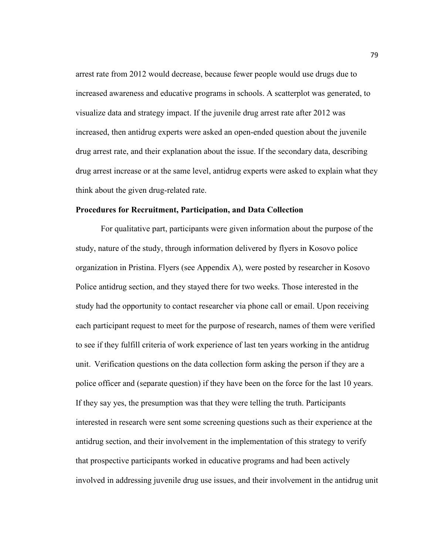arrest rate from 2012 would decrease, because fewer people would use drugs due to increased awareness and educative programs in schools. A scatterplot was generated, to visualize data and strategy impact. If the juvenile drug arrest rate after 2012 was increased, then antidrug experts were asked an open-ended question about the juvenile drug arrest rate, and their explanation about the issue. If the secondary data, describing drug arrest increase or at the same level, antidrug experts were asked to explain what they think about the given drug-related rate.

## **Procedures for Recruitment, Participation, and Data Collection**

For qualitative part, participants were given information about the purpose of the study, nature of the study, through information delivered by flyers in Kosovo police organization in Pristina. Flyers (see Appendix A), were posted by researcher in Kosovo Police antidrug section, and they stayed there for two weeks. Those interested in the study had the opportunity to contact researcher via phone call or email. Upon receiving each participant request to meet for the purpose of research, names of them were verified to see if they fulfill criteria of work experience of last ten years working in the antidrug unit. Verification questions on the data collection form asking the person if they are a police officer and (separate question) if they have been on the force for the last 10 years. If they say yes, the presumption was that they were telling the truth. Participants interested in research were sent some screening questions such as their experience at the antidrug section, and their involvement in the implementation of this strategy to verify that prospective participants worked in educative programs and had been actively involved in addressing juvenile drug use issues, and their involvement in the antidrug unit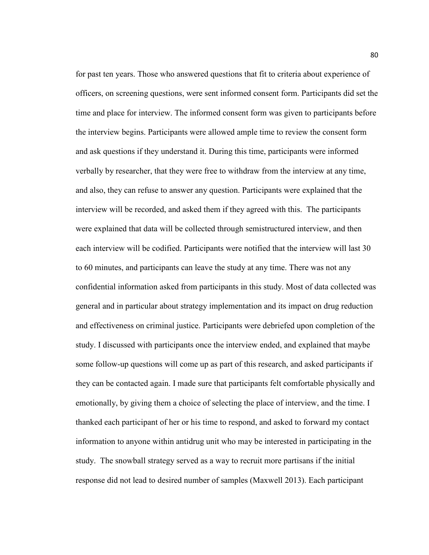for past ten years. Those who answered questions that fit to criteria about experience of officers, on screening questions, were sent informed consent form. Participants did set the time and place for interview. The informed consent form was given to participants before the interview begins. Participants were allowed ample time to review the consent form and ask questions if they understand it. During this time, participants were informed verbally by researcher, that they were free to withdraw from the interview at any time, and also, they can refuse to answer any question. Participants were explained that the interview will be recorded, and asked them if they agreed with this. The participants were explained that data will be collected through semistructured interview, and then each interview will be codified. Participants were notified that the interview will last 30 to 60 minutes, and participants can leave the study at any time. There was not any confidential information asked from participants in this study. Most of data collected was general and in particular about strategy implementation and its impact on drug reduction and effectiveness on criminal justice. Participants were debriefed upon completion of the study. I discussed with participants once the interview ended, and explained that maybe some follow-up questions will come up as part of this research, and asked participants if they can be contacted again. I made sure that participants felt comfortable physically and emotionally, by giving them a choice of selecting the place of interview, and the time. I thanked each participant of her or his time to respond, and asked to forward my contact information to anyone within antidrug unit who may be interested in participating in the study. The snowball strategy served as a way to recruit more partisans if the initial response did not lead to desired number of samples (Maxwell 2013). Each participant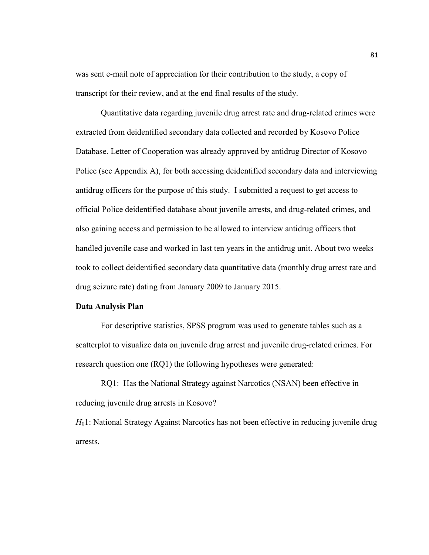was sent e-mail note of appreciation for their contribution to the study, a copy of transcript for their review, and at the end final results of the study.

Quantitative data regarding juvenile drug arrest rate and drug-related crimes were extracted from deidentified secondary data collected and recorded by Kosovo Police Database. Letter of Cooperation was already approved by antidrug Director of Kosovo Police (see Appendix A), for both accessing deidentified secondary data and interviewing antidrug officers for the purpose of this study. I submitted a request to get access to official Police deidentified database about juvenile arrests, and drug-related crimes, and also gaining access and permission to be allowed to interview antidrug officers that handled juvenile case and worked in last ten years in the antidrug unit. About two weeks took to collect deidentified secondary data quantitative data (monthly drug arrest rate and drug seizure rate) dating from January 2009 to January 2015.

# **Data Analysis Plan**

For descriptive statistics, SPSS program was used to generate tables such as a scatterplot to visualize data on juvenile drug arrest and juvenile drug-related crimes. For research question one (RQ1) the following hypotheses were generated:

 RQ1: Has the National Strategy against Narcotics (NSAN) been effective in reducing juvenile drug arrests in Kosovo?

*H*<sub>0</sub>1: National Strategy Against Narcotics has not been effective in reducing juvenile drug arrests.

81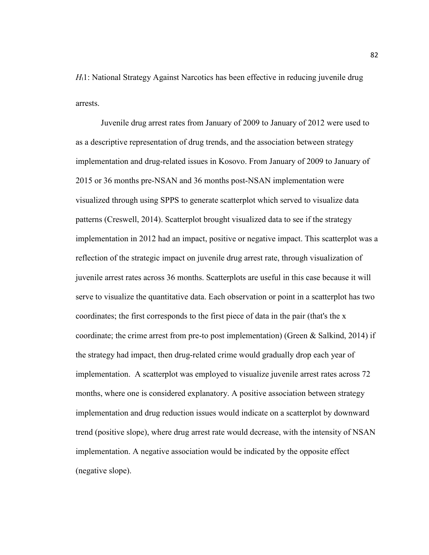*H*<sub>1</sub>1: National Strategy Against Narcotics has been effective in reducing juvenile drug arrests.

Juvenile drug arrest rates from January of 2009 to January of 2012 were used to as a descriptive representation of drug trends, and the association between strategy implementation and drug-related issues in Kosovo. From January of 2009 to January of 2015 or 36 months pre-NSAN and 36 months post-NSAN implementation were visualized through using SPPS to generate scatterplot which served to visualize data patterns (Creswell, 2014). Scatterplot brought visualized data to see if the strategy implementation in 2012 had an impact, positive or negative impact. This scatterplot was a reflection of the strategic impact on juvenile drug arrest rate, through visualization of juvenile arrest rates across 36 months. Scatterplots are useful in this case because it will serve to visualize the quantitative data. Each observation or point in a scatterplot has two coordinates; the first corresponds to the first piece of data in the pair (that's the x coordinate; the crime arrest from pre-to post implementation) (Green & Salkind, 2014) if the strategy had impact, then drug-related crime would gradually drop each year of implementation. A scatterplot was employed to visualize juvenile arrest rates across 72 months, where one is considered explanatory. A positive association between strategy implementation and drug reduction issues would indicate on a scatterplot by downward trend (positive slope), where drug arrest rate would decrease, with the intensity of NSAN implementation. A negative association would be indicated by the opposite effect (negative slope).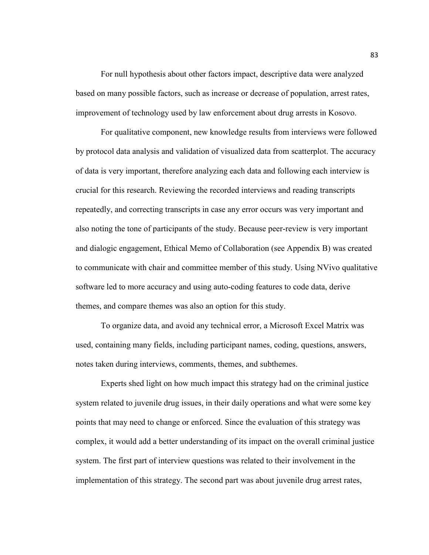For null hypothesis about other factors impact, descriptive data were analyzed based on many possible factors, such as increase or decrease of population, arrest rates, improvement of technology used by law enforcement about drug arrests in Kosovo.

For qualitative component, new knowledge results from interviews were followed by protocol data analysis and validation of visualized data from scatterplot. The accuracy of data is very important, therefore analyzing each data and following each interview is crucial for this research. Reviewing the recorded interviews and reading transcripts repeatedly, and correcting transcripts in case any error occurs was very important and also noting the tone of participants of the study. Because peer-review is very important and dialogic engagement, Ethical Memo of Collaboration (see Appendix B) was created to communicate with chair and committee member of this study. Using NVivo qualitative software led to more accuracy and using auto-coding features to code data, derive themes, and compare themes was also an option for this study.

To organize data, and avoid any technical error, a Microsoft Excel Matrix was used, containing many fields, including participant names, coding, questions, answers, notes taken during interviews, comments, themes, and subthemes.

Experts shed light on how much impact this strategy had on the criminal justice system related to juvenile drug issues, in their daily operations and what were some key points that may need to change or enforced. Since the evaluation of this strategy was complex, it would add a better understanding of its impact on the overall criminal justice system. The first part of interview questions was related to their involvement in the implementation of this strategy. The second part was about juvenile drug arrest rates,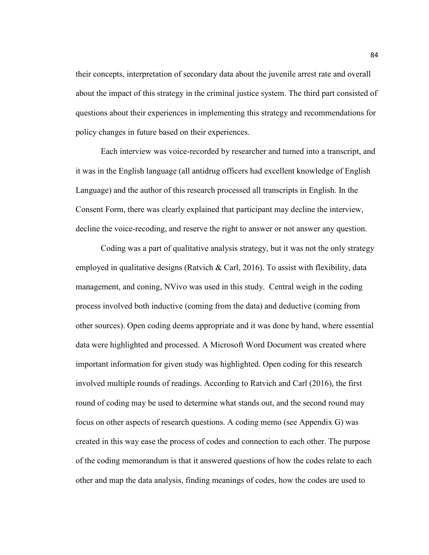their concepts, interpretation of secondary data about the juvenile arrest rate and overall about the impact of this strategy in the criminal justice system. The third part consisted of questions about their experiences in implementing this strategy and recommendations for policy changes in future based on their experiences.

Each interview was voice-recorded by researcher and turned into a transcript, and it was in the English language (all antidrug officers had excellent knowledge of English Language) and the author of this research processed all transcripts in English. In the Consent Form, there was clearly explained that participant may decline the interview, decline the voice-recoding, and reserve the right to answer or not answer any question.

Coding was a part of qualitative analysis strategy, but it was not the only strategy employed in qualitative designs (Ratvich & Carl, 2016). To assist with flexibility, data management, and coning, NVivo was used in this study. Central weigh in the coding process involved both inductive (coming from the data) and deductive (coming from other sources). Open coding deems appropriate and it was done by hand, where essential data were highlighted and processed. A Microsoft Word Document was created where important information for given study was highlighted. Open coding for this research involved multiple rounds of readings. According to Ratvich and Carl (2016), the first round of coding may be used to determine what stands out, and the second round may focus on other aspects of research questions. A coding memo (see Appendix G) was created in this way ease the process of codes and connection to each other. The purpose of the coding memorandum is that it answered questions of how the codes relate to each other and map the data analysis, finding meanings of codes, how the codes are used to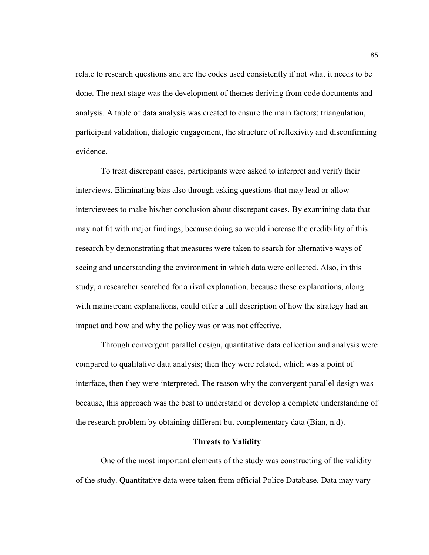relate to research questions and are the codes used consistently if not what it needs to be done. The next stage was the development of themes deriving from code documents and analysis. A table of data analysis was created to ensure the main factors: triangulation, participant validation, dialogic engagement, the structure of reflexivity and disconfirming evidence.

To treat discrepant cases, participants were asked to interpret and verify their interviews. Eliminating bias also through asking questions that may lead or allow interviewees to make his/her conclusion about discrepant cases. By examining data that may not fit with major findings, because doing so would increase the credibility of this research by demonstrating that measures were taken to search for alternative ways of seeing and understanding the environment in which data were collected. Also, in this study, a researcher searched for a rival explanation, because these explanations, along with mainstream explanations, could offer a full description of how the strategy had an impact and how and why the policy was or was not effective.

Through convergent parallel design, quantitative data collection and analysis were compared to qualitative data analysis; then they were related, which was a point of interface, then they were interpreted. The reason why the convergent parallel design was because, this approach was the best to understand or develop a complete understanding of the research problem by obtaining different but complementary data (Bian, n.d).

## **Threats to Validity**

One of the most important elements of the study was constructing of the validity of the study. Quantitative data were taken from official Police Database. Data may vary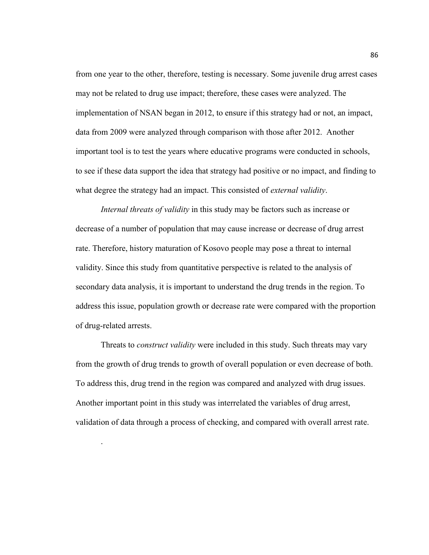from one year to the other, therefore, testing is necessary. Some juvenile drug arrest cases may not be related to drug use impact; therefore, these cases were analyzed. The implementation of NSAN began in 2012, to ensure if this strategy had or not, an impact, data from 2009 were analyzed through comparison with those after 2012. Another important tool is to test the years where educative programs were conducted in schools, to see if these data support the idea that strategy had positive or no impact, and finding to what degree the strategy had an impact. This consisted of *external validity*.

*Internal threats of validity* in this study may be factors such as increase or decrease of a number of population that may cause increase or decrease of drug arrest rate. Therefore, history maturation of Kosovo people may pose a threat to internal validity. Since this study from quantitative perspective is related to the analysis of secondary data analysis, it is important to understand the drug trends in the region. To address this issue, population growth or decrease rate were compared with the proportion of drug-related arrests.

Threats to *construct validity* were included in this study. Such threats may vary from the growth of drug trends to growth of overall population or even decrease of both. To address this, drug trend in the region was compared and analyzed with drug issues. Another important point in this study was interrelated the variables of drug arrest, validation of data through a process of checking, and compared with overall arrest rate.

.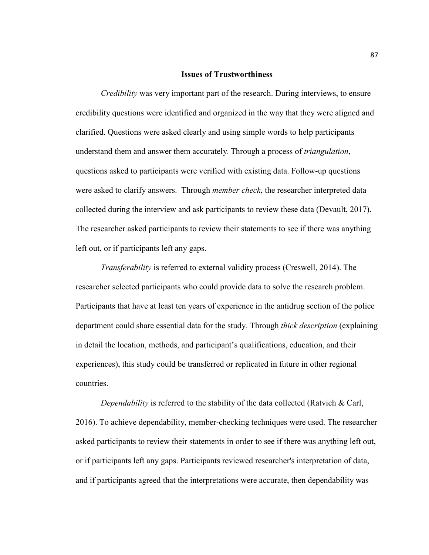#### **Issues of Trustworthiness**

*Credibility* was very important part of the research. During interviews, to ensure credibility questions were identified and organized in the way that they were aligned and clarified. Questions were asked clearly and using simple words to help participants understand them and answer them accurately. Through a process of *triangulation*, questions asked to participants were verified with existing data. Follow-up questions were asked to clarify answers. Through *member check*, the researcher interpreted data collected during the interview and ask participants to review these data (Devault, 2017). The researcher asked participants to review their statements to see if there was anything left out, or if participants left any gaps.

*Transferability* is referred to external validity process (Creswell, 2014). The researcher selected participants who could provide data to solve the research problem. Participants that have at least ten years of experience in the antidrug section of the police department could share essential data for the study. Through *thick description* (explaining in detail the location, methods, and participant's qualifications, education, and their experiences), this study could be transferred or replicated in future in other regional countries.

*Dependability* is referred to the stability of the data collected (Ratvich & Carl, 2016). To achieve dependability, member-checking techniques were used. The researcher asked participants to review their statements in order to see if there was anything left out, or if participants left any gaps. Participants reviewed researcher's interpretation of data, and if participants agreed that the interpretations were accurate, then dependability was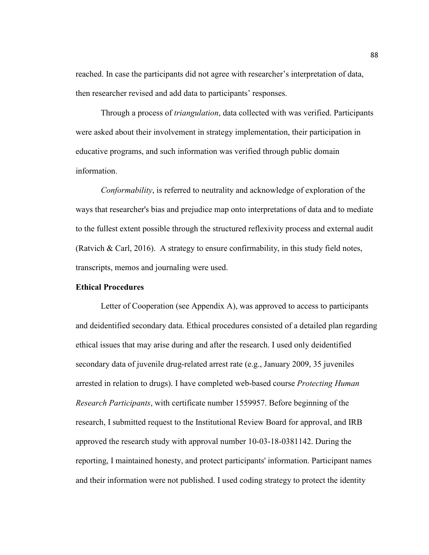reached. In case the participants did not agree with researcher's interpretation of data, then researcher revised and add data to participants' responses.

Through a process of *triangulation*, data collected with was verified. Participants were asked about their involvement in strategy implementation, their participation in educative programs, and such information was verified through public domain information.

*Conformability*, is referred to neutrality and acknowledge of exploration of the ways that researcher's bias and prejudice map onto interpretations of data and to mediate to the fullest extent possible through the structured reflexivity process and external audit (Ratvich & Carl, 2016). A strategy to ensure confirmability, in this study field notes, transcripts, memos and journaling were used.

# **Ethical Procedures**

Letter of Cooperation (see Appendix A), was approved to access to participants and deidentified secondary data. Ethical procedures consisted of a detailed plan regarding ethical issues that may arise during and after the research. I used only deidentified secondary data of juvenile drug-related arrest rate (e.g., January 2009, 35 juveniles arrested in relation to drugs). I have completed web-based course *Protecting Human Research Participants*, with certificate number 1559957. Before beginning of the research, I submitted request to the Institutional Review Board for approval, and IRB approved the research study with approval number 10-03-18-0381142. During the reporting, I maintained honesty, and protect participants' information. Participant names and their information were not published. I used coding strategy to protect the identity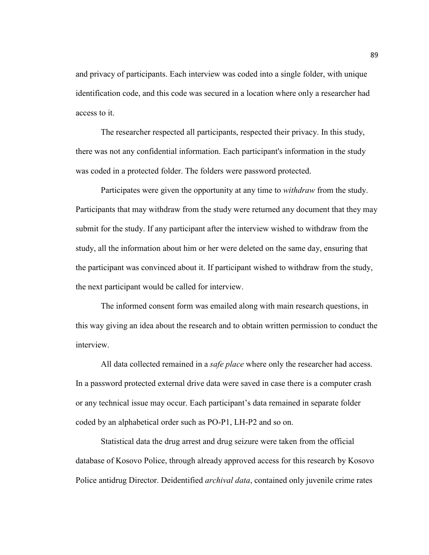and privacy of participants. Each interview was coded into a single folder, with unique identification code, and this code was secured in a location where only a researcher had access to it.

The researcher respected all participants, respected their privacy. In this study, there was not any confidential information. Each participant's information in the study was coded in a protected folder. The folders were password protected.

Participates were given the opportunity at any time to *withdraw* from the study. Participants that may withdraw from the study were returned any document that they may submit for the study. If any participant after the interview wished to withdraw from the study, all the information about him or her were deleted on the same day, ensuring that the participant was convinced about it. If participant wished to withdraw from the study, the next participant would be called for interview.

The informed consent form was emailed along with main research questions, in this way giving an idea about the research and to obtain written permission to conduct the interview.

All data collected remained in a *safe place* where only the researcher had access. In a password protected external drive data were saved in case there is a computer crash or any technical issue may occur. Each participant's data remained in separate folder coded by an alphabetical order such as PO-P1, LH-P2 and so on.

Statistical data the drug arrest and drug seizure were taken from the official database of Kosovo Police, through already approved access for this research by Kosovo Police antidrug Director. Deidentified *archival data*, contained only juvenile crime rates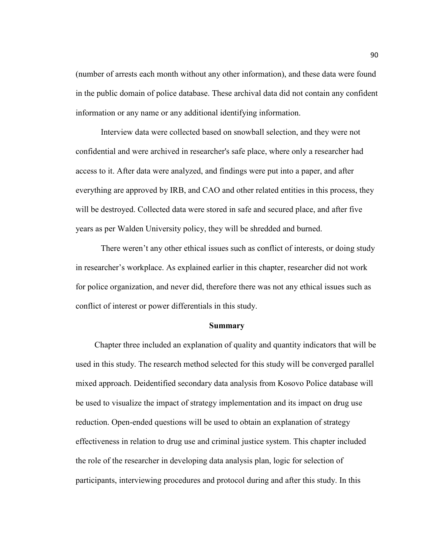(number of arrests each month without any other information), and these data were found in the public domain of police database. These archival data did not contain any confident information or any name or any additional identifying information.

Interview data were collected based on snowball selection, and they were not confidential and were archived in researcher's safe place, where only a researcher had access to it. After data were analyzed, and findings were put into a paper, and after everything are approved by IRB, and CAO and other related entities in this process, they will be destroyed. Collected data were stored in safe and secured place, and after five years as per Walden University policy, they will be shredded and burned.

There weren't any other ethical issues such as conflict of interests, or doing study in researcher's workplace. As explained earlier in this chapter, researcher did not work for police organization, and never did, therefore there was not any ethical issues such as conflict of interest or power differentials in this study.

#### **Summary**

 Chapter three included an explanation of quality and quantity indicators that will be used in this study. The research method selected for this study will be converged parallel mixed approach. Deidentified secondary data analysis from Kosovo Police database will be used to visualize the impact of strategy implementation and its impact on drug use reduction. Open-ended questions will be used to obtain an explanation of strategy effectiveness in relation to drug use and criminal justice system. This chapter included the role of the researcher in developing data analysis plan, logic for selection of participants, interviewing procedures and protocol during and after this study. In this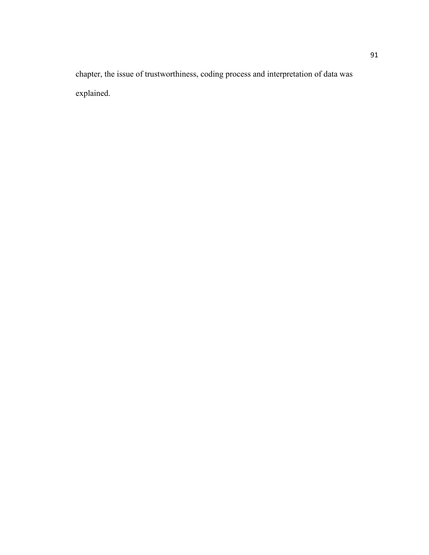chapter, the issue of trustworthiness, coding process and interpretation of data was explained.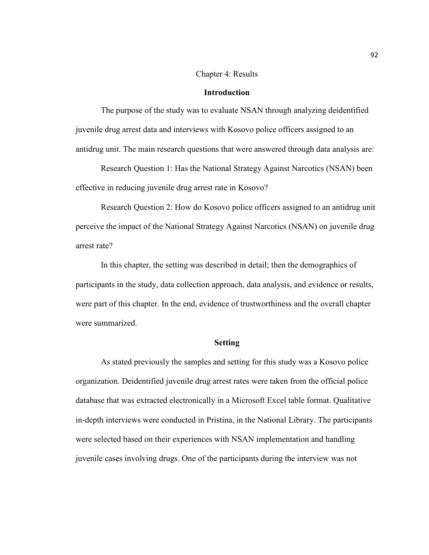## Chapter 4: Results

# **Introduction**

The purpose of the study was to evaluate NSAN through analyzing deidentified juvenile drug arrest data and interviews with Kosovo police officers assigned to an antidrug unit. The main research questions that were answered through data analysis are:

Research Question 1: Has the National Strategy Against Narcotics (NSAN) been effective in reducing juvenile drug arrest rate in Kosovo?

Research Question 2: How do Kosovo police officers assigned to an antidrug unit perceive the impact of the National Strategy Against Narcotics (NSAN) on juvenile drug arrest rate?

In this chapter, the setting was described in detail; then the demographics of participants in the study, data collection approach, data analysis, and evidence or results, were part of this chapter. In the end, evidence of trustworthiness and the overall chapter were summarized.

## **Setting**

As stated previously the samples and setting for this study was a Kosovo police organization. Deidentified juvenile drug arrest rates were taken from the official police database that was extracted electronically in a Microsoft Excel table format. Qualitative in-depth interviews were conducted in Pristina, in the National Library. The participants were selected based on their experiences with NSAN implementation and handling juvenile cases involving drugs. One of the participants during the interview was not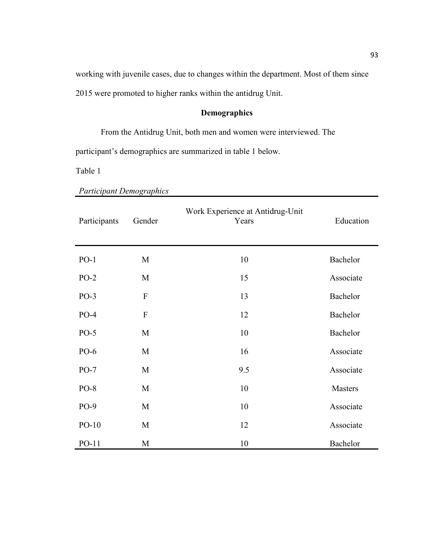working with juvenile cases, due to changes within the department. Most of them since 2015 were promoted to higher ranks within the antidrug Unit.

# **Demographics**

From the Antidrug Unit, both men and women were interviewed. The participant's demographics are summarized in table 1 below.

Table 1

| Participants | Gender                    | Work Experience at Antidrug-Unit<br>Years | Education |
|--------------|---------------------------|-------------------------------------------|-----------|
| $PO-1$       | M                         | 10                                        | Bachelor  |
| $PO-2$       | M                         | 15                                        | Associate |
| $PO-3$       | $\boldsymbol{\mathrm{F}}$ | 13                                        | Bachelor  |
| $PO-4$       | $\boldsymbol{\mathrm{F}}$ | 12                                        | Bachelor  |
| $PO-5$       | M                         | 10                                        | Bachelor  |
| PO-6         | M                         | 16                                        | Associate |
| $PO-7$       | M                         | 9.5                                       | Associate |
| $PO-8$       | M                         | 10                                        | Masters   |
| $PO-9$       | M                         | 10                                        | Associate |
| $PO-10$      | M                         | 12                                        | Associate |
| $PO-11$      | M                         | 10                                        | Bachelor  |

*Participant Demographics*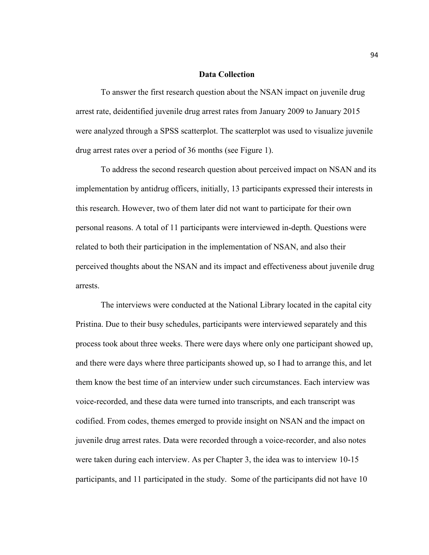# **Data Collection**

To answer the first research question about the NSAN impact on juvenile drug arrest rate, deidentified juvenile drug arrest rates from January 2009 to January 2015 were analyzed through a SPSS scatterplot. The scatterplot was used to visualize juvenile drug arrest rates over a period of 36 months (see Figure 1).

To address the second research question about perceived impact on NSAN and its implementation by antidrug officers, initially, 13 participants expressed their interests in this research. However, two of them later did not want to participate for their own personal reasons. A total of 11 participants were interviewed in-depth. Questions were related to both their participation in the implementation of NSAN, and also their perceived thoughts about the NSAN and its impact and effectiveness about juvenile drug arrests.

The interviews were conducted at the National Library located in the capital city Pristina. Due to their busy schedules, participants were interviewed separately and this process took about three weeks. There were days where only one participant showed up, and there were days where three participants showed up, so I had to arrange this, and let them know the best time of an interview under such circumstances. Each interview was voice-recorded, and these data were turned into transcripts, and each transcript was codified. From codes, themes emerged to provide insight on NSAN and the impact on juvenile drug arrest rates. Data were recorded through a voice-recorder, and also notes were taken during each interview. As per Chapter 3, the idea was to interview 10-15 participants, and 11 participated in the study. Some of the participants did not have 10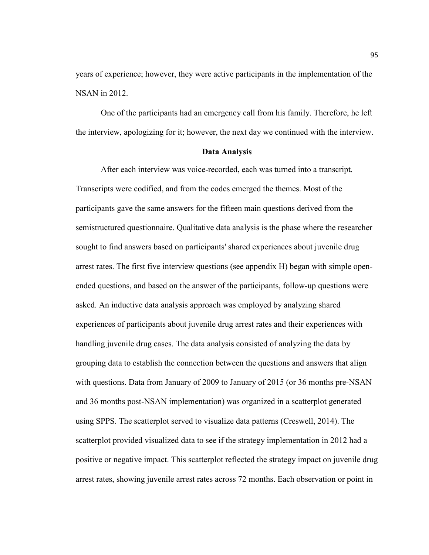years of experience; however, they were active participants in the implementation of the NSAN in 2012.

One of the participants had an emergency call from his family. Therefore, he left the interview, apologizing for it; however, the next day we continued with the interview.

# **Data Analysis**

After each interview was voice-recorded, each was turned into a transcript. Transcripts were codified, and from the codes emerged the themes. Most of the participants gave the same answers for the fifteen main questions derived from the semistructured questionnaire. Qualitative data analysis is the phase where the researcher sought to find answers based on participants' shared experiences about juvenile drug arrest rates. The first five interview questions (see appendix H) began with simple openended questions, and based on the answer of the participants, follow-up questions were asked. An inductive data analysis approach was employed by analyzing shared experiences of participants about juvenile drug arrest rates and their experiences with handling juvenile drug cases. The data analysis consisted of analyzing the data by grouping data to establish the connection between the questions and answers that align with questions. Data from January of 2009 to January of 2015 (or 36 months pre-NSAN and 36 months post-NSAN implementation) was organized in a scatterplot generated using SPPS. The scatterplot served to visualize data patterns (Creswell, 2014). The scatterplot provided visualized data to see if the strategy implementation in 2012 had a positive or negative impact. This scatterplot reflected the strategy impact on juvenile drug arrest rates, showing juvenile arrest rates across 72 months. Each observation or point in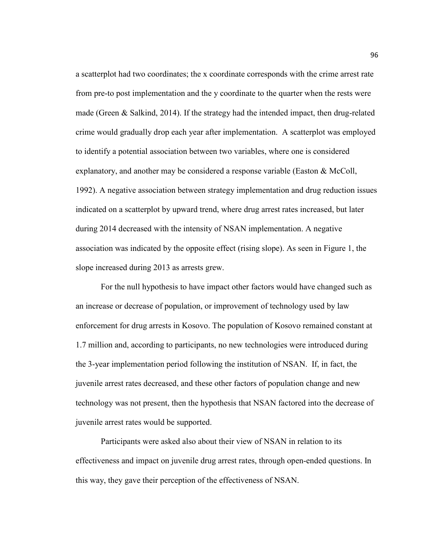a scatterplot had two coordinates; the x coordinate corresponds with the crime arrest rate from pre-to post implementation and the y coordinate to the quarter when the rests were made (Green & Salkind, 2014). If the strategy had the intended impact, then drug-related crime would gradually drop each year after implementation. A scatterplot was employed to identify a potential association between two variables, where one is considered explanatory, and another may be considered a response variable (Easton & McColl, 1992). A negative association between strategy implementation and drug reduction issues indicated on a scatterplot by upward trend, where drug arrest rates increased, but later during 2014 decreased with the intensity of NSAN implementation. A negative association was indicated by the opposite effect (rising slope). As seen in Figure 1, the slope increased during 2013 as arrests grew.

For the null hypothesis to have impact other factors would have changed such as an increase or decrease of population, or improvement of technology used by law enforcement for drug arrests in Kosovo. The population of Kosovo remained constant at 1.7 million and, according to participants, no new technologies were introduced during the 3-year implementation period following the institution of NSAN. If, in fact, the juvenile arrest rates decreased, and these other factors of population change and new technology was not present, then the hypothesis that NSAN factored into the decrease of juvenile arrest rates would be supported.

Participants were asked also about their view of NSAN in relation to its effectiveness and impact on juvenile drug arrest rates, through open-ended questions. In this way, they gave their perception of the effectiveness of NSAN.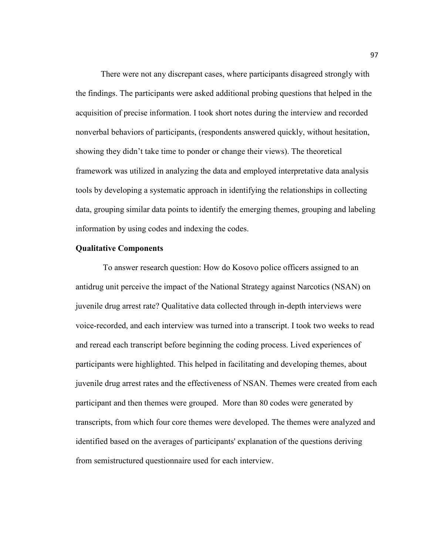There were not any discrepant cases, where participants disagreed strongly with the findings. The participants were asked additional probing questions that helped in the acquisition of precise information. I took short notes during the interview and recorded nonverbal behaviors of participants, (respondents answered quickly, without hesitation, showing they didn't take time to ponder or change their views). The theoretical framework was utilized in analyzing the data and employed interpretative data analysis tools by developing a systematic approach in identifying the relationships in collecting data, grouping similar data points to identify the emerging themes, grouping and labeling information by using codes and indexing the codes.

## **Qualitative Components**

 To answer research question: How do Kosovo police officers assigned to an antidrug unit perceive the impact of the National Strategy against Narcotics (NSAN) on juvenile drug arrest rate? Qualitative data collected through in-depth interviews were voice-recorded, and each interview was turned into a transcript. I took two weeks to read and reread each transcript before beginning the coding process. Lived experiences of participants were highlighted. This helped in facilitating and developing themes, about juvenile drug arrest rates and the effectiveness of NSAN. Themes were created from each participant and then themes were grouped. More than 80 codes were generated by transcripts, from which four core themes were developed. The themes were analyzed and identified based on the averages of participants' explanation of the questions deriving from semistructured questionnaire used for each interview.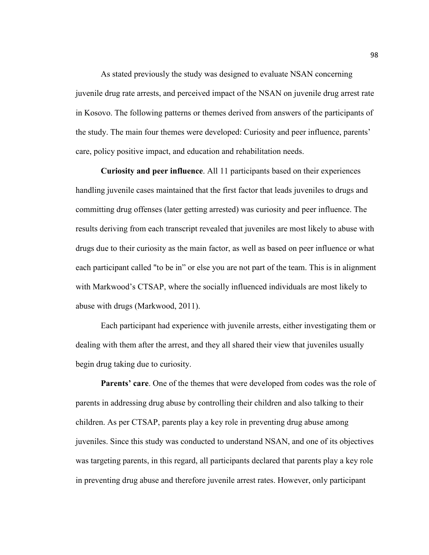As stated previously the study was designed to evaluate NSAN concerning juvenile drug rate arrests, and perceived impact of the NSAN on juvenile drug arrest rate in Kosovo. The following patterns or themes derived from answers of the participants of the study. The main four themes were developed: Curiosity and peer influence, parents' care, policy positive impact, and education and rehabilitation needs.

**Curiosity and peer influence**. All 11 participants based on their experiences handling juvenile cases maintained that the first factor that leads juveniles to drugs and committing drug offenses (later getting arrested) was curiosity and peer influence. The results deriving from each transcript revealed that juveniles are most likely to abuse with drugs due to their curiosity as the main factor, as well as based on peer influence or what each participant called "to be in" or else you are not part of the team. This is in alignment with Markwood's CTSAP, where the socially influenced individuals are most likely to abuse with drugs (Markwood, 2011).

Each participant had experience with juvenile arrests, either investigating them or dealing with them after the arrest, and they all shared their view that juveniles usually begin drug taking due to curiosity.

**Parents' care**. One of the themes that were developed from codes was the role of parents in addressing drug abuse by controlling their children and also talking to their children. As per CTSAP, parents play a key role in preventing drug abuse among juveniles. Since this study was conducted to understand NSAN, and one of its objectives was targeting parents, in this regard, all participants declared that parents play a key role in preventing drug abuse and therefore juvenile arrest rates. However, only participant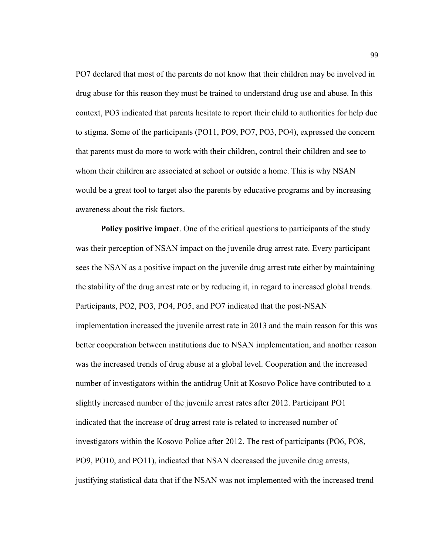PO7 declared that most of the parents do not know that their children may be involved in drug abuse for this reason they must be trained to understand drug use and abuse. In this context, PO3 indicated that parents hesitate to report their child to authorities for help due to stigma. Some of the participants (PO11, PO9, PO7, PO3, PO4), expressed the concern that parents must do more to work with their children, control their children and see to whom their children are associated at school or outside a home. This is why NSAN would be a great tool to target also the parents by educative programs and by increasing awareness about the risk factors.

**Policy positive impact**. One of the critical questions to participants of the study was their perception of NSAN impact on the juvenile drug arrest rate. Every participant sees the NSAN as a positive impact on the juvenile drug arrest rate either by maintaining the stability of the drug arrest rate or by reducing it, in regard to increased global trends. Participants, PO2, PO3, PO4, PO5, and PO7 indicated that the post-NSAN implementation increased the juvenile arrest rate in 2013 and the main reason for this was better cooperation between institutions due to NSAN implementation, and another reason was the increased trends of drug abuse at a global level. Cooperation and the increased number of investigators within the antidrug Unit at Kosovo Police have contributed to a slightly increased number of the juvenile arrest rates after 2012. Participant PO1 indicated that the increase of drug arrest rate is related to increased number of investigators within the Kosovo Police after 2012. The rest of participants (PO6, PO8, PO9, PO10, and PO11), indicated that NSAN decreased the juvenile drug arrests, justifying statistical data that if the NSAN was not implemented with the increased trend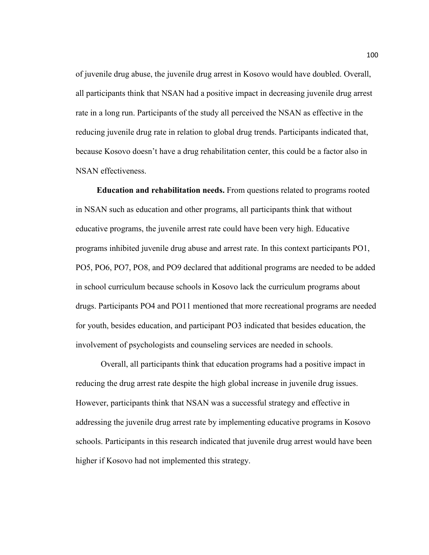of juvenile drug abuse, the juvenile drug arrest in Kosovo would have doubled. Overall, all participants think that NSAN had a positive impact in decreasing juvenile drug arrest rate in a long run. Participants of the study all perceived the NSAN as effective in the reducing juvenile drug rate in relation to global drug trends. Participants indicated that, because Kosovo doesn't have a drug rehabilitation center, this could be a factor also in NSAN effectiveness.

 **Education and rehabilitation needs.** From questions related to programs rooted in NSAN such as education and other programs, all participants think that without educative programs, the juvenile arrest rate could have been very high. Educative programs inhibited juvenile drug abuse and arrest rate. In this context participants PO1, PO5, PO6, PO7, PO8, and PO9 declared that additional programs are needed to be added in school curriculum because schools in Kosovo lack the curriculum programs about drugs. Participants PO4 and PO11 mentioned that more recreational programs are needed for youth, besides education, and participant PO3 indicated that besides education, the involvement of psychologists and counseling services are needed in schools.

Overall, all participants think that education programs had a positive impact in reducing the drug arrest rate despite the high global increase in juvenile drug issues. However, participants think that NSAN was a successful strategy and effective in addressing the juvenile drug arrest rate by implementing educative programs in Kosovo schools. Participants in this research indicated that juvenile drug arrest would have been higher if Kosovo had not implemented this strategy.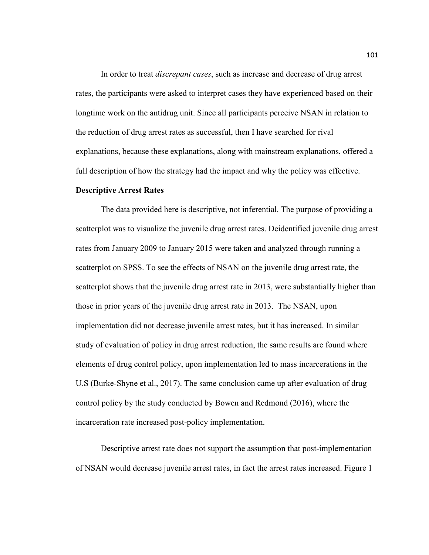In order to treat *discrepant cases*, such as increase and decrease of drug arrest rates, the participants were asked to interpret cases they have experienced based on their longtime work on the antidrug unit. Since all participants perceive NSAN in relation to the reduction of drug arrest rates as successful, then I have searched for rival explanations, because these explanations, along with mainstream explanations, offered a full description of how the strategy had the impact and why the policy was effective.

### **Descriptive Arrest Rates**

The data provided here is descriptive, not inferential. The purpose of providing a scatterplot was to visualize the juvenile drug arrest rates. Deidentified juvenile drug arrest rates from January 2009 to January 2015 were taken and analyzed through running a scatterplot on SPSS. To see the effects of NSAN on the juvenile drug arrest rate, the scatterplot shows that the juvenile drug arrest rate in 2013, were substantially higher than those in prior years of the juvenile drug arrest rate in 2013. The NSAN, upon implementation did not decrease juvenile arrest rates, but it has increased. In similar study of evaluation of policy in drug arrest reduction, the same results are found where elements of drug control policy, upon implementation led to mass incarcerations in the U.S (Burke-Shyne et al., 2017). The same conclusion came up after evaluation of drug control policy by the study conducted by Bowen and Redmond (2016), where the incarceration rate increased post-policy implementation.

Descriptive arrest rate does not support the assumption that post-implementation of NSAN would decrease juvenile arrest rates, in fact the arrest rates increased. Figure 1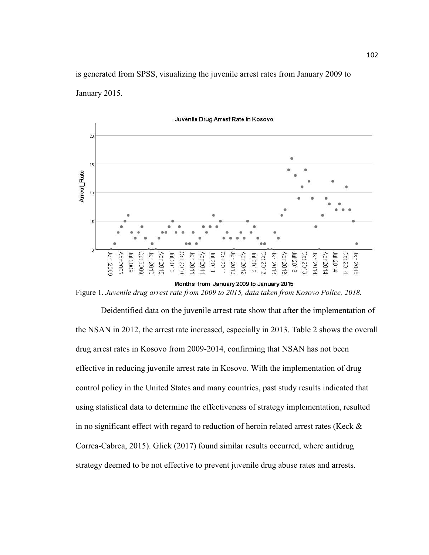is generated from SPSS, visualizing the juvenile arrest rates from January 2009 to January 2015.



Juvenile Drug Arrest Rate in Kosovo

Figure 1. *Juvenile drug arrest rate from 2009 to 2015, data taken from Kosovo Police, 2018.* 

Deidentified data on the juvenile arrest rate show that after the implementation of the NSAN in 2012, the arrest rate increased, especially in 2013. Table 2 shows the overall drug arrest rates in Kosovo from 2009-2014, confirming that NSAN has not been effective in reducing juvenile arrest rate in Kosovo. With the implementation of drug control policy in the United States and many countries, past study results indicated that using statistical data to determine the effectiveness of strategy implementation, resulted in no significant effect with regard to reduction of heroin related arrest rates (Keck & Correa-Cabrea, 2015). Glick (2017) found similar results occurred, where antidrug strategy deemed to be not effective to prevent juvenile drug abuse rates and arrests.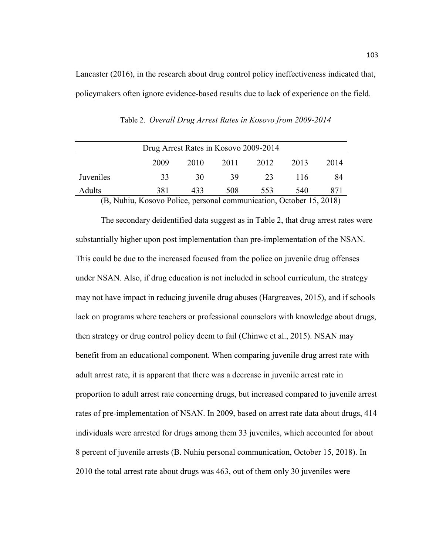Lancaster (2016), in the research about drug control policy ineffectiveness indicated that, policymakers often ignore evidence-based results due to lack of experience on the field.

| Drug Arrest Rates in Kosovo 2009-2014 |      |      |      |      |      |      |
|---------------------------------------|------|------|------|------|------|------|
|                                       | 2009 | 2010 | 2011 | 2012 | 2013 | 2014 |
| Juveniles                             | 33   | 30   | 39   | 23   | 116  | 84   |
| Adults                                | 381  | 433  | 508  | 553  | 540  | 871  |

Table 2. *Overall Drug Arrest Rates in Kosovo from 2009-2014*

(B, Nuhiu, Kosovo Police, personal communication, October 15, 2018)

The secondary deidentified data suggest as in Table 2, that drug arrest rates were substantially higher upon post implementation than pre-implementation of the NSAN. This could be due to the increased focused from the police on juvenile drug offenses under NSAN. Also, if drug education is not included in school curriculum, the strategy may not have impact in reducing juvenile drug abuses (Hargreaves, 2015), and if schools lack on programs where teachers or professional counselors with knowledge about drugs, then strategy or drug control policy deem to fail (Chinwe et al., 2015). NSAN may benefit from an educational component. When comparing juvenile drug arrest rate with adult arrest rate, it is apparent that there was a decrease in juvenile arrest rate in proportion to adult arrest rate concerning drugs, but increased compared to juvenile arrest rates of pre-implementation of NSAN. In 2009, based on arrest rate data about drugs, 414 individuals were arrested for drugs among them 33 juveniles, which accounted for about 8 percent of juvenile arrests (B. Nuhiu personal communication, October 15, 2018). In 2010 the total arrest rate about drugs was 463, out of them only 30 juveniles were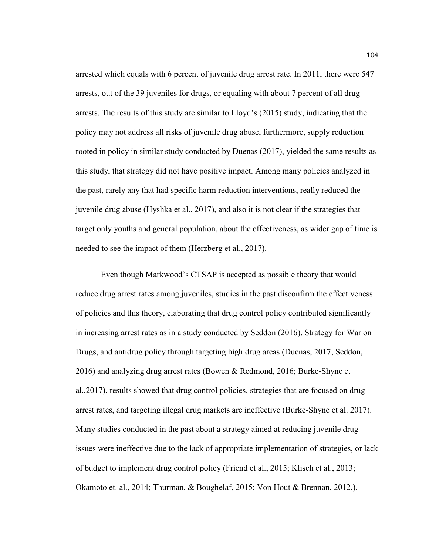arrested which equals with 6 percent of juvenile drug arrest rate. In 2011, there were 547 arrests, out of the 39 juveniles for drugs, or equaling with about 7 percent of all drug arrests. The results of this study are similar to Lloyd's (2015) study, indicating that the policy may not address all risks of juvenile drug abuse, furthermore, supply reduction rooted in policy in similar study conducted by Duenas (2017), yielded the same results as this study, that strategy did not have positive impact. Among many policies analyzed in the past, rarely any that had specific harm reduction interventions, really reduced the juvenile drug abuse (Hyshka et al., 2017), and also it is not clear if the strategies that target only youths and general population, about the effectiveness, as wider gap of time is needed to see the impact of them (Herzberg et al., 2017).

Even though Markwood's CTSAP is accepted as possible theory that would reduce drug arrest rates among juveniles, studies in the past disconfirm the effectiveness of policies and this theory, elaborating that drug control policy contributed significantly in increasing arrest rates as in a study conducted by Seddon (2016). Strategy for War on Drugs, and antidrug policy through targeting high drug areas (Duenas, 2017; Seddon, 2016) and analyzing drug arrest rates (Bowen & Redmond, 2016; Burke-Shyne et al.,2017), results showed that drug control policies, strategies that are focused on drug arrest rates, and targeting illegal drug markets are ineffective (Burke-Shyne et al. 2017). Many studies conducted in the past about a strategy aimed at reducing juvenile drug issues were ineffective due to the lack of appropriate implementation of strategies, or lack of budget to implement drug control policy (Friend et al., 2015; Klisch et al., 2013; Okamoto et. al., 2014; Thurman, & Boughelaf, 2015; Von Hout & Brennan, 2012,).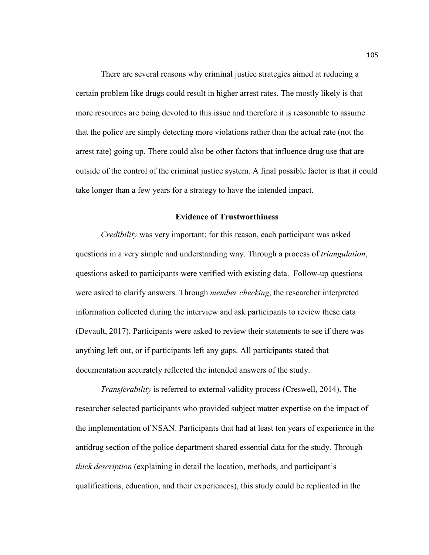There are several reasons why criminal justice strategies aimed at reducing a certain problem like drugs could result in higher arrest rates. The mostly likely is that more resources are being devoted to this issue and therefore it is reasonable to assume that the police are simply detecting more violations rather than the actual rate (not the arrest rate) going up. There could also be other factors that influence drug use that are outside of the control of the criminal justice system. A final possible factor is that it could take longer than a few years for a strategy to have the intended impact.

## **Evidence of Trustworthiness**

*Credibility* was very important; for this reason, each participant was asked questions in a very simple and understanding way. Through a process of *triangulation*, questions asked to participants were verified with existing data. Follow-up questions were asked to clarify answers. Through *member checking*, the researcher interpreted information collected during the interview and ask participants to review these data (Devault, 2017). Participants were asked to review their statements to see if there was anything left out, or if participants left any gaps. All participants stated that documentation accurately reflected the intended answers of the study.

*Transferability* is referred to external validity process (Creswell, 2014). The researcher selected participants who provided subject matter expertise on the impact of the implementation of NSAN. Participants that had at least ten years of experience in the antidrug section of the police department shared essential data for the study. Through *thick description* (explaining in detail the location, methods, and participant's qualifications, education, and their experiences), this study could be replicated in the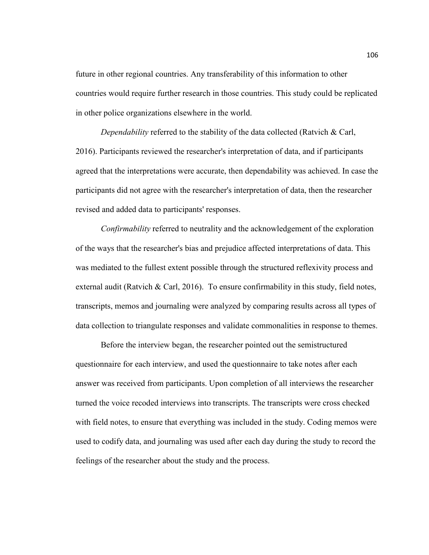future in other regional countries. Any transferability of this information to other countries would require further research in those countries. This study could be replicated in other police organizations elsewhere in the world.

*Dependability* referred to the stability of the data collected (Ratvich & Carl, 2016). Participants reviewed the researcher's interpretation of data, and if participants agreed that the interpretations were accurate, then dependability was achieved. In case the participants did not agree with the researcher's interpretation of data, then the researcher revised and added data to participants' responses.

*Confirmability* referred to neutrality and the acknowledgement of the exploration of the ways that the researcher's bias and prejudice affected interpretations of data. This was mediated to the fullest extent possible through the structured reflexivity process and external audit (Ratvich & Carl, 2016). To ensure confirmability in this study, field notes, transcripts, memos and journaling were analyzed by comparing results across all types of data collection to triangulate responses and validate commonalities in response to themes.

Before the interview began, the researcher pointed out the semistructured questionnaire for each interview, and used the questionnaire to take notes after each answer was received from participants. Upon completion of all interviews the researcher turned the voice recoded interviews into transcripts. The transcripts were cross checked with field notes, to ensure that everything was included in the study. Coding memos were used to codify data, and journaling was used after each day during the study to record the feelings of the researcher about the study and the process.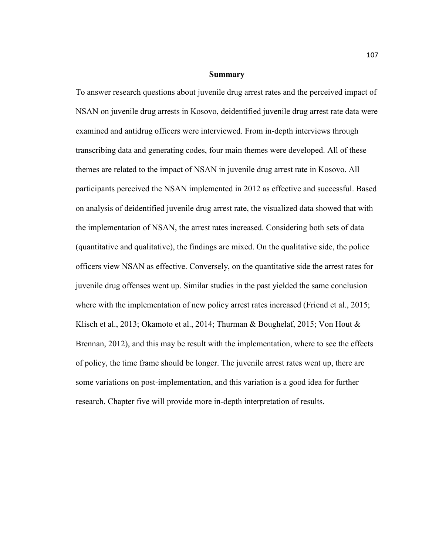#### **Summary**

To answer research questions about juvenile drug arrest rates and the perceived impact of NSAN on juvenile drug arrests in Kosovo, deidentified juvenile drug arrest rate data were examined and antidrug officers were interviewed. From in-depth interviews through transcribing data and generating codes, four main themes were developed. All of these themes are related to the impact of NSAN in juvenile drug arrest rate in Kosovo. All participants perceived the NSAN implemented in 2012 as effective and successful. Based on analysis of deidentified juvenile drug arrest rate, the visualized data showed that with the implementation of NSAN, the arrest rates increased. Considering both sets of data (quantitative and qualitative), the findings are mixed. On the qualitative side, the police officers view NSAN as effective. Conversely, on the quantitative side the arrest rates for juvenile drug offenses went up. Similar studies in the past yielded the same conclusion where with the implementation of new policy arrest rates increased (Friend et al., 2015; Klisch et al., 2013; Okamoto et al., 2014; Thurman & Boughelaf, 2015; Von Hout & Brennan, 2012), and this may be result with the implementation, where to see the effects of policy, the time frame should be longer. The juvenile arrest rates went up, there are some variations on post-implementation, and this variation is a good idea for further research. Chapter five will provide more in-depth interpretation of results.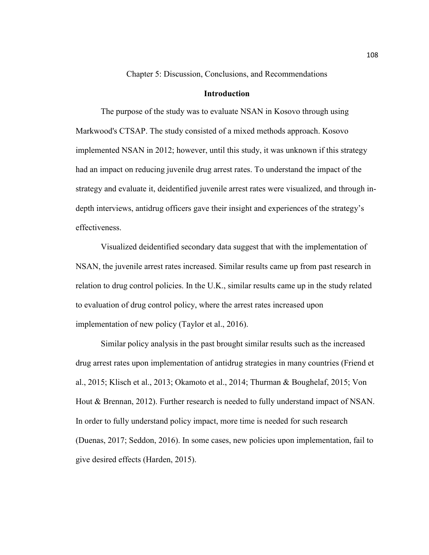Chapter 5: Discussion, Conclusions, and Recommendations

## **Introduction**

The purpose of the study was to evaluate NSAN in Kosovo through using Markwood's CTSAP. The study consisted of a mixed methods approach. Kosovo implemented NSAN in 2012; however, until this study, it was unknown if this strategy had an impact on reducing juvenile drug arrest rates. To understand the impact of the strategy and evaluate it, deidentified juvenile arrest rates were visualized, and through indepth interviews, antidrug officers gave their insight and experiences of the strategy's effectiveness.

Visualized deidentified secondary data suggest that with the implementation of NSAN, the juvenile arrest rates increased. Similar results came up from past research in relation to drug control policies. In the U.K., similar results came up in the study related to evaluation of drug control policy, where the arrest rates increased upon implementation of new policy (Taylor et al., 2016).

Similar policy analysis in the past brought similar results such as the increased drug arrest rates upon implementation of antidrug strategies in many countries (Friend et al., 2015; Klisch et al., 2013; Okamoto et al., 2014; Thurman & Boughelaf, 2015; Von Hout & Brennan, 2012). Further research is needed to fully understand impact of NSAN. In order to fully understand policy impact, more time is needed for such research (Duenas, 2017; Seddon, 2016). In some cases, new policies upon implementation, fail to give desired effects (Harden, 2015).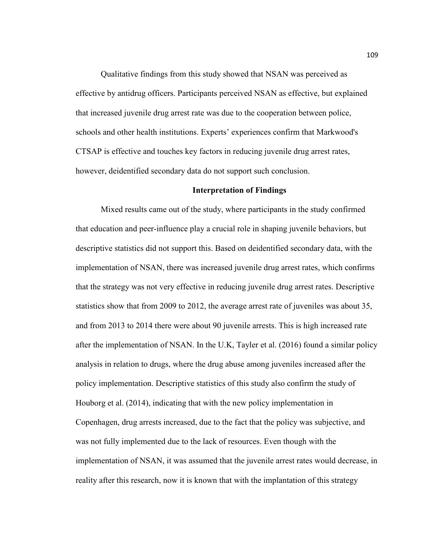Qualitative findings from this study showed that NSAN was perceived as effective by antidrug officers. Participants perceived NSAN as effective, but explained that increased juvenile drug arrest rate was due to the cooperation between police, schools and other health institutions. Experts' experiences confirm that Markwood's CTSAP is effective and touches key factors in reducing juvenile drug arrest rates, however, deidentified secondary data do not support such conclusion.

### **Interpretation of Findings**

Mixed results came out of the study, where participants in the study confirmed that education and peer-influence play a crucial role in shaping juvenile behaviors, but descriptive statistics did not support this. Based on deidentified secondary data, with the implementation of NSAN, there was increased juvenile drug arrest rates, which confirms that the strategy was not very effective in reducing juvenile drug arrest rates. Descriptive statistics show that from 2009 to 2012, the average arrest rate of juveniles was about 35, and from 2013 to 2014 there were about 90 juvenile arrests. This is high increased rate after the implementation of NSAN. In the U.K, Tayler et al. (2016) found a similar policy analysis in relation to drugs, where the drug abuse among juveniles increased after the policy implementation. Descriptive statistics of this study also confirm the study of Houborg et al. (2014), indicating that with the new policy implementation in Copenhagen, drug arrests increased, due to the fact that the policy was subjective, and was not fully implemented due to the lack of resources. Even though with the implementation of NSAN, it was assumed that the juvenile arrest rates would decrease, in reality after this research, now it is known that with the implantation of this strategy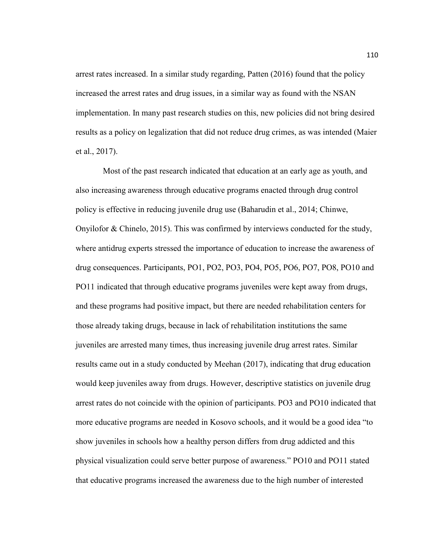arrest rates increased. In a similar study regarding, Patten (2016) found that the policy increased the arrest rates and drug issues, in a similar way as found with the NSAN implementation. In many past research studies on this, new policies did not bring desired results as a policy on legalization that did not reduce drug crimes, as was intended (Maier et al., 2017).

 Most of the past research indicated that education at an early age as youth, and also increasing awareness through educative programs enacted through drug control policy is effective in reducing juvenile drug use (Baharudin et al., 2014; Chinwe, Onyilofor & Chinelo, 2015). This was confirmed by interviews conducted for the study, where antidrug experts stressed the importance of education to increase the awareness of drug consequences. Participants, PO1, PO2, PO3, PO4, PO5, PO6, PO7, PO8, PO10 and PO11 indicated that through educative programs juveniles were kept away from drugs, and these programs had positive impact, but there are needed rehabilitation centers for those already taking drugs, because in lack of rehabilitation institutions the same juveniles are arrested many times, thus increasing juvenile drug arrest rates. Similar results came out in a study conducted by Meehan (2017), indicating that drug education would keep juveniles away from drugs. However, descriptive statistics on juvenile drug arrest rates do not coincide with the opinion of participants. PO3 and PO10 indicated that more educative programs are needed in Kosovo schools, and it would be a good idea "to show juveniles in schools how a healthy person differs from drug addicted and this physical visualization could serve better purpose of awareness." PO10 and PO11 stated that educative programs increased the awareness due to the high number of interested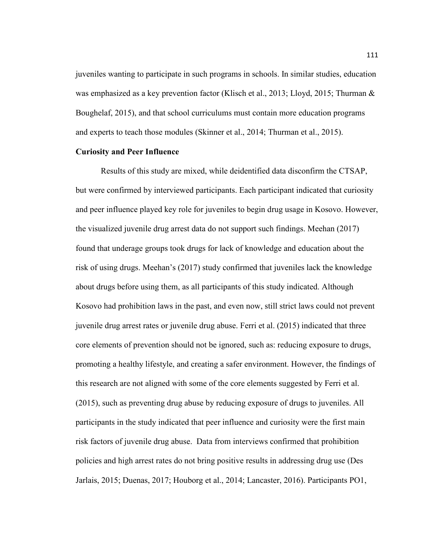juveniles wanting to participate in such programs in schools. In similar studies, education was emphasized as a key prevention factor (Klisch et al., 2013; Lloyd, 2015; Thurman  $\&$ Boughelaf, 2015), and that school curriculums must contain more education programs and experts to teach those modules (Skinner et al., 2014; Thurman et al., 2015).

## **Curiosity and Peer Influence**

Results of this study are mixed, while deidentified data disconfirm the CTSAP, but were confirmed by interviewed participants. Each participant indicated that curiosity and peer influence played key role for juveniles to begin drug usage in Kosovo. However, the visualized juvenile drug arrest data do not support such findings. Meehan (2017) found that underage groups took drugs for lack of knowledge and education about the risk of using drugs. Meehan's (2017) study confirmed that juveniles lack the knowledge about drugs before using them, as all participants of this study indicated. Although Kosovo had prohibition laws in the past, and even now, still strict laws could not prevent juvenile drug arrest rates or juvenile drug abuse. Ferri et al. (2015) indicated that three core elements of prevention should not be ignored, such as: reducing exposure to drugs, promoting a healthy lifestyle, and creating a safer environment. However, the findings of this research are not aligned with some of the core elements suggested by Ferri et al. (2015), such as preventing drug abuse by reducing exposure of drugs to juveniles. All participants in the study indicated that peer influence and curiosity were the first main risk factors of juvenile drug abuse. Data from interviews confirmed that prohibition policies and high arrest rates do not bring positive results in addressing drug use (Des Jarlais, 2015; Duenas, 2017; Houborg et al., 2014; Lancaster, 2016). Participants PO1,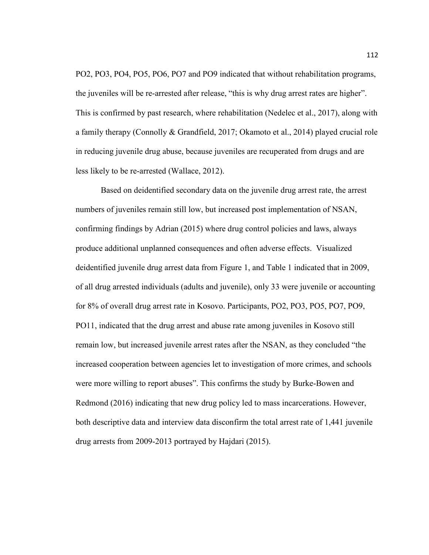PO2, PO3, PO4, PO5, PO6, PO7 and PO9 indicated that without rehabilitation programs, the juveniles will be re-arrested after release, "this is why drug arrest rates are higher". This is confirmed by past research, where rehabilitation (Nedelec et al., 2017), along with a family therapy (Connolly & Grandfield, 2017; Okamoto et al., 2014) played crucial role in reducing juvenile drug abuse, because juveniles are recuperated from drugs and are less likely to be re-arrested (Wallace, 2012).

Based on deidentified secondary data on the juvenile drug arrest rate, the arrest numbers of juveniles remain still low, but increased post implementation of NSAN, confirming findings by Adrian (2015) where drug control policies and laws, always produce additional unplanned consequences and often adverse effects. Visualized deidentified juvenile drug arrest data from Figure 1, and Table 1 indicated that in 2009, of all drug arrested individuals (adults and juvenile), only 33 were juvenile or accounting for 8% of overall drug arrest rate in Kosovo. Participants, PO2, PO3, PO5, PO7, PO9, PO11, indicated that the drug arrest and abuse rate among juveniles in Kosovo still remain low, but increased juvenile arrest rates after the NSAN, as they concluded "the increased cooperation between agencies let to investigation of more crimes, and schools were more willing to report abuses". This confirms the study by Burke-Bowen and Redmond (2016) indicating that new drug policy led to mass incarcerations. However, both descriptive data and interview data disconfirm the total arrest rate of 1,441 juvenile drug arrests from 2009-2013 portrayed by Hajdari (2015).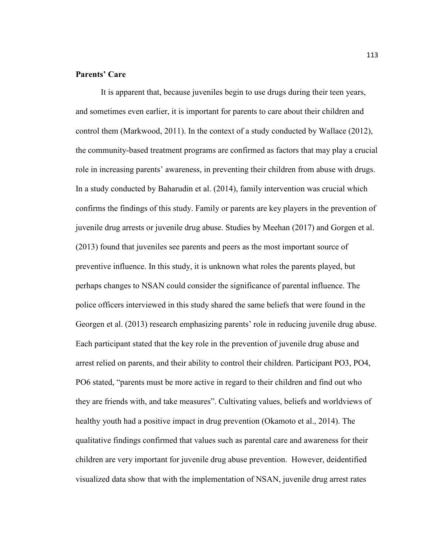# **Parents' Care**

It is apparent that, because juveniles begin to use drugs during their teen years, and sometimes even earlier, it is important for parents to care about their children and control them (Markwood, 2011). In the context of a study conducted by Wallace (2012), the community-based treatment programs are confirmed as factors that may play a crucial role in increasing parents' awareness, in preventing their children from abuse with drugs. In a study conducted by Baharudin et al. (2014), family intervention was crucial which confirms the findings of this study. Family or parents are key players in the prevention of juvenile drug arrests or juvenile drug abuse. Studies by Meehan (2017) and Gorgen et al. (2013) found that juveniles see parents and peers as the most important source of preventive influence. In this study, it is unknown what roles the parents played, but perhaps changes to NSAN could consider the significance of parental influence. The police officers interviewed in this study shared the same beliefs that were found in the Georgen et al. (2013) research emphasizing parents' role in reducing juvenile drug abuse. Each participant stated that the key role in the prevention of juvenile drug abuse and arrest relied on parents, and their ability to control their children. Participant PO3, PO4, PO6 stated, "parents must be more active in regard to their children and find out who they are friends with, and take measures". Cultivating values, beliefs and worldviews of healthy youth had a positive impact in drug prevention (Okamoto et al., 2014). The qualitative findings confirmed that values such as parental care and awareness for their children are very important for juvenile drug abuse prevention. However, deidentified visualized data show that with the implementation of NSAN, juvenile drug arrest rates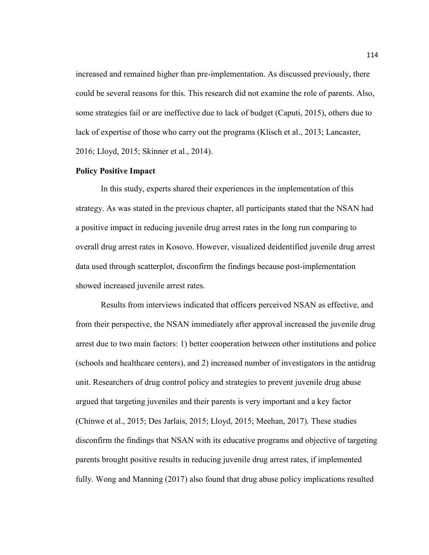increased and remained higher than pre-implementation. As discussed previously, there could be several reasons for this. This research did not examine the role of parents. Also, some strategies fail or are ineffective due to lack of budget (Caputi, 2015), others due to lack of expertise of those who carry out the programs (Klisch et al., 2013; Lancaster, 2016; Lloyd, 2015; Skinner et al., 2014).

# **Policy Positive Impact**

In this study, experts shared their experiences in the implementation of this strategy. As was stated in the previous chapter, all participants stated that the NSAN had a positive impact in reducing juvenile drug arrest rates in the long run comparing to overall drug arrest rates in Kosovo. However, visualized deidentified juvenile drug arrest data used through scatterplot, disconfirm the findings because post-implementation showed increased juvenile arrest rates.

Results from interviews indicated that officers perceived NSAN as effective, and from their perspective, the NSAN immediately after approval increased the juvenile drug arrest due to two main factors: 1) better cooperation between other institutions and police (schools and healthcare centers), and 2) increased number of investigators in the antidrug unit. Researchers of drug control policy and strategies to prevent juvenile drug abuse argued that targeting juveniles and their parents is very important and a key factor (Chinwe et al., 2015; Des Jarlais, 2015; Lloyd, 2015; Meehan, 2017). These studies disconfirm the findings that NSAN with its educative programs and objective of targeting parents brought positive results in reducing juvenile drug arrest rates, if implemented fully. Wong and Manning (2017) also found that drug abuse policy implications resulted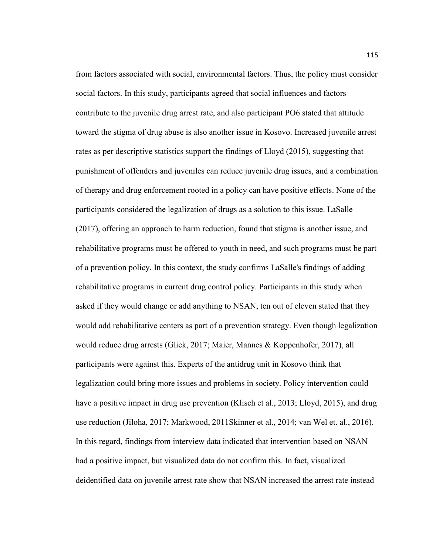from factors associated with social, environmental factors. Thus, the policy must consider social factors. In this study, participants agreed that social influences and factors contribute to the juvenile drug arrest rate, and also participant PO6 stated that attitude toward the stigma of drug abuse is also another issue in Kosovo. Increased juvenile arrest rates as per descriptive statistics support the findings of Lloyd (2015), suggesting that punishment of offenders and juveniles can reduce juvenile drug issues, and a combination of therapy and drug enforcement rooted in a policy can have positive effects. None of the participants considered the legalization of drugs as a solution to this issue. LaSalle (2017), offering an approach to harm reduction, found that stigma is another issue, and rehabilitative programs must be offered to youth in need, and such programs must be part of a prevention policy. In this context, the study confirms LaSalle's findings of adding rehabilitative programs in current drug control policy. Participants in this study when asked if they would change or add anything to NSAN, ten out of eleven stated that they would add rehabilitative centers as part of a prevention strategy. Even though legalization would reduce drug arrests (Glick, 2017; Maier, Mannes & Koppenhofer, 2017), all participants were against this. Experts of the antidrug unit in Kosovo think that legalization could bring more issues and problems in society. Policy intervention could have a positive impact in drug use prevention (Klisch et al., 2013; Lloyd, 2015), and drug use reduction (Jiloha, 2017; Markwood, 2011Skinner et al., 2014; van Wel et. al., 2016). In this regard, findings from interview data indicated that intervention based on NSAN had a positive impact, but visualized data do not confirm this. In fact, visualized deidentified data on juvenile arrest rate show that NSAN increased the arrest rate instead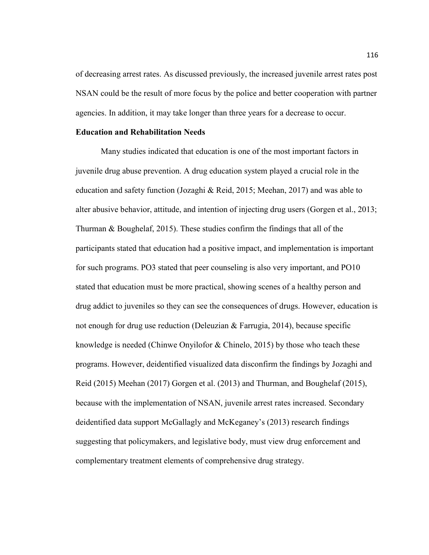of decreasing arrest rates. As discussed previously, the increased juvenile arrest rates post NSAN could be the result of more focus by the police and better cooperation with partner agencies. In addition, it may take longer than three years for a decrease to occur.

## **Education and Rehabilitation Needs**

Many studies indicated that education is one of the most important factors in juvenile drug abuse prevention. A drug education system played a crucial role in the education and safety function (Jozaghi & Reid, 2015; Meehan, 2017) and was able to alter abusive behavior, attitude, and intention of injecting drug users (Gorgen et al., 2013; Thurman & Boughelaf, 2015). These studies confirm the findings that all of the participants stated that education had a positive impact, and implementation is important for such programs. PO3 stated that peer counseling is also very important, and PO10 stated that education must be more practical, showing scenes of a healthy person and drug addict to juveniles so they can see the consequences of drugs. However, education is not enough for drug use reduction (Deleuzian  $\&$  Farrugia, 2014), because specific knowledge is needed (Chinwe Onyilofor & Chinelo, 2015) by those who teach these programs. However, deidentified visualized data disconfirm the findings by Jozaghi and Reid (2015) Meehan (2017) Gorgen et al. (2013) and Thurman, and Boughelaf (2015), because with the implementation of NSAN, juvenile arrest rates increased. Secondary deidentified data support McGallagly and McKeganey's (2013) research findings suggesting that policymakers, and legislative body, must view drug enforcement and complementary treatment elements of comprehensive drug strategy.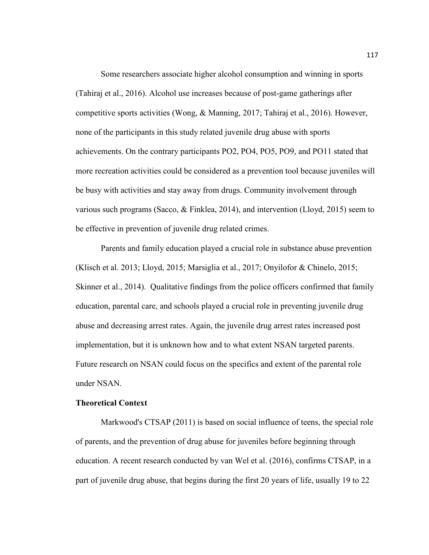Some researchers associate higher alcohol consumption and winning in sports (Tahiraj et al., 2016). Alcohol use increases because of post-game gatherings after competitive sports activities (Wong, & Manning, 2017; Tahiraj et al., 2016). However, none of the participants in this study related juvenile drug abuse with sports achievements. On the contrary participants PO2, PO4, PO5, PO9, and PO11 stated that more recreation activities could be considered as a prevention tool because juveniles will be busy with activities and stay away from drugs. Community involvement through various such programs (Sacco, & Finklea, 2014), and intervention (Lloyd, 2015) seem to be effective in prevention of juvenile drug related crimes.

Parents and family education played a crucial role in substance abuse prevention (Klisch et al. 2013; Lloyd, 2015; Marsiglia et al., 2017; Onyilofor & Chinelo, 2015; Skinner et al., 2014). Qualitative findings from the police officers confirmed that family education, parental care, and schools played a crucial role in preventing juvenile drug abuse and decreasing arrest rates. Again, the juvenile drug arrest rates increased post implementation, but it is unknown how and to what extent NSAN targeted parents. Future research on NSAN could focus on the specifics and extent of the parental role under NSAN.

# **Theoretical Context**

Markwood's CTSAP (2011) is based on social influence of teens, the special role of parents, and the prevention of drug abuse for juveniles before beginning through education. A recent research conducted by van Wel et al. (2016), confirms CTSAP, in a part of juvenile drug abuse, that begins during the first 20 years of life, usually 19 to 22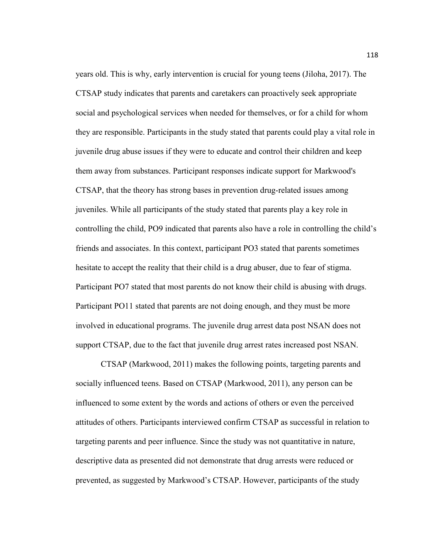years old. This is why, early intervention is crucial for young teens (Jiloha, 2017). The CTSAP study indicates that parents and caretakers can proactively seek appropriate social and psychological services when needed for themselves, or for a child for whom they are responsible. Participants in the study stated that parents could play a vital role in juvenile drug abuse issues if they were to educate and control their children and keep them away from substances. Participant responses indicate support for Markwood's CTSAP, that the theory has strong bases in prevention drug-related issues among juveniles. While all participants of the study stated that parents play a key role in controlling the child, PO9 indicated that parents also have a role in controlling the child's friends and associates. In this context, participant PO3 stated that parents sometimes hesitate to accept the reality that their child is a drug abuser, due to fear of stigma. Participant PO7 stated that most parents do not know their child is abusing with drugs. Participant PO11 stated that parents are not doing enough, and they must be more involved in educational programs. The juvenile drug arrest data post NSAN does not support CTSAP, due to the fact that juvenile drug arrest rates increased post NSAN.

CTSAP (Markwood, 2011) makes the following points, targeting parents and socially influenced teens. Based on CTSAP (Markwood, 2011), any person can be influenced to some extent by the words and actions of others or even the perceived attitudes of others. Participants interviewed confirm CTSAP as successful in relation to targeting parents and peer influence. Since the study was not quantitative in nature, descriptive data as presented did not demonstrate that drug arrests were reduced or prevented, as suggested by Markwood's CTSAP. However, participants of the study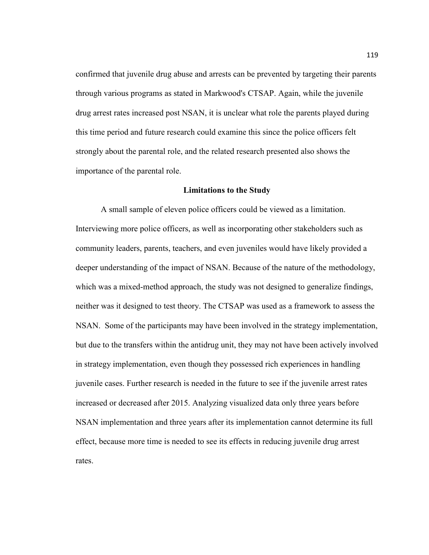confirmed that juvenile drug abuse and arrests can be prevented by targeting their parents through various programs as stated in Markwood's CTSAP. Again, while the juvenile drug arrest rates increased post NSAN, it is unclear what role the parents played during this time period and future research could examine this since the police officers felt strongly about the parental role, and the related research presented also shows the importance of the parental role.

#### **Limitations to the Study**

A small sample of eleven police officers could be viewed as a limitation. Interviewing more police officers, as well as incorporating other stakeholders such as community leaders, parents, teachers, and even juveniles would have likely provided a deeper understanding of the impact of NSAN. Because of the nature of the methodology, which was a mixed-method approach, the study was not designed to generalize findings, neither was it designed to test theory. The CTSAP was used as a framework to assess the NSAN. Some of the participants may have been involved in the strategy implementation, but due to the transfers within the antidrug unit, they may not have been actively involved in strategy implementation, even though they possessed rich experiences in handling juvenile cases. Further research is needed in the future to see if the juvenile arrest rates increased or decreased after 2015. Analyzing visualized data only three years before NSAN implementation and three years after its implementation cannot determine its full effect, because more time is needed to see its effects in reducing juvenile drug arrest rates.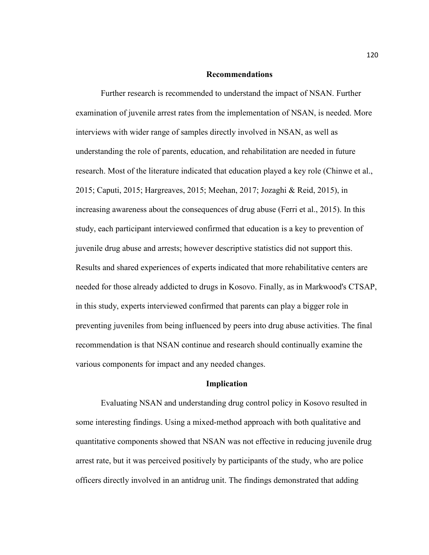#### **Recommendations**

Further research is recommended to understand the impact of NSAN. Further examination of juvenile arrest rates from the implementation of NSAN, is needed. More interviews with wider range of samples directly involved in NSAN, as well as understanding the role of parents, education, and rehabilitation are needed in future research. Most of the literature indicated that education played a key role (Chinwe et al., 2015; Caputi, 2015; Hargreaves, 2015; Meehan, 2017; Jozaghi & Reid, 2015), in increasing awareness about the consequences of drug abuse (Ferri et al., 2015). In this study, each participant interviewed confirmed that education is a key to prevention of juvenile drug abuse and arrests; however descriptive statistics did not support this. Results and shared experiences of experts indicated that more rehabilitative centers are needed for those already addicted to drugs in Kosovo. Finally, as in Markwood's CTSAP, in this study, experts interviewed confirmed that parents can play a bigger role in preventing juveniles from being influenced by peers into drug abuse activities. The final recommendation is that NSAN continue and research should continually examine the various components for impact and any needed changes.

## **Implication**

Evaluating NSAN and understanding drug control policy in Kosovo resulted in some interesting findings. Using a mixed-method approach with both qualitative and quantitative components showed that NSAN was not effective in reducing juvenile drug arrest rate, but it was perceived positively by participants of the study, who are police officers directly involved in an antidrug unit. The findings demonstrated that adding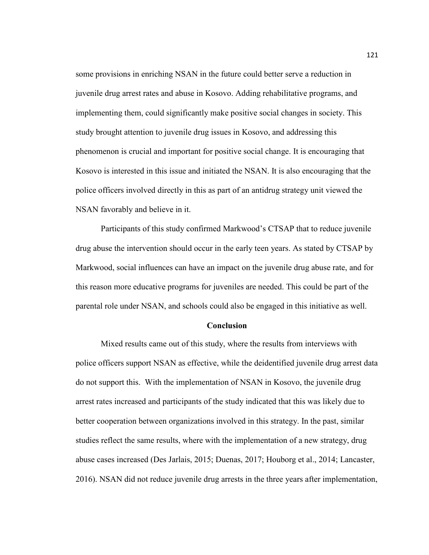some provisions in enriching NSAN in the future could better serve a reduction in juvenile drug arrest rates and abuse in Kosovo. Adding rehabilitative programs, and implementing them, could significantly make positive social changes in society. This study brought attention to juvenile drug issues in Kosovo, and addressing this phenomenon is crucial and important for positive social change. It is encouraging that Kosovo is interested in this issue and initiated the NSAN. It is also encouraging that the police officers involved directly in this as part of an antidrug strategy unit viewed the NSAN favorably and believe in it.

Participants of this study confirmed Markwood's CTSAP that to reduce juvenile drug abuse the intervention should occur in the early teen years. As stated by CTSAP by Markwood, social influences can have an impact on the juvenile drug abuse rate, and for this reason more educative programs for juveniles are needed. This could be part of the parental role under NSAN, and schools could also be engaged in this initiative as well.

#### **Conclusion**

Mixed results came out of this study, where the results from interviews with police officers support NSAN as effective, while the deidentified juvenile drug arrest data do not support this. With the implementation of NSAN in Kosovo, the juvenile drug arrest rates increased and participants of the study indicated that this was likely due to better cooperation between organizations involved in this strategy. In the past, similar studies reflect the same results, where with the implementation of a new strategy, drug abuse cases increased (Des Jarlais, 2015; Duenas, 2017; Houborg et al., 2014; Lancaster, 2016). NSAN did not reduce juvenile drug arrests in the three years after implementation,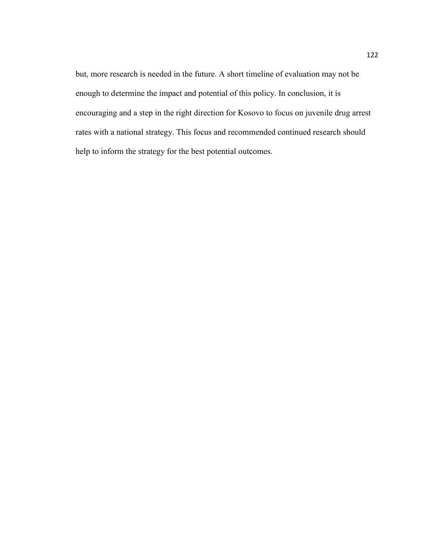but, more research is needed in the future. A short timeline of evaluation may not be enough to determine the impact and potential of this policy. In conclusion, it is encouraging and a step in the right direction for Kosovo to focus on juvenile drug arrest rates with a national strategy. This focus and recommended continued research should help to inform the strategy for the best potential outcomes.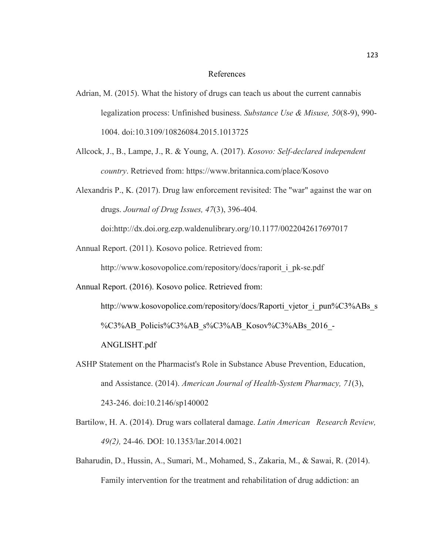#### References

- Adrian, M. (2015). What the history of drugs can teach us about the current cannabis legalization process: Unfinished business. *Substance Use & Misuse, 50*(8-9), 990- 1004. doi:10.3109/10826084.2015.1013725
- Allcock, J., B., Lampe, J., R. & Young, A. (2017). *Kosovo: Self-declared independent country*. Retrieved from: https://www.britannica.com/place/Kosovo
- Alexandris P., K. (2017). Drug law enforcement revisited: The "war" against the war on drugs. *Journal of Drug Issues, 47*(3), 396-404*.*

doi:http://dx.doi.org.ezp.waldenulibrary.org/10.1177/0022042617697017

Annual Report. (2011). Kosovo police. Retrieved from:

http://www.kosovopolice.com/repository/docs/raporit\_i\_pk-se.pdf

Annual Report. (2016). Kosovo police. Retrieved from:

http://www.kosovopolice.com/repository/docs/Raporti\_vjetor\_i\_pun%C3%ABs\_s %C3%AB\_Policis%C3%AB\_s%C3%AB\_Kosov%C3%ABs\_2016\_-ANGLISHT.pdf

- ASHP Statement on the Pharmacist's Role in Substance Abuse Prevention, Education, and Assistance. (2014). *American Journal of Health-System Pharmacy, 71*(3), 243-246. doi:10.2146/sp140002
- Bartilow, H. A. (2014). Drug wars collateral damage. *Latin American Research Review, 49(2),* 24-46. DOI: 10.1353/lar.2014.0021
- Baharudin, D., Hussin, A., Sumari, M., Mohamed, S., Zakaria, M., & Sawai, R. (2014). Family intervention for the treatment and rehabilitation of drug addiction: an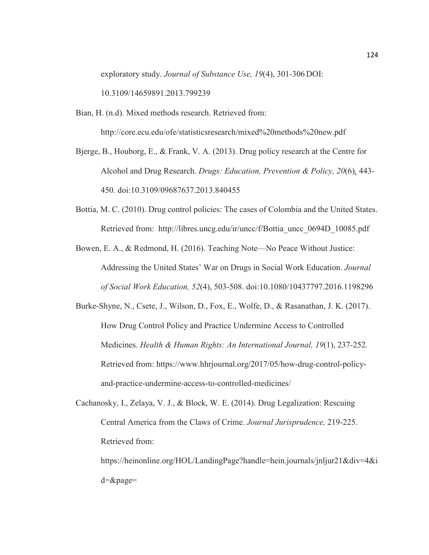exploratory study. *Journal of Substance Use, 19*(4), 301-306*.*DOI: 10.3109/14659891.2013.799239

Bian, H. (n.d). Mixed methods research. Retrieved from: http://core.ecu.edu/ofe/statisticsresearch/mixed%20methods%20new.pdf

Bjerge, B., Houborg, E., & Frank, V. A. (2013). Drug policy research at the Centre for Alcohol and Drug Research. *Drugs: Education, Prevention & Policy, 20*(6)*,* 443- 450*.* doi:10.3109/09687637.2013.840455

Bottia, M. C. (2010). Drug control policies: The cases of Colombia and the United States. Retrieved from: http://libres.uncg.edu/ir/uncc/f/Bottia\_uncc\_0694D\_10085.pdf

Bowen, E. A., & Redmond, H. (2016). Teaching Note—No Peace Without Justice: Addressing the United States' War on Drugs in Social Work Education. *Journal of Social Work Education, 52*(4), 503-508. doi:10.1080/10437797.2016.1198296

Burke-Shyne, N., Csete, J., Wilson, D., Fox, E., Wolfe, D., & Rasanathan, J. K. (2017). How Drug Control Policy and Practice Undermine Access to Controlled Medicines. *Health & Human Rights: An International Journal, 19*(1), 237-252*.* Retrieved from: https://www.hhrjournal.org/2017/05/how-drug-control-policyand-practice-undermine-access-to-controlled-medicines/

Cachanosky, I., Zelaya, V. J., & Block, W. E. (2014). Drug Legalization: Rescuing Central America from the Claws of Crime. *Journal Jurisprudence,* 219-225. Retrieved from:

https://heinonline.org/HOL/LandingPage?handle=hein.journals/jnljur21&div=4&i d=&page=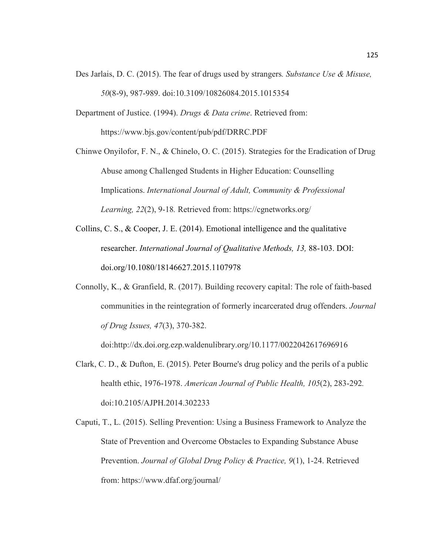- Des Jarlais, D. C. (2015). The fear of drugs used by strangers*. Substance Use & Misuse, 50*(8-9), 987-989. doi:10.3109/10826084.2015.1015354
- Department of Justice. (1994). *Drugs & Data crime*. Retrieved from: https://www.bjs.gov/content/pub/pdf/DRRC.PDF

Chinwe Onyilofor, F. N., & Chinelo, O. C. (2015). Strategies for the Eradication of Drug Abuse among Challenged Students in Higher Education: Counselling Implications. *International Journal of Adult, Community & Professional Learning, 22*(2), 9-18*.* Retrieved from: https://cgnetworks.org/

- Collins, C. S., & Cooper, J. E. (2014). Emotional intelligence and the qualitative researcher. *International Journal of Qualitative Methods, 13,* 88-103. DOI: doi.org/10.1080/18146627.2015.1107978
- Connolly, K., & Granfield, R. (2017). Building recovery capital: The role of faith-based communities in the reintegration of formerly incarcerated drug offenders. *Journal of Drug Issues, 47*(3), 370-382.

doi:http://dx.doi.org.ezp.waldenulibrary.org/10.1177/0022042617696916

- Clark, C. D., & Dufton, E. (2015). Peter Bourne's drug policy and the perils of a public health ethic, 1976-1978. *American Journal of Public Health, 105*(2), 283-292*.* doi:10.2105/AJPH.2014.302233
- Caputi, T., L. (2015). Selling Prevention: Using a Business Framework to Analyze the State of Prevention and Overcome Obstacles to Expanding Substance Abuse Prevention. *Journal of Global Drug Policy & Practice, 9*(1), 1-24. Retrieved from: https://www.dfaf.org/journal/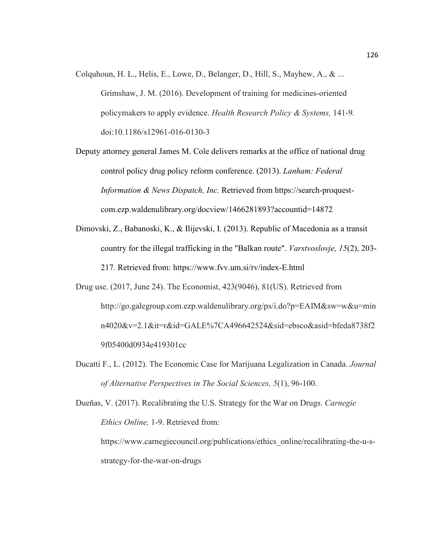- Colquhoun, H. L., Helis, E., Lowe, D., Belanger, D., Hill, S., Mayhew, A.,  $\&$  ... Grimshaw, J. M. (2016). Development of training for medicines-oriented policymakers to apply evidence. *Health Research Policy & Systems,* 141-9*.* doi:10.1186/s12961-016-0130-3
- Deputy attorney general James M. Cole delivers remarks at the office of national drug control policy drug policy reform conference. (2013). *Lanham: Federal Information & News Dispatch, Inc.* Retrieved from https://search-proquestcom.ezp.waldenulibrary.org/docview/1466281893?accountid=14872
- Dimovski, Z., Babanoski, K., & Ilijevski, I. (2013). Republic of Macedonia as a transit country for the illegal trafficking in the "Balkan route". *Varstvoslovje, 15*(2), 203- 217*.* Retrieved from: https://www.fvv.um.si/rv/index-E.html
- Drug use. (2017, June 24). The Economist, 423(9046), 81(US). Retrieved from http://go.galegroup.com.ezp.waldenulibrary.org/ps/i.do?p=EAIM&sw=w&u=min n4020&v=2.1&it=r&id=GALE%7CA496642524&sid=ebsco&asid=bfeda8738f2 9f05400d0934e419301cc
- Ducatti F., L. (2012). The Economic Case for Marijuana Legalization in Canada. *Journal of Alternative Perspectives in The Social Sciences, 5*(1), 96-100.

Dueñas, V. (2017). Recalibrating the U.S. Strategy for the War on Drugs. *Carnegie Ethics Online,* 1-9. Retrieved from:

https://www.carnegiecouncil.org/publications/ethics\_online/recalibrating-the-u-sstrategy-for-the-war-on-drugs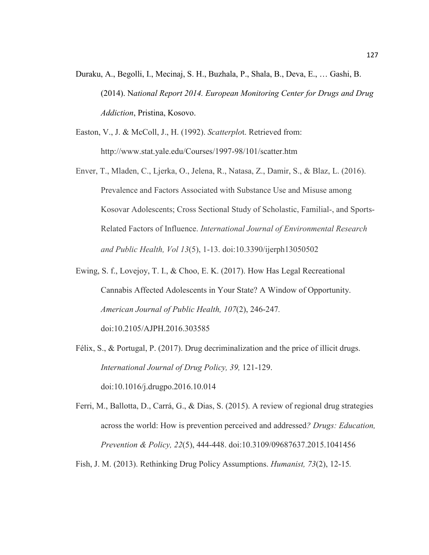- Duraku, A., Begolli, I., Mecinaj, S. H., Buzhala, P., Shala, B., Deva, E., … Gashi, B. (2014). N*ational Report 2014. European Monitoring Center for Drugs and Drug Addiction*, Pristina, Kosovo.
- Easton, V., J. & McColl, J., H. (1992). *Scatterplo*t. Retrieved from: http://www.stat.yale.edu/Courses/1997-98/101/scatter.htm
- Enver, T., Mladen, C., Ljerka, O., Jelena, R., Natasa, Z., Damir, S., & Blaz, L. (2016). Prevalence and Factors Associated with Substance Use and Misuse among Kosovar Adolescents; Cross Sectional Study of Scholastic, Familial-, and Sports-Related Factors of Influence. *International Journal of Environmental Research and Public Health, Vol 13*(5), 1-13. doi:10.3390/ijerph13050502
- Ewing, S. f., Lovejoy, T. I., & Choo, E. K. (2017). How Has Legal Recreational Cannabis Affected Adolescents in Your State? A Window of Opportunity. *American Journal of Public Health, 107*(2), 246-247*.* doi:10.2105/AJPH.2016.303585
- Félix, S., & Portugal, P. (2017). Drug decriminalization and the price of illicit drugs. *International Journal of Drug Policy, 39,* 121-129. doi:10.1016/j.drugpo.2016.10.014

Ferri, M., Ballotta, D., Carrá, G., & Dias, S. (2015). A review of regional drug strategies across the world: How is prevention perceived and addressed*? Drugs: Education, Prevention & Policy, 22*(5), 444-448. doi:10.3109/09687637.2015.1041456

Fish, J. M. (2013). Rethinking Drug Policy Assumptions. *Humanist, 73*(2), 12-15*.*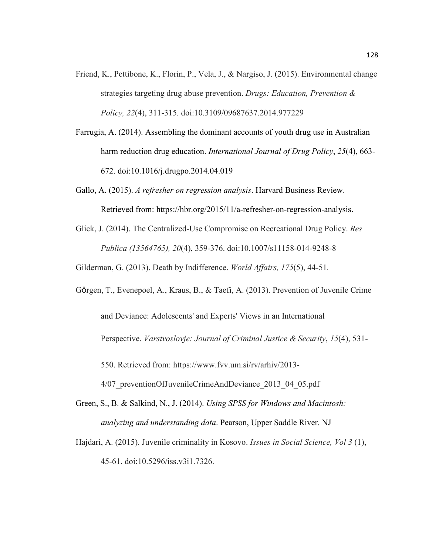- Friend, K., Pettibone, K., Florin, P., Vela, J., & Nargiso, J. (2015). Environmental change strategies targeting drug abuse prevention. *Drugs: Education, Prevention & Policy, 22*(4), 311-315*.* doi:10.3109/09687637.2014.977229
- Farrugia, A. (2014). Assembling the dominant accounts of youth drug use in Australian harm reduction drug education. *International Journal of Drug Policy*, *25*(4), 663- 672. doi:10.1016/j.drugpo.2014.04.019
- Gallo, A. (2015). *A refresher on regression analysis*. Harvard Business Review. Retrieved from: https://hbr.org/2015/11/a-refresher-on-regression-analysis.
- Glick, J. (2014). The Centralized-Use Compromise on Recreational Drug Policy. *Res Publica (13564765), 20*(4), 359-376. doi:10.1007/s11158-014-9248-8

Gilderman, G. (2013). Death by Indifference. *World Affairs, 175*(5), 44-51*.*

- Görgen, T., Evenepoel, A., Kraus, B., & Taefi, A. (2013). Prevention of Juvenile Crime and Deviance: Adolescents' and Experts' Views in an International Perspective. *Varstvoslovje: Journal of Criminal Justice & Security*, *15*(4), 531- 550. Retrieved from: https://www.fvv.um.si/rv/arhiv/2013- 4/07 preventionOfJuvenileCrimeAndDeviance 2013 04 05.pdf
- Green, S., B. & Salkind, N., J. (2014). *Using SPSS for Windows and Macintosh: analyzing and understanding data*. Pearson, Upper Saddle River. NJ
- Hajdari, A. (2015). Juvenile criminality in Kosovo. *Issues in Social Science, Vol 3* (1), 45-61. doi:10.5296/iss.v3i1.7326.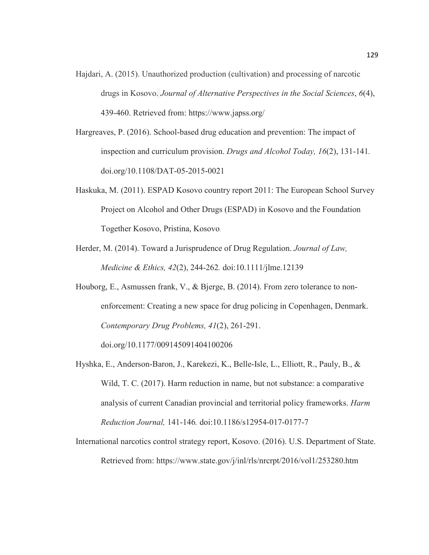- Hajdari, A. (2015). Unauthorized production (cultivation) and processing of narcotic drugs in Kosovo. *Journal of Alternative Perspectives in the Social Sciences*, *6*(4), 439-460. Retrieved from: https://www.japss.org/
- Hargreaves, P. (2016). School-based drug education and prevention: The impact of inspection and curriculum provision. *Drugs and Alcohol Today, 16*(2), 131-141*.* doi.org/10.1108/DAT-05-2015-0021
- Haskuka, M. (2011). ESPAD Kosovo country report 2011: The European School Survey Project on Alcohol and Other Drugs (ESPAD) in Kosovo and the Foundation Together Kosovo, Pristina, Kosovo.
- Herder, M. (2014). Toward a Jurisprudence of Drug Regulation. *Journal of Law, Medicine & Ethics, 42*(2), 244-262*.* doi:10.1111/jlme.12139
- Houborg, E., Asmussen frank, V., & Bjerge, B. (2014). From zero tolerance to nonenforcement: Creating a new space for drug policing in Copenhagen, Denmark. *Contemporary Drug Problems, 41*(2), 261-291. doi.org/10.1177/009145091404100206
- Hyshka, E., Anderson-Baron, J., Karekezi, K., Belle-Isle, L., Elliott, R., Pauly, B., & Wild, T. C. (2017). Harm reduction in name, but not substance: a comparative analysis of current Canadian provincial and territorial policy frameworks. *Harm Reduction Journal,* 141-146*.* doi:10.1186/s12954-017-0177-7
- International narcotics control strategy report, Kosovo. (2016). U.S. Department of State. Retrieved from: https://www.state.gov/j/inl/rls/nrcrpt/2016/vol1/253280.htm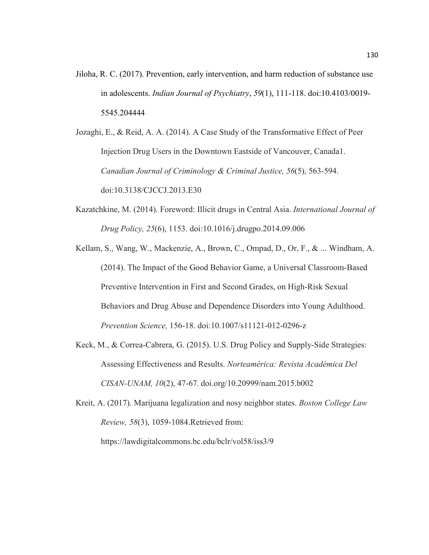Jiloha, R. C. (2017). Prevention, early intervention, and harm reduction of substance use in adolescents. *Indian Journal of Psychiatry*, *59*(1), 111-118. doi:10.4103/0019- 5545.204444

Jozaghi, E., & Reid, A. A. (2014). A Case Study of the Transformative Effect of Peer Injection Drug Users in the Downtown Eastside of Vancouver, Canada1. *Canadian Journal of Criminology & Criminal Justice, 56*(5), 563-594. doi:10.3138/CJCCJ.2013.E30

- Kazatchkine, M. (2014). Foreword: Illicit drugs in Central Asia. *International Journal of Drug Policy, 25*(6), 1153. doi:10.1016/j.drugpo.2014.09.006
- Kellam, S., Wang, W., Mackenzie, A., Brown, C., Ompad, D., Or, F., & ... Windham, A. (2014). The Impact of the Good Behavior Game, a Universal Classroom-Based Preventive Intervention in First and Second Grades, on High-Risk Sexual Behaviors and Drug Abuse and Dependence Disorders into Young Adulthood. *Prevention Science,* 156-18. doi:10.1007/s11121-012-0296-z
- Keck, M., & Correa-Cabrera, G. (2015). U.S. Drug Policy and Supply-Side Strategies: Assessing Effectiveness and Results. *Norteamérica: Revista Académica Del CISAN-UNAM, 10*(2), 47-67*.* doi.org/10.20999/nam.2015.b002

Kreit, A. (2017). Marijuana legalization and nosy neighbor states. *Boston College Law Review, 58*(3), 1059-1084.Retrieved from:

https://lawdigitalcommons.bc.edu/bclr/vol58/iss3/9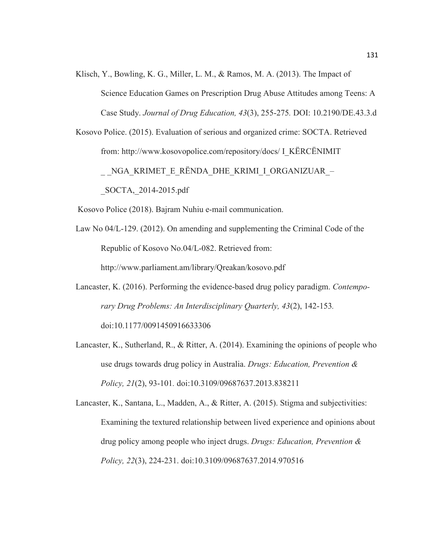- Klisch, Y., Bowling, K. G., Miller, L. M., & Ramos, M. A. (2013). The Impact of Science Education Games on Prescription Drug Abuse Attitudes among Teens: A Case Study. *Journal of Drug Education, 43*(3), 255-275*.* DOI: 10.2190/DE.43.3.d
- Kosovo Police. (2015). Evaluation of serious and organized crime: SOCTA. Retrieved from: http://www.kosovopolice.com/repository/docs/ I\_KËRCËNIMIT

NGA\_KRIMET\_E\_RËNDA\_DHE\_KRIMI\_I\_ORGANIZUAR\_–

\_SOCTA,\_2014-2015.pdf

Kosovo Police (2018). Bajram Nuhiu e-mail communication.

Law No 04/L-129. (2012). On amending and supplementing the Criminal Code of the Republic of Kosovo No.04/L-082. Retrieved from:

http://www.parliament.am/library/Qreakan/kosovo.pdf

- Lancaster, K. (2016). Performing the evidence-based drug policy paradigm. *Contemporary Drug Problems: An Interdisciplinary Quarterly, 43*(2), 142-153*.*  doi:10.1177/0091450916633306
- Lancaster, K., Sutherland, R., & Ritter, A. (2014). Examining the opinions of people who use drugs towards drug policy in Australia. *Drugs: Education, Prevention & Policy, 21*(2), 93-101*.* doi:10.3109/09687637.2013.838211

Lancaster, K., Santana, L., Madden, A., & Ritter, A. (2015). Stigma and subjectivities: Examining the textured relationship between lived experience and opinions about drug policy among people who inject drugs. *Drugs: Education, Prevention & Policy, 22*(3), 224-231. doi:10.3109/09687637.2014.970516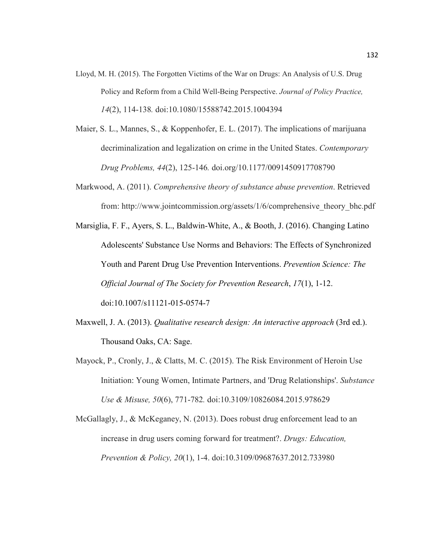- Lloyd, M. H. (2015). The Forgotten Victims of the War on Drugs: An Analysis of U.S. Drug Policy and Reform from a Child Well-Being Perspective. *Journal of Policy Practice, 14*(2), 114-138*.* doi:10.1080/15588742.2015.1004394
- Maier, S. L., Mannes, S., & Koppenhofer, E. L. (2017). The implications of marijuana decriminalization and legalization on crime in the United States. *Contemporary Drug Problems, 44*(2), 125-146*.* doi.org/10.1177/0091450917708790
- Markwood, A. (2011). *Comprehensive theory of substance abuse prevention*. Retrieved from: http://www.jointcommission.org/assets/1/6/comprehensive\_theory\_bhc.pdf
- Marsiglia, F. F., Ayers, S. L., Baldwin-White, A., & Booth, J. (2016). Changing Latino Adolescents' Substance Use Norms and Behaviors: The Effects of Synchronized Youth and Parent Drug Use Prevention Interventions. *Prevention Science: The Official Journal of The Society for Prevention Research*, *17*(1), 1-12. doi:10.1007/s11121-015-0574-7
- Maxwell, J. A. (2013). *Qualitative research design: An interactive approach* (3rd ed.). Thousand Oaks, CA: Sage.
- Mayock, P., Cronly, J., & Clatts, M. C. (2015). The Risk Environment of Heroin Use Initiation: Young Women, Intimate Partners, and 'Drug Relationships'. *Substance Use & Misuse, 50*(6), 771-782*.* doi:10.3109/10826084.2015.978629

McGallagly, J., & McKeganey, N. (2013). Does robust drug enforcement lead to an increase in drug users coming forward for treatment?. *Drugs: Education, Prevention & Policy, 20*(1), 1-4. doi:10.3109/09687637.2012.733980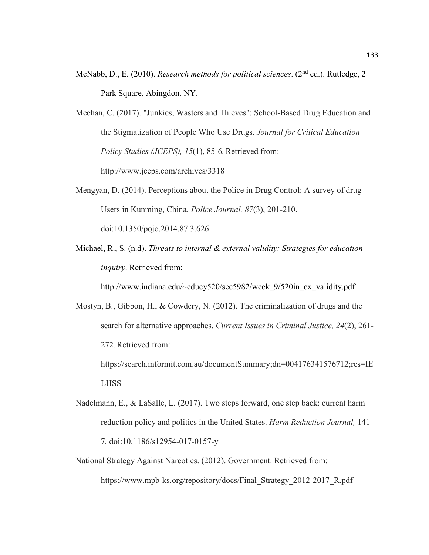- McNabb, D., E. (2010). *Research methods for political sciences*. (2nd ed.). Rutledge, 2 Park Square, Abingdon. NY.
- Meehan, C. (2017). "Junkies, Wasters and Thieves": School-Based Drug Education and the Stigmatization of People Who Use Drugs. *Journal for Critical Education Policy Studies (JCEPS), 15*(1), 85-6. Retrieved from: http://www.jceps.com/archives/3318
- Mengyan, D. (2014). Perceptions about the Police in Drug Control: A survey of drug Users in Kunming, China*. Police Journal, 87*(3), 201-210. doi:10.1350/pojo.2014.87.3.626
- Michael, R., S. (n.d). *Threats to internal & external validity: Strategies for education inquiry*. Retrieved from:

http://www.indiana.edu/~educy520/sec5982/week\_9/520in\_ex\_validity.pdf

Mostyn, B., Gibbon, H., & Cowdery, N. (2012). The criminalization of drugs and the search for alternative approaches. *Current Issues in Criminal Justice, 24*(2), 261- 272*.*Retrieved from: https://search.informit.com.au/documentSummary;dn=004176341576712;res=IE

LHSS

- Nadelmann, E., & LaSalle, L. (2017). Two steps forward, one step back: current harm reduction policy and politics in the United States. *Harm Reduction Journal,* 141- 7*.* doi:10.1186/s12954-017-0157-y
- National Strategy Against Narcotics. (2012). Government. Retrieved from: https://www.mpb-ks.org/repository/docs/Final\_Strategy\_2012-2017\_R.pdf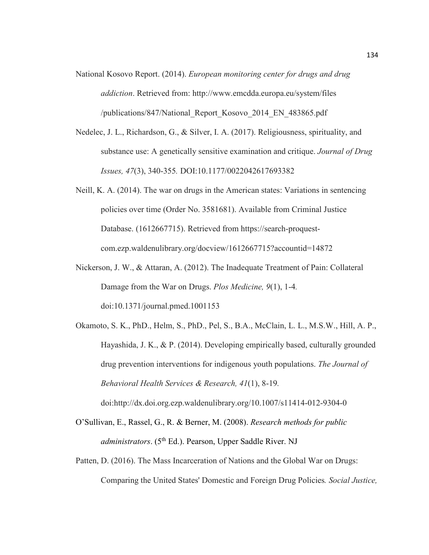- National Kosovo Report. (2014). *European monitoring center for drugs and drug addiction*. Retrieved from: http://www.emcdda.europa.eu/system/files /publications/847/National\_Report\_Kosovo\_2014\_EN\_483865.pdf
- Nedelec, J. L., Richardson, G., & Silver, I. A. (2017). Religiousness, spirituality, and substance use: A genetically sensitive examination and critique. *Journal of Drug Issues, 47*(3), 340-355*.* DOI:10.1177/0022042617693382
- Neill, K. A. (2014). The war on drugs in the American states: Variations in sentencing policies over time (Order No. 3581681). Available from Criminal Justice Database. (1612667715). Retrieved from https://search-proquestcom.ezp.waldenulibrary.org/docview/1612667715?accountid=14872
- Nickerson, J. W., & Attaran, A. (2012). The Inadequate Treatment of Pain: Collateral Damage from the War on Drugs. *Plos Medicine, 9*(1), 1-4*.* doi:10.1371/journal.pmed.1001153
- Okamoto, S. K., PhD., Helm, S., PhD., Pel, S., B.A., McClain, L. L., M.S.W., Hill, A. P., Hayashida, J. K., & P. (2014). Developing empirically based, culturally grounded drug prevention interventions for indigenous youth populations. *The Journal of Behavioral Health Services & Research, 41*(1), 8-19*.*

doi:http://dx.doi.org.ezp.waldenulibrary.org/10.1007/s11414-012-9304-0

- O'Sullivan, E., Rassel, G., R. & Berner, M. (2008). *Research methods for public administrators.* (5<sup>th</sup> Ed.). Pearson, Upper Saddle River. NJ
- Patten, D. (2016). The Mass Incarceration of Nations and the Global War on Drugs: Comparing the United States' Domestic and Foreign Drug Policies*. Social Justice,*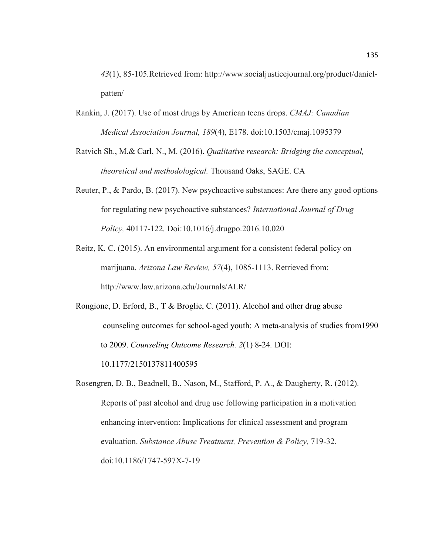*43*(1), 85-105*.*Retrieved from: http://www.socialjusticejournal.org/product/danielpatten/

- Rankin, J. (2017). Use of most drugs by American teens drops. *CMAJ: Canadian Medical Association Journal, 189*(4), E178. doi:10.1503/cmaj.1095379
- Ratvich Sh., M.& Carl, N., M. (2016). *Qualitative research: Bridging the conceptual, theoretical and methodological.* Thousand Oaks, SAGE. CA
- Reuter, P., & Pardo, B. (2017). New psychoactive substances: Are there any good options for regulating new psychoactive substances? *International Journal of Drug Policy,* 40117-122*.* Doi:10.1016/j.drugpo.2016.10.020
- Reitz, K. C. (2015). An environmental argument for a consistent federal policy on marijuana. *Arizona Law Review, 57*(4), 1085-1113. Retrieved from: http://www.law.arizona.edu/Journals/ALR/

Rongione, D. Erford, B., T & Broglie, C. (2011). Alcohol and other drug abuse counseling outcomes for school-aged youth: A meta-analysis of studies from1990 to 2009. *Counseling Outcome Research. 2*(1) 8-24*.* DOI: 10.1177/2150137811400595

Rosengren, D. B., Beadnell, B., Nason, M., Stafford, P. A., & Daugherty, R. (2012). Reports of past alcohol and drug use following participation in a motivation enhancing intervention: Implications for clinical assessment and program evaluation. *Substance Abuse Treatment, Prevention & Policy,* 719-32*.* doi:10.1186/1747-597X-7-19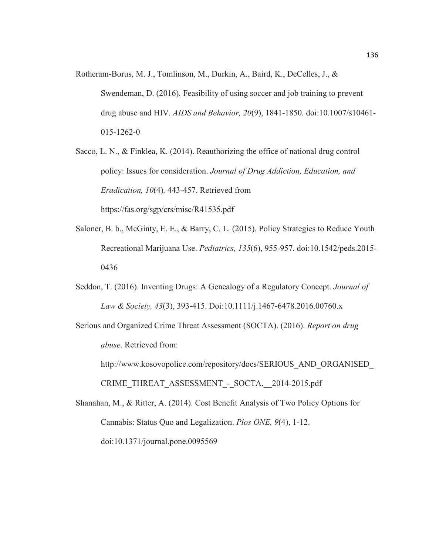- Rotheram-Borus, M. J., Tomlinson, M., Durkin, A., Baird, K., DeCelles, J., & Swendeman, D. (2016). Feasibility of using soccer and job training to prevent drug abuse and HIV. *AIDS and Behavior, 20*(9), 1841-1850*.* doi:10.1007/s10461- 015-1262-0
- Sacco, L. N., & Finklea, K. (2014). Reauthorizing the office of national drug control policy: Issues for consideration. *Journal of Drug Addiction, Education, and Eradication, 10*(4)*,* 443-457. Retrieved from https://fas.org/sgp/crs/misc/R41535.pdf
- Saloner, B. b., McGinty, E. E., & Barry, C. L. (2015). Policy Strategies to Reduce Youth Recreational Marijuana Use. *Pediatrics, 135*(6), 955-957. doi:10.1542/peds.2015- 0436
- Seddon, T. (2016). Inventing Drugs: A Genealogy of a Regulatory Concept. *Journal of Law & Society, 43*(3), 393-415. Doi:10.1111/j.1467-6478.2016.00760.x
- Serious and Organized Crime Threat Assessment (SOCTA). (2016). *Report on drug abuse*. Retrieved from:

http://www.kosovopolice.com/repository/docs/SERIOUS\_AND\_ORGANISED\_ CRIME\_THREAT\_ASSESSMENT - SOCTA, 2014-2015.pdf

Shanahan, M., & Ritter, A. (2014). Cost Benefit Analysis of Two Policy Options for Cannabis: Status Quo and Legalization. *Plos ONE, 9*(4), 1-12. doi:10.1371/journal.pone.0095569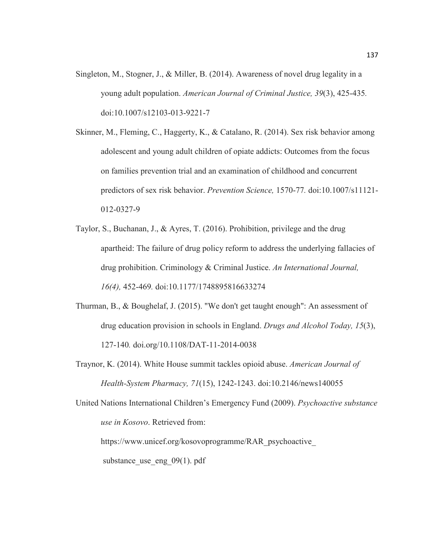- Singleton, M., Stogner, J., & Miller, B. (2014). Awareness of novel drug legality in a young adult population. *American Journal of Criminal Justice, 39*(3), 425-435*.* doi:10.1007/s12103-013-9221-7
- Skinner, M., Fleming, C., Haggerty, K., & Catalano, R. (2014). Sex risk behavior among adolescent and young adult children of opiate addicts: Outcomes from the focus on families prevention trial and an examination of childhood and concurrent predictors of sex risk behavior. *Prevention Science,* 1570-77*.* doi:10.1007/s11121- 012-0327-9
- Taylor, S., Buchanan, J., & Ayres, T. (2016). Prohibition, privilege and the drug apartheid: The failure of drug policy reform to address the underlying fallacies of drug prohibition. Criminology & Criminal Justice. *An International Journal, 16(4),* 452-469*.* doi:10.1177/1748895816633274
- Thurman, B., & Boughelaf, J. (2015). "We don't get taught enough": An assessment of drug education provision in schools in England. *Drugs and Alcohol Today, 15*(3), 127-140*.* doi.org/10.1108/DAT-11-2014-0038
- Traynor, K. (2014). White House summit tackles opioid abuse. *American Journal of Health-System Pharmacy, 71*(15), 1242-1243. doi:10.2146/news140055
- United Nations International Children's Emergency Fund (2009). *Psychoactive substance use in Kosovo*. Retrieved from:

https://www.unicef.org/kosovoprogramme/RAR\_psychoactive\_

substance use eng  $09(1)$ . pdf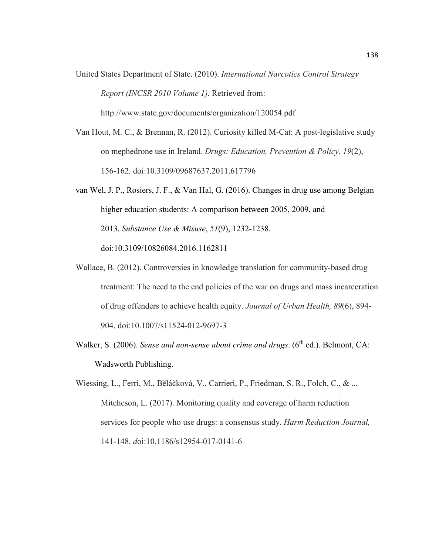- United States Department of State. (2010). *International Narcotics Control Strategy Report (INCSR 2010 Volume 1).* Retrieved from: http://www.state.gov/documents/organization/120054.pdf
- Van Hout, M. C., & Brennan, R. (2012). Curiosity killed M-Cat: A post-legislative study on mephedrone use in Ireland. *Drugs: Education, Prevention & Policy, 19*(2), 156-162*.* doi:10.3109/09687637.2011.617796
- van Wel, J. P., Rosiers, J. F., & Van Hal, G. (2016). Changes in drug use among Belgian higher education students: A comparison between 2005, 2009, and 2013. *Substance Use & Misuse*, *51*(9), 1232-1238. doi:10.3109/10826084.2016.1162811
- Wallace, B. (2012). Controversies in knowledge translation for community-based drug treatment: The need to the end policies of the war on drugs and mass incarceration of drug offenders to achieve health equity. *Journal of Urban Health, 89*(6), 894- 904. doi:10.1007/s11524-012-9697-3
- Walker, S. (2006). *Sense and non-sense about crime and drugs*. (6<sup>th</sup> ed.). Belmont, CA: Wadsworth Publishing.
- Wiessing, L., Ferri, M., Běláčková, V., Carrieri, P., Friedman, S. R., Folch, C., & ... Mitcheson, L. (2017). Monitoring quality and coverage of harm reduction services for people who use drugs: a consensus study. *Harm Reduction Journal,*  141-148*. d*oi:10.1186/s12954-017-0141-6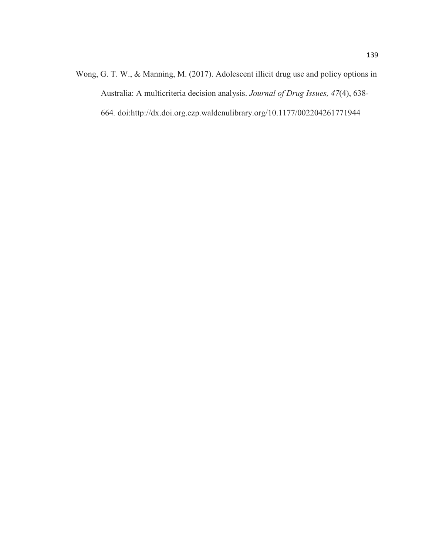Wong, G. T. W., & Manning, M. (2017). Adolescent illicit drug use and policy options in Australia: A multicriteria decision analysis. *Journal of Drug Issues, 47*(4), 638- 664*.* doi:http://dx.doi.org.ezp.waldenulibrary.org/10.1177/002204261771944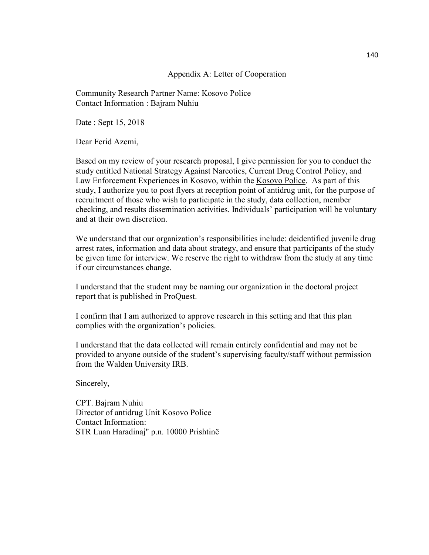#### Appendix A: Letter of Cooperation

Community Research Partner Name: Kosovo Police Contact Information : Bajram Nuhiu

Date : Sept 15, 2018

Dear Ferid Azemi,

Based on my review of your research proposal, I give permission for you to conduct the study entitled National Strategy Against Narcotics, Current Drug Control Policy, and Law Enforcement Experiences in Kosovo, within the Kosovo Police. As part of this study, I authorize you to post flyers at reception point of antidrug unit, for the purpose of recruitment of those who wish to participate in the study, data collection, member checking, and results dissemination activities. Individuals' participation will be voluntary and at their own discretion.

We understand that our organization's responsibilities include: deidentified juvenile drug arrest rates, information and data about strategy, and ensure that participants of the study be given time for interview. We reserve the right to withdraw from the study at any time if our circumstances change.

I understand that the student may be naming our organization in the doctoral project report that is published in ProQuest.

I confirm that I am authorized to approve research in this setting and that this plan complies with the organization's policies.

I understand that the data collected will remain entirely confidential and may not be provided to anyone outside of the student's supervising faculty/staff without permission from the Walden University IRB.

Sincerely,

CPT. Bajram Nuhiu Director of antidrug Unit Kosovo Police Contact Information: STR Luan Haradinaj" p.n. 10000 Prishtinë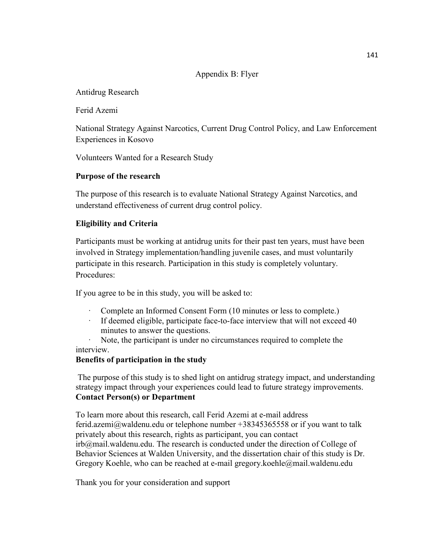## Appendix B: Flyer

## Antidrug Research

Ferid Azemi

National Strategy Against Narcotics, Current Drug Control Policy, and Law Enforcement Experiences in Kosovo

Volunteers Wanted for a Research Study

## **Purpose of the research**

The purpose of this research is to evaluate National Strategy Against Narcotics, and understand effectiveness of current drug control policy.

## **Eligibility and Criteria**

Participants must be working at antidrug units for their past ten years, must have been involved in Strategy implementation/handling juvenile cases, and must voluntarily participate in this research. Participation in this study is completely voluntary. Procedures:

If you agree to be in this study, you will be asked to:

- Complete an Informed Consent Form (10 minutes or less to complete.)
- · If deemed eligible, participate face-to-face interview that will not exceed 40 minutes to answer the questions.
- Note, the participant is under no circumstances required to complete the interview.

#### **Benefits of participation in the study**

 The purpose of this study is to shed light on antidrug strategy impact, and understanding strategy impact through your experiences could lead to future strategy improvements. **Contact Person(s) or Department** 

To learn more about this research, call Ferid Azemi at e-mail address ferid.azemi@waldenu.edu or telephone number +38345365558 or if you want to talk privately about this research, rights as participant, you can contact irb@mail.waldenu.edu. The research is conducted under the direction of College of Behavior Sciences at Walden University, and the dissertation chair of this study is Dr. Gregory Koehle, who can be reached at e-mail gregory.koehle@mail.waldenu.edu

Thank you for your consideration and support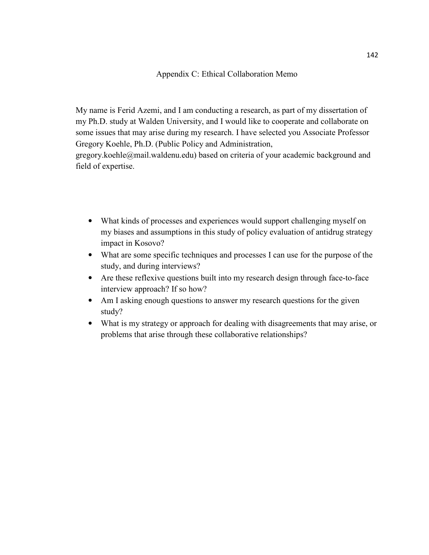#### Appendix C: Ethical Collaboration Memo

My name is Ferid Azemi, and I am conducting a research, as part of my dissertation of my Ph.D. study at Walden University, and I would like to cooperate and collaborate on some issues that may arise during my research. I have selected you Associate Professor Gregory Koehle, Ph.D. (Public Policy and Administration,

gregory.koehle@mail.waldenu.edu) based on criteria of your academic background and field of expertise.

- What kinds of processes and experiences would support challenging myself on my biases and assumptions in this study of policy evaluation of antidrug strategy impact in Kosovo?
- What are some specific techniques and processes I can use for the purpose of the study, and during interviews?
- Are these reflexive questions built into my research design through face-to-face interview approach? If so how?
- Am I asking enough questions to answer my research questions for the given study?
- What is my strategy or approach for dealing with disagreements that may arise, or problems that arise through these collaborative relationships?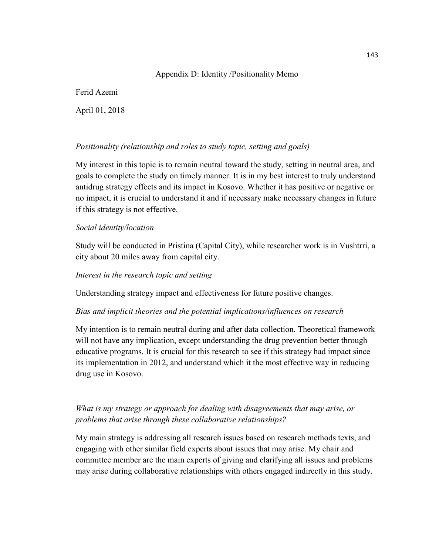## Appendix D: Identity /Positionality Memo

Ferid Azemi

April 01, 2018

## *Positionality (relationship and roles to study topic, setting and goals)*

My interest in this topic is to remain neutral toward the study, setting in neutral area, and goals to complete the study on timely manner. It is in my best interest to truly understand antidrug strategy effects and its impact in Kosovo. Whether it has positive or negative or no impact, it is crucial to understand it and if necessary make necessary changes in future if this strategy is not effective.

## *Social identity/location*

Study will be conducted in Pristina (Capital City), while researcher work is in Vushtrri, a city about 20 miles away from capital city.

## *Interest in the research topic and setting*

Understanding strategy impact and effectiveness for future positive changes.

## *Bias and implicit theories and the potential implications/influences on research*

My intention is to remain neutral during and after data collection. Theoretical framework will not have any implication, except understanding the drug prevention better through educative programs. It is crucial for this research to see if this strategy had impact since its implementation in 2012, and understand which it the most effective way in reducing drug use in Kosovo.

## *What is my strategy or approach for dealing with disagreements that may arise, or problems that arise through these collaborative relationships?*

My main strategy is addressing all research issues based on research methods texts, and engaging with other similar field experts about issues that may arise. My chair and committee member are the main experts of giving and clarifying all issues and problems may arise during collaborative relationships with others engaged indirectly in this study.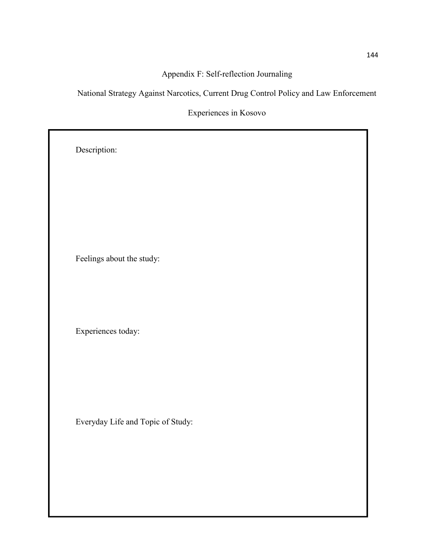## Appendix F: Self-reflection Journaling

National Strategy Against Narcotics, Current Drug Control Policy and Law Enforcement

Experiences in Kosovo

Description: Feelings about the study: Experiences today: Everyday Life and Topic of Study: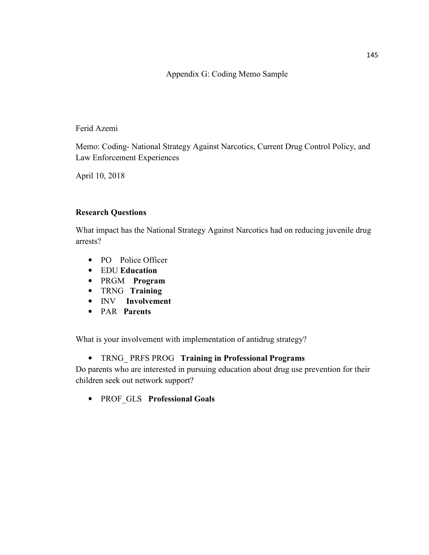## Appendix G: Coding Memo Sample

## Ferid Azemi

Memo: Coding- National Strategy Against Narcotics, Current Drug Control Policy, and Law Enforcement Experiences

April 10, 2018

#### **Research Questions**

What impact has the National Strategy Against Narcotics had on reducing juvenile drug arrests?

- PO Police Officer
- EDU **Education**
- PRGM **Program**
- TRNG **Training**
- INV **Involvement**
- PAR **Parents**

What is your involvement with implementation of antidrug strategy?

• TRNG\_ PRFS PROG **Training in Professional Programs**

Do parents who are interested in pursuing education about drug use prevention for their children seek out network support?

• PROF\_GLS **Professional Goals**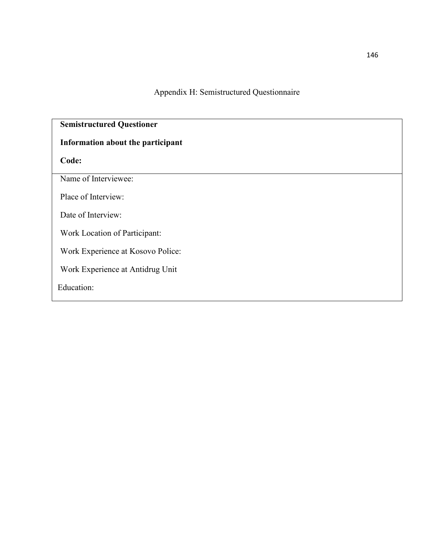Appendix H: Semistructured Questionnaire

# **Semistructured Questioner Information about the participant Code:**  Name of Interviewee: Place of Interview: Date of Interview: Work Location of Participant: Work Experience at Kosovo Police: Work Experience at Antidrug Unit Education: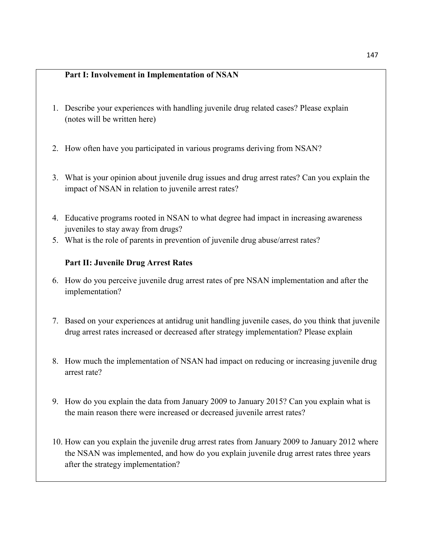## **Part I: Involvement in Implementation of NSAN**

- 1. Describe your experiences with handling juvenile drug related cases? Please explain (notes will be written here)
- 2. How often have you participated in various programs deriving from NSAN?
- 3. What is your opinion about juvenile drug issues and drug arrest rates? Can you explain the impact of NSAN in relation to juvenile arrest rates?
- 4. Educative programs rooted in NSAN to what degree had impact in increasing awareness juveniles to stay away from drugs?
- 5. What is the role of parents in prevention of juvenile drug abuse/arrest rates?

## **Part II: Juvenile Drug Arrest Rates**

- 6. How do you perceive juvenile drug arrest rates of pre NSAN implementation and after the implementation?
- 7. Based on your experiences at antidrug unit handling juvenile cases, do you think that juvenile drug arrest rates increased or decreased after strategy implementation? Please explain
- 8. How much the implementation of NSAN had impact on reducing or increasing juvenile drug arrest rate?
- 9. How do you explain the data from January 2009 to January 2015? Can you explain what is the main reason there were increased or decreased juvenile arrest rates?
- 10. How can you explain the juvenile drug arrest rates from January 2009 to January 2012 where the NSAN was implemented, and how do you explain juvenile drug arrest rates three years after the strategy implementation?